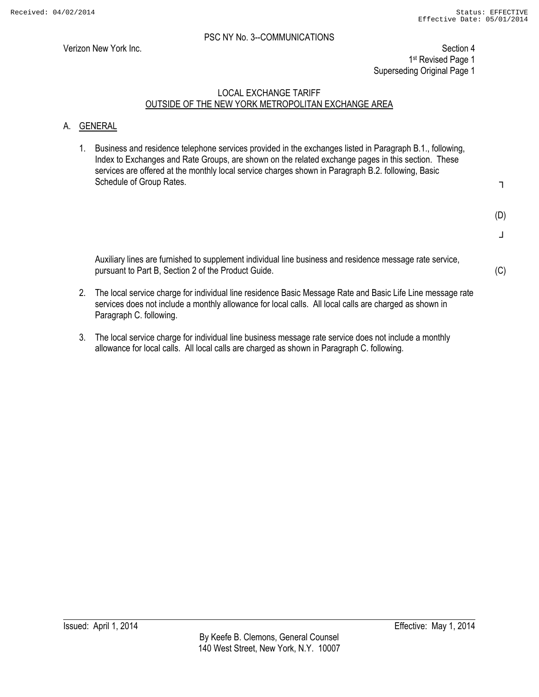Verizon New York Inc. Section 4 1st Revised Page 1 Superseding Original Page 1

#### LOCAL EXCHANGE TARIFF OUTSIDE OF THE NEW YORK METROPOLITAN EXCHANGE AREA

#### A. GENERAL

1. Business and residence telephone services provided in the exchanges listed in Paragraph B.1., following, Index to Exchanges and Rate Groups, are shown on the related exchange pages in this section. These services are offered at the monthly local service charges shown in Paragraph B.2. following, Basic Schedule of Group Rates.

┐

- (D)
- ┘

(C)

 Auxiliary lines are furnished to supplement individual line business and residence message rate service, pursuant to Part B, Section 2 of the Product Guide.

- 2. The local service charge for individual line residence Basic Message Rate and Basic Life Line message rate services does not include a monthly allowance for local calls. All local calls are charged as shown in Paragraph C. following.
- 3. The local service charge for individual line business message rate service does not include a monthly allowance for local calls. All local calls are charged as shown in Paragraph C. following.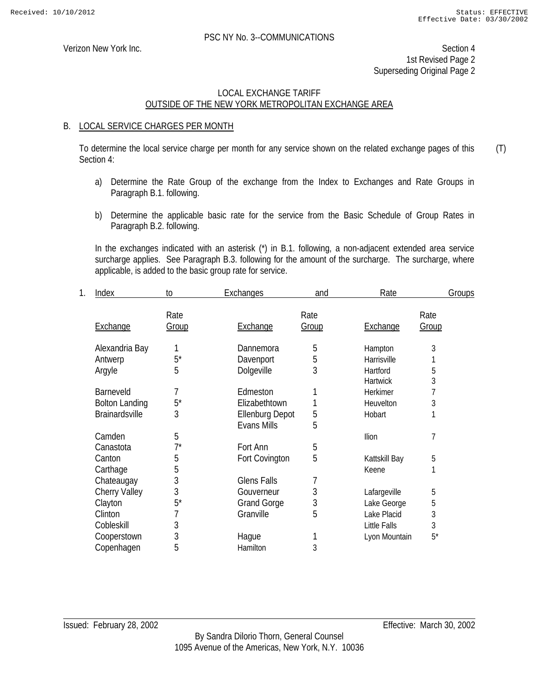Verizon New York Inc. Section 4 1st Revised Page 2 Superseding Original Page 2

#### LOCAL EXCHANGE TARIFF OUTSIDE OF THE NEW YORK METROPOLITAN EXCHANGE AREA

#### B. LOCAL SERVICE CHARGES PER MONTH

To determine the local service charge per month for any service shown on the related exchange pages of this Section 4: (T)

- a) Determine the Rate Group of the exchange from the Index to Exchanges and Rate Groups in Paragraph B.1. following.
- b) Determine the applicable basic rate for the service from the Basic Schedule of Group Rates in Paragraph B.2. following.

 In the exchanges indicated with an asterisk (\*) in B.1. following, a non-adjacent extended area service surcharge applies. See Paragraph B.3. following for the amount of the surcharge. The surcharge, where applicable, is added to the basic group rate for service.

| 1. | Index                 | to    | Exchanges              | and   | Rate            |       | <b>Groups</b> |
|----|-----------------------|-------|------------------------|-------|-----------------|-------|---------------|
|    |                       | Rate  |                        | Rate  |                 | Rate  |               |
|    | Exchange              | Group | Exchange               | Group | Exchange        | Group |               |
|    | Alexandria Bay        |       | Dannemora              | 5     | Hampton         | 3     |               |
|    | Antwerp               | $5^*$ | Davenport              | 5     | Harrisville     |       |               |
|    | Argyle                | 5     | Dolgeville             | 3     | Hartford        | 5     |               |
|    |                       |       |                        |       | <b>Hartwick</b> | 3     |               |
|    | Barneveld             | 7     | Edmeston               |       | Herkimer        |       |               |
|    | <b>Bolton Landing</b> | $5^*$ | Elizabethtown          | 1     | Heuvelton       | 3     |               |
|    | Brainardsville        | 3     | <b>Ellenburg Depot</b> | 5     | Hobart          |       |               |
|    |                       |       | Evans Mills            | 5     |                 |       |               |
|    | Camden                | 5     |                        |       | Ilion           | 7     |               |
|    | Canastota             | $7^*$ | Fort Ann               | 5     |                 |       |               |
|    | Canton                | 5     | Fort Covington         | 5     | Kattskill Bay   | 5     |               |
|    | Carthage              | 5     |                        |       | Keene           |       |               |
|    | Chateaugay            | 3     | <b>Glens Falls</b>     | 7     |                 |       |               |
|    | <b>Cherry Valley</b>  | 3     | Gouverneur             | 3     | Lafargeville    | 5     |               |
|    | Clayton               | $5^*$ | <b>Grand Gorge</b>     | 3     | Lake George     | 5     |               |
|    | Clinton               | 7     | Granville              | 5     | Lake Placid     | 3     |               |
|    | Cobleskill            | 3     |                        |       | Little Falls    | 3     |               |
|    | Cooperstown           | 3     | Hague                  | 1     | Lyon Mountain   | $5^*$ |               |
|    | Copenhagen            | 5     | Hamilton               | 3     |                 |       |               |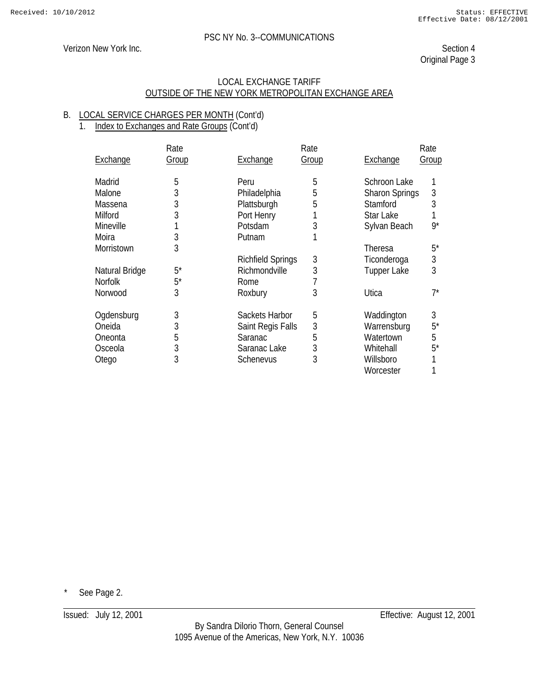# Verizon New York Inc. Section 4

Original Page 3

#### LOCAL EXCHANGE TARIFF OUTSIDE OF THE NEW YORK METROPOLITAN EXCHANGE AREA

#### B. LOCAL SERVICE CHARGES PER MONTH (Cont'd) 1. Index to Exchanges and Rate Groups (Cont'd)

|                 | Rate  |                          | Rate  |                       | Rate       |
|-----------------|-------|--------------------------|-------|-----------------------|------------|
| <b>Exchange</b> | Group | <b>Exchange</b>          | Group | <b>Exchange</b>       | Group      |
| Madrid          | 5     | Peru                     | 5     | Schroon Lake          |            |
| Malone          | 3     | Philadelphia             | 5     | <b>Sharon Springs</b> | 3          |
| Massena         | 3     | Plattsburgh              | 5     | Stamford              | 3          |
| Milford         | 3     | Port Henry               |       | Star Lake             |            |
| Mineville       |       | Potsdam                  | 3     | Sylvan Beach          | $9^*$      |
| Moira           | 3     | Putnam                   |       |                       |            |
| Morristown      | 3     |                          |       | Theresa               | $5^*$      |
|                 |       | <b>Richfield Springs</b> | 3     | Ticonderoga           | $\sqrt{3}$ |
| Natural Bridge  | $5^*$ | Richmondville            | 3     | <b>Tupper Lake</b>    | 3          |
| <b>Norfolk</b>  | $5^*$ | Rome                     |       |                       |            |
| Norwood         | 3     | Roxbury                  | 3     | Utica                 | 7*         |
| Ogdensburg      | 3     | Sackets Harbor           | 5     | Waddington            | 3          |
| Oneida          | 3     | Saint Regis Falls        | 3     | Warrensburg           | $5^*$      |
| Oneonta         | 5     | Saranac                  | 5     | Watertown             | 5          |
| Osceola         | 3     | Saranac Lake             | 3     | Whitehall             | $5^*$      |
| Otego           | 3     | Schenevus                | 3     | Willsboro             |            |
|                 |       |                          |       | Worcester             |            |

See Page 2.

Issued: July 12, 2001 Effective: August 12, 2001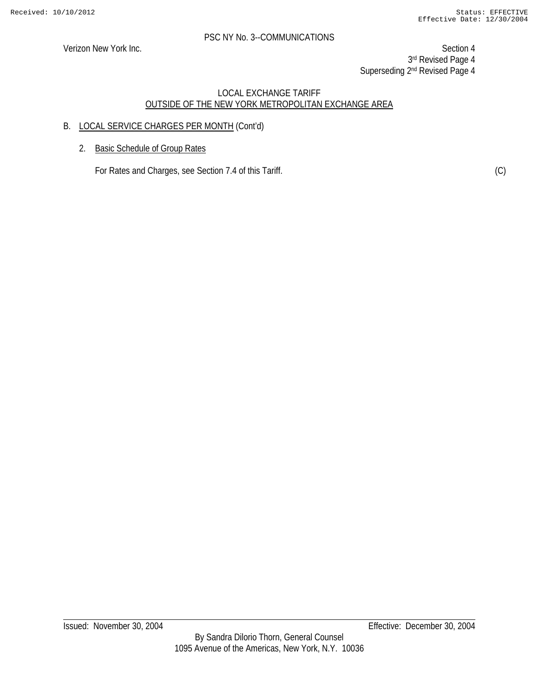Verizon New York Inc. Section 4 3rd Revised Page 4 Superseding 2<sup>nd</sup> Revised Page 4

# LOCAL EXCHANGE TARIFF OUTSIDE OF THE NEW YORK METROPOLITAN EXCHANGE AREA

# B. LOCAL SERVICE CHARGES PER MONTH (Cont'd)

2. Basic Schedule of Group Rates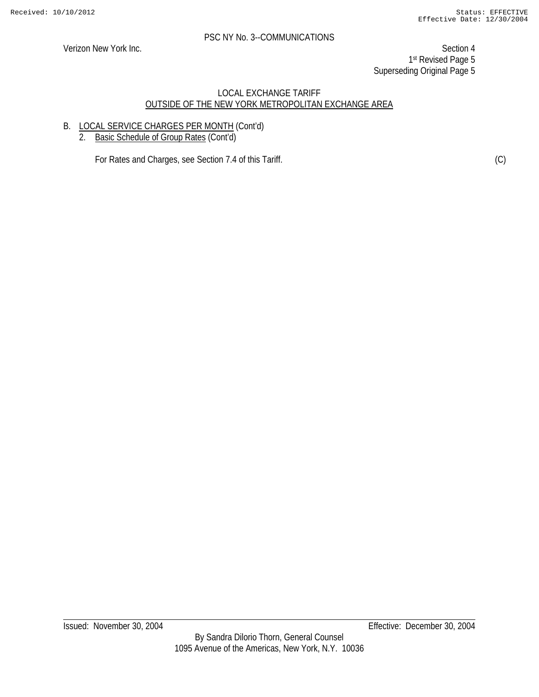Verizon New York Inc. Section 4 1st Revised Page 5 Superseding Original Page 5

# LOCAL EXCHANGE TARIFF OUTSIDE OF THE NEW YORK METROPOLITAN EXCHANGE AREA

# B. LOCAL SERVICE CHARGES PER MONTH (Cont'd)

2. Basic Schedule of Group Rates (Cont'd)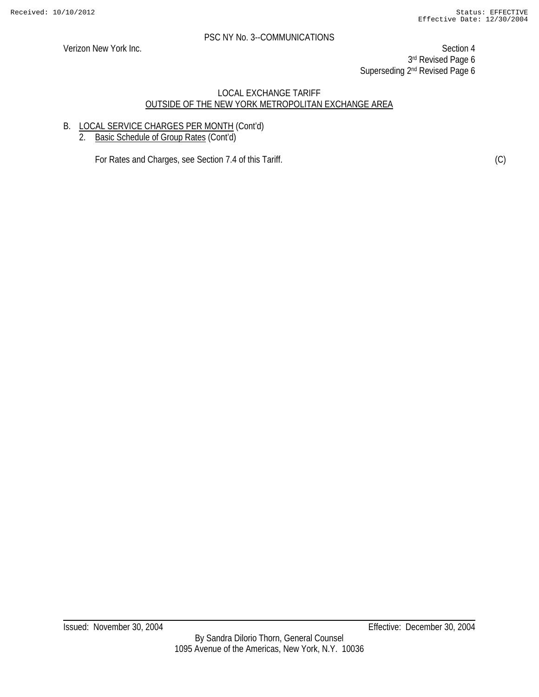Verizon New York Inc. Section 4 3rd Revised Page 6 Superseding 2<sup>nd</sup> Revised Page 6

#### LOCAL EXCHANGE TARIFF OUTSIDE OF THE NEW YORK METROPOLITAN EXCHANGE AREA

# B. LOCAL SERVICE CHARGES PER MONTH (Cont'd)

2. Basic Schedule of Group Rates (Cont'd)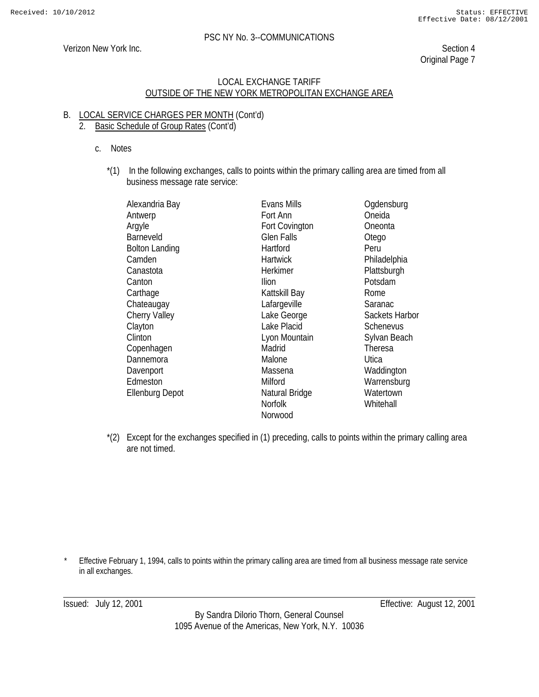# Verizon New York Inc. Section 4

Original Page 7

#### LOCAL EXCHANGE TARIFF OUTSIDE OF THE NEW YORK METROPOLITAN EXCHANGE AREA

#### B. LOCAL SERVICE CHARGES PER MONTH (Cont'd) 2. Basic Schedule of Group Rates (Cont'd)

- c. Notes
	- \*(1) In the following exchanges, calls to points within the primary calling area are timed from all business message rate service:

| Alexandria Bay         | Evans Mills       | Ogdensburg     |
|------------------------|-------------------|----------------|
| Antwerp                | Fort Ann          | Oneida         |
| Argyle                 | Fort Covington    | Oneonta        |
| Barneveld              | <b>Glen Falls</b> | Otego          |
| <b>Bolton Landing</b>  | Hartford          | Peru           |
| Camden                 | <b>Hartwick</b>   | Philadelphia   |
| Canastota              | Herkimer          | Plattsburgh    |
| Canton                 | <b>Ilion</b>      | Potsdam        |
| Carthage               | Kattskill Bay     | Rome           |
| Chateaugay             | Lafargeville      | Saranac        |
| <b>Cherry Valley</b>   | Lake George       | Sackets Harbor |
| Clayton                | Lake Placid       | Schenevus      |
| Clinton                | Lyon Mountain     | Sylvan Beach   |
| Copenhagen             | Madrid            | Theresa        |
| Dannemora              | Malone            | Utica          |
| Davenport              | Massena           | Waddington     |
| Edmeston               | Milford           | Warrensburg    |
| <b>Ellenburg Depot</b> | Natural Bridge    | Watertown      |
|                        | <b>Norfolk</b>    | Whitehall      |
|                        | Norwood           |                |

\*(2) Except for the exchanges specified in (1) preceding, calls to points within the primary calling area are not timed.

Effective February 1, 1994, calls to points within the primary calling area are timed from all business message rate service in all exchanges.

Issued: July 12, 2001 Effective: August 12, 2001

By Sandra Dilorio Thorn, General Counsel 1095 Avenue of the Americas, New York, N.Y. 10036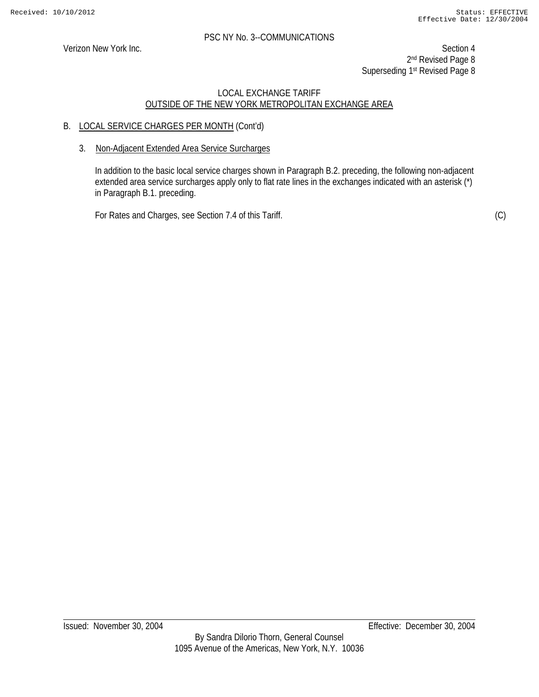Verizon New York Inc. Section 4 2<sup>nd</sup> Revised Page 8 Superseding 1<sup>st</sup> Revised Page 8

# LOCAL EXCHANGE TARIFF OUTSIDE OF THE NEW YORK METROPOLITAN EXCHANGE AREA

# B. LOCAL SERVICE CHARGES PER MONTH (Cont'd)

#### 3. Non-Adjacent Extended Area Service Surcharges

In addition to the basic local service charges shown in Paragraph B.2. preceding, the following non-adjacent extended area service surcharges apply only to flat rate lines in the exchanges indicated with an asterisk (\*) in Paragraph B.1. preceding.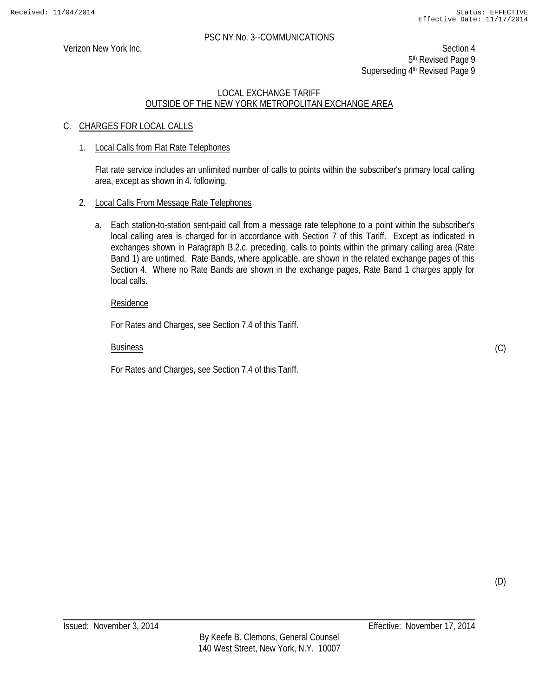Verizon New York Inc. Section 4 5<sup>th</sup> Revised Page 9 Superseding 4<sup>th</sup> Revised Page 9

#### LOCAL EXCHANGE TARIFF OUTSIDE OF THE NEW YORK METROPOLITAN EXCHANGE AREA

# C. CHARGES FOR LOCAL CALLS

#### 1. Local Calls from Flat Rate Telephones

Flat rate service includes an unlimited number of calls to points within the subscriber's primary local calling area, except as shown in 4. following.

#### 2. Local Calls From Message Rate Telephones

a. Each station-to-station sent-paid call from a message rate telephone to a point within the subscriber's local calling area is charged for in accordance with Section 7 of this Tariff. Except as indicated in exchanges shown in Paragraph B.2.c. preceding, calls to points within the primary calling area (Rate Band 1) are untimed. Rate Bands, where applicable, are shown in the related exchange pages of this Section 4. Where no Rate Bands are shown in the exchange pages, Rate Band 1 charges apply for local calls.

#### Residence

For Rates and Charges, see Section 7.4 of this Tariff.

#### Business

For Rates and Charges, see Section 7.4 of this Tariff.

(D)

(C)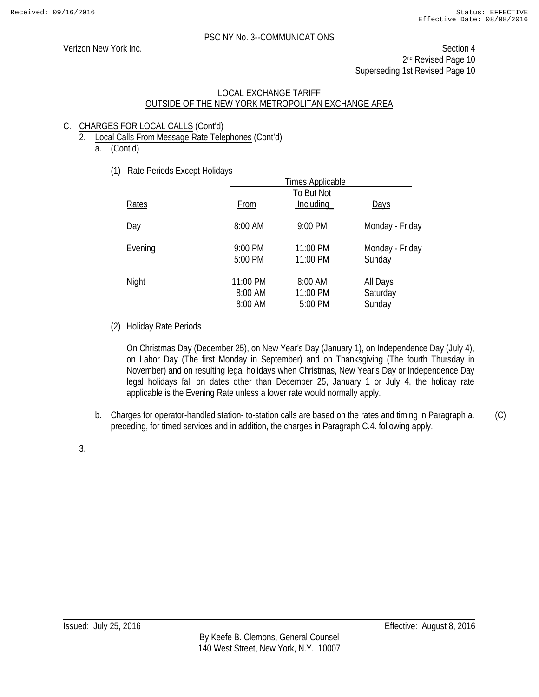Verizon New York Inc. Section 4 2<sup>nd</sup> Revised Page 10 Superseding 1st Revised Page 10

#### LOCAL EXCHANGE TARIFF OUTSIDE OF THE NEW YORK METROPOLITAN EXCHANGE AREA

# C. CHARGES FOR LOCAL CALLS (Cont'd)

- 2. Local Calls From Message Rate Telephones (Cont'd)
	- a. (Cont'd)
		- (1) Rate Periods Except Holidays

| $1.440 + 0.10000$ Exoopt Fiolidays |                                | <b>Times Applicable</b>        |                                |
|------------------------------------|--------------------------------|--------------------------------|--------------------------------|
| <b>Rates</b>                       | From                           | To But Not<br>Including        | <b>Days</b>                    |
| Day                                | 8:00 AM                        | 9:00 PM                        | Monday - Friday                |
| Evening                            | 9:00 PM<br>5:00 PM             | 11:00 PM<br>11:00 PM           | Monday - Friday<br>Sunday      |
| Night                              | 11:00 PM<br>8:00 AM<br>8:00 AM | 8:00 AM<br>11:00 PM<br>5:00 PM | All Days<br>Saturday<br>Sunday |

(2) Holiday Rate Periods

On Christmas Day (December 25), on New Year's Day (January 1), on Independence Day (July 4), on Labor Day (The first Monday in September) and on Thanksgiving (The fourth Thursday in November) and on resulting legal holidays when Christmas, New Year's Day or Independence Day legal holidays fall on dates other than December 25, January 1 or July 4, the holiday rate applicable is the Evening Rate unless a lower rate would normally apply.

b. Charges for operator-handled station- to-station calls are based on the rates and timing in Paragraph a. preceding, for timed services and in addition, the charges in Paragraph C.4. following apply. (C)

3.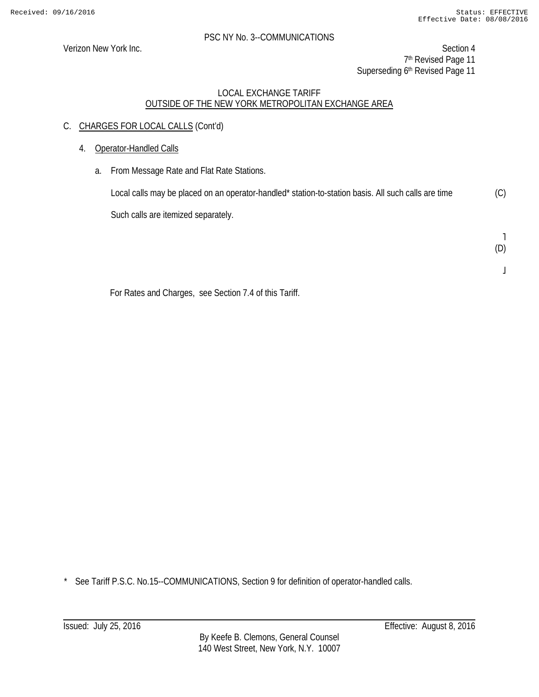Verizon New York Inc. Section 4 7<sup>th</sup> Revised Page 11 Superseding 6th Revised Page 11

# LOCAL EXCHANGE TARIFF OUTSIDE OF THE NEW YORK METROPOLITAN EXCHANGE AREA

- C. CHARGES FOR LOCAL CALLS (Cont'd)
	- 4. Operator-Handled Calls
		- a. From Message Rate and Flat Rate Stations.

Local calls may be placed on an operator-handled\* station-to-station basis. All such calls are time Such calls are itemized separately. (C)

> ˥ (D)

For Rates and Charges, see Section 7.4 of this Tariff.

\* See Tariff P.S.C. No.15--COMMUNICATIONS, Section 9 for definition of operator-handled calls.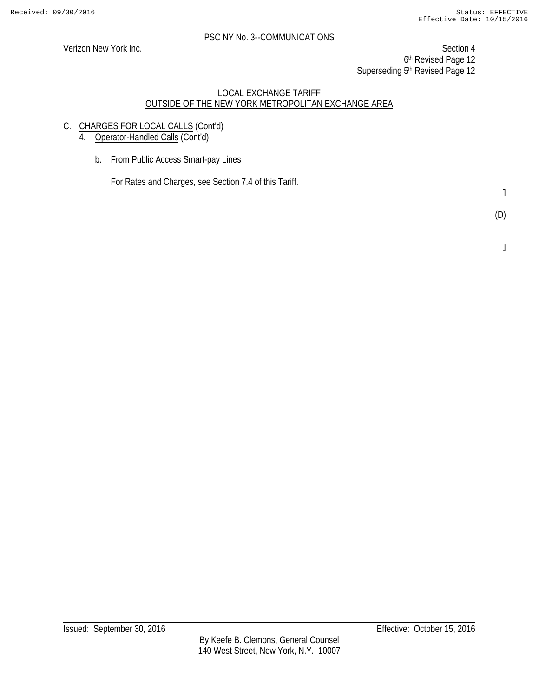Verizon New York Inc. Section 4 6th Revised Page 12 Superseding 5<sup>th</sup> Revised Page 12

#### LOCAL EXCHANGE TARIFF OUTSIDE OF THE NEW YORK METROPOLITAN EXCHANGE AREA

C. CHARGES FOR LOCAL CALLS (Cont'd)

4. Operator-Handled Calls (Cont'd)

b. From Public Access Smart-pay Lines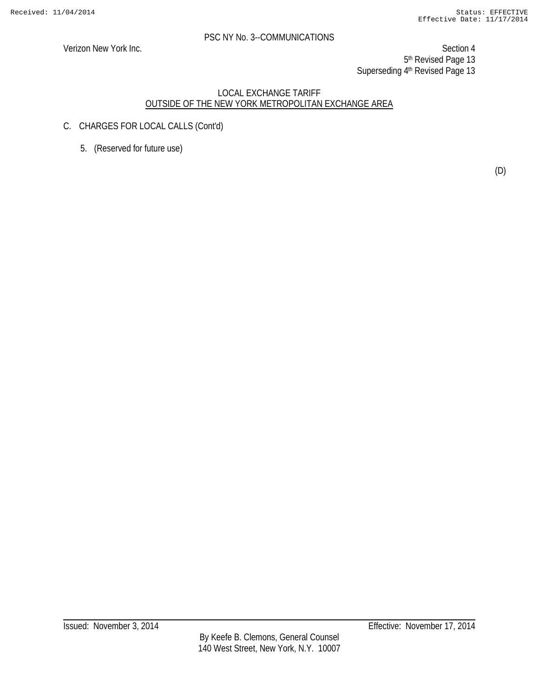Verizon New York Inc. Section 4 5th Revised Page 13 Superseding 4th Revised Page 13

- C. CHARGES FOR LOCAL CALLS (Cont'd)
	- 5. (Reserved for future use)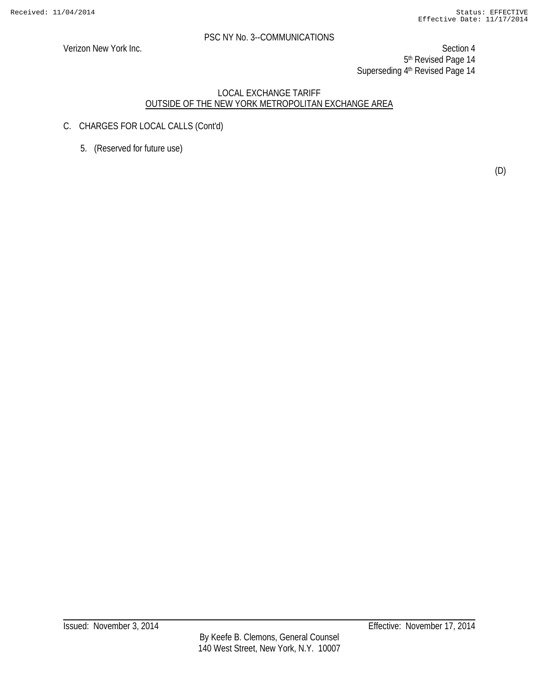Verizon New York Inc. Section 4 5th Revised Page 14 Superseding 4<sup>th</sup> Revised Page 14

- C. CHARGES FOR LOCAL CALLS (Cont'd)
	- 5. (Reserved for future use)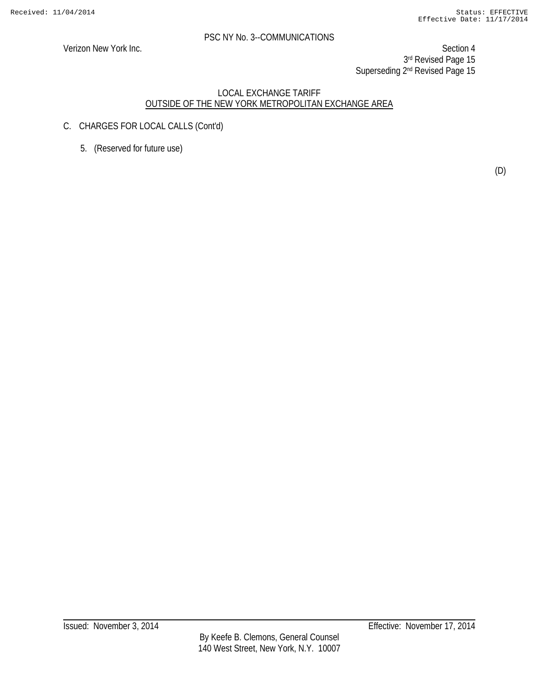Verizon New York Inc. Section 4 3rd Revised Page 15 Superseding 2<sup>nd</sup> Revised Page 15

- C. CHARGES FOR LOCAL CALLS (Cont'd)
	- 5. (Reserved for future use)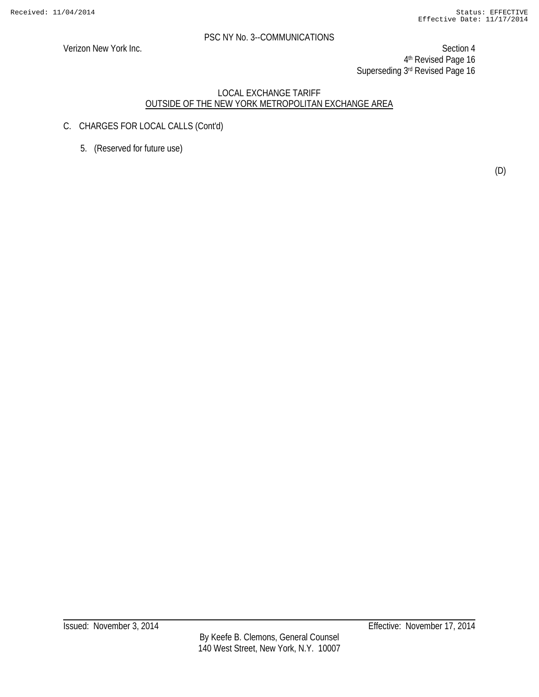Verizon New York Inc. Section 4 4th Revised Page 16 Superseding 3rd Revised Page 16

- C. CHARGES FOR LOCAL CALLS (Cont'd)
	- 5. (Reserved for future use)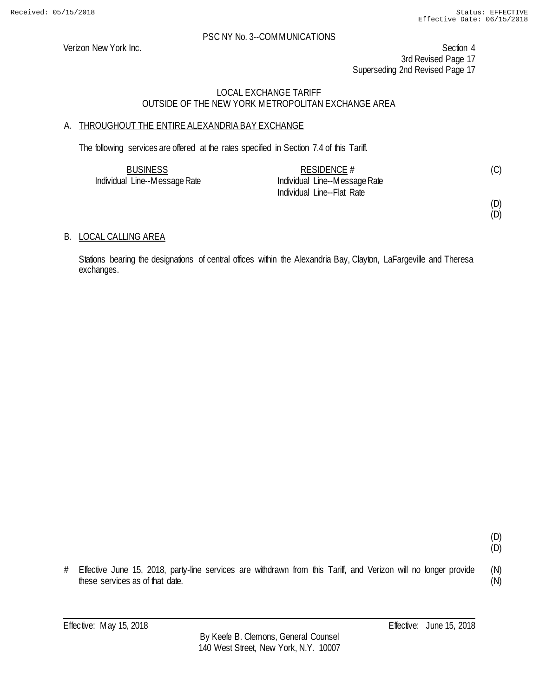Verizon New York Inc. Section 4 3rd Revised Page 17 Superseding 2nd Revised Page 17

# LOCAL EXCHANGE TARIFF OUTSIDE OF THE NEW YORK METROPOLITAN EXCHANGE AREA

# A. THROUGHOUT THE ENTIRE ALEXANDRIA BAY EXCHANGE

The following services are offered at the rates specified in Section 7.4 of this Tariff.

| <b>BUSINESS</b>               | RESIDENCE #                   |  |
|-------------------------------|-------------------------------|--|
| Individual Line--Message Rate | Individual Line--Message Rate |  |
|                               | Individual Line--Flat Rate    |  |

(D) (D)

(D) (D)

(N) (N)

# B. LOCAL CALLING AREA

Stations bearing the designations of central offices within the Alexandria Bay, Clayton, LaFargeville and Theresa exchanges.

# Effective June 15, 2018, party-line services are withdrawn from this Tariff, and Verizon will no longer provide these services as of that date.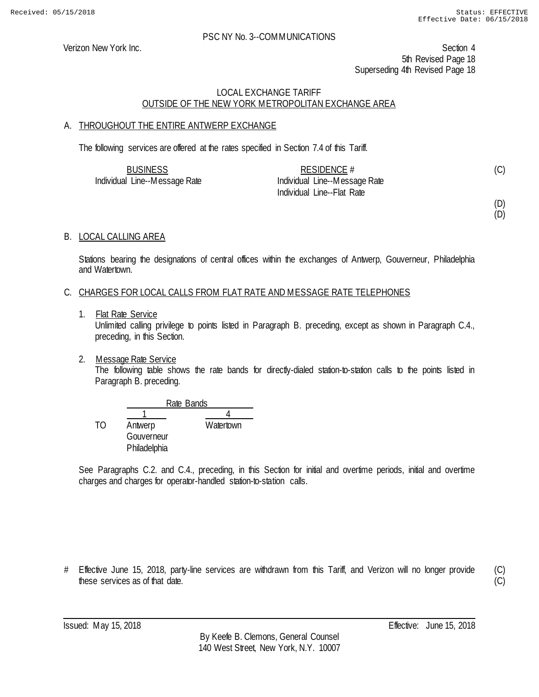Verizon New York Inc. Section 4 5th Revised Page 18 Superseding 4th Revised Page 18

# LOCAL EXCHANGE TARIFF OUTSIDE OF THE NEW YORK METROPOLITAN EXCHANGE AREA

# A. THROUGHOUT THE ENTIRE ANTWERP EXCHANGE

The following services are offered at the rates specified in Section 7.4 of this Tariff.

| <b>BUSINESS</b>               | RESIDENCE $#$                 |  |
|-------------------------------|-------------------------------|--|
| Individual Line--Message Rate | Individual Line--Message Rate |  |
|                               | Individual Line--Flat Rate    |  |

(D)

(D)

# B. LOCAL CALLING AREA

Stations bearing the designations of central offices within the exchanges of Antwerp, Gouverneur, Philadelphia and Watertown.

#### C. CHARGES FOR LOCAL CALLS FROM FLAT RATE AND MESSAGE RATE TELEPHONES

1. Flat Rate Service

Unlimited calling privilege to points listed in Paragraph B. preceding, except as shown in Paragraph C.4., preceding, in this Section.

2. Message Rate Service

The following table shows the rate bands for directly-dialed station-to-station calls to the points listed in Paragraph B. preceding.

|    | Rate Bands   |           |  |
|----|--------------|-----------|--|
|    |              |           |  |
| TΩ | Antwerp      | Watertown |  |
|    | Gouverneur   |           |  |
|    | Philadelphia |           |  |

See Paragraphs C.2. and C.4., preceding, in this Section for initial and overtime periods, initial and overtime charges and charges for operator-handled station-to-station calls.

# Effective June 15, 2018, party-line services are withdrawn from this Tariff, and Verizon will no longer provide these services as of that date.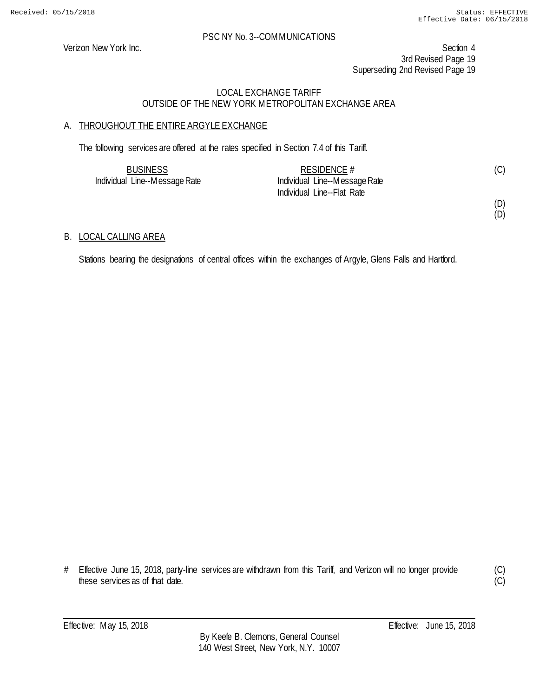Verizon New York Inc. Section 4 3rd Revised Page 19 Superseding 2nd Revised Page 19

#### LOCAL EXCHANGE TARIFF OUTSIDE OF THE NEW YORK METROPOLITAN EXCHANGE AREA

# A. THROUGHOUT THE ENTIRE ARGYLE EXCHANGE

The following services are offered at the rates specified in Section 7.4 of this Tariff.

| <b>BUSINESS</b>               | RESIDENCE $#$                 |  |
|-------------------------------|-------------------------------|--|
| Individual Line--Message Rate | Individual Line--Message Rate |  |
|                               | Individual Line--Flat Rate    |  |

(D) (D)

#### B. LOCAL CALLING AREA

Stations bearing the designations of central offices within the exchanges of Argyle, Glens Falls and Hartford.

(C)  $\overline{C}$ 

<sup>#</sup> Effective June 15, 2018, party-line services are withdrawn from this Tariff, and Verizon will no longer provide these services as of that date.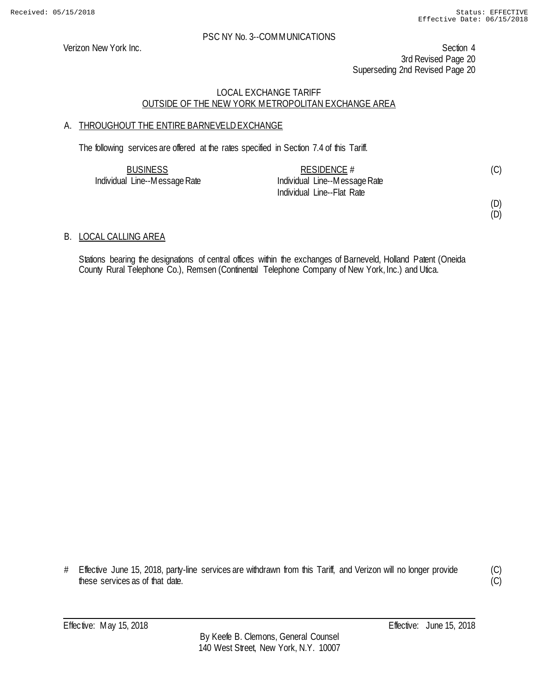Verizon New York Inc. Section 4 3rd Revised Page 20 Superseding 2nd Revised Page 20

#### LOCAL EXCHANGE TARIFF OUTSIDE OF THE NEW YORK METROPOLITAN EXCHANGE AREA

# A. THROUGHOUT THE ENTIRE BARNEVELD EXCHANGE

The following services are offered at the rates specified in Section 7.4 of this Tariff.

| <b>BUSINESS</b>               | RESIDENCE $#$                 |  |
|-------------------------------|-------------------------------|--|
| Individual Line--Message Rate | Individual Line--Message Rate |  |
|                               | Individual Line--Flat Rate    |  |

# (D)

(D)

#### B. LOCAL CALLING AREA

Stations bearing the designations of central offices within the exchanges of Barneveld, Holland Patent (Oneida County Rural Telephone Co.), Remsen (Continental Telephone Company of New York, Inc.) and Utica.

# Effective June 15, 2018, party-line services are withdrawn from this Tariff, and Verizon will no longer provide these services as of that date.

(C)  $\overline{(C)}$ 

Effective: May 15, 2018 **Effective:** June 15, 2018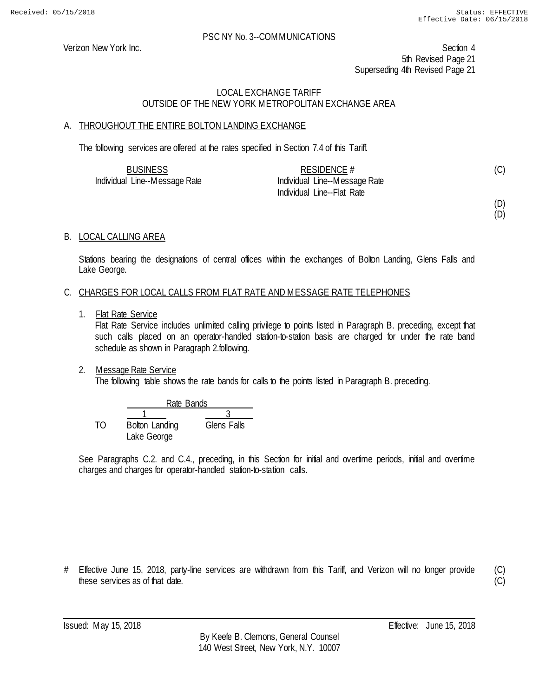Verizon New York Inc. Section 4 5th Revised Page 21 Superseding 4th Revised Page 21

#### LOCAL EXCHANGE TARIFF OUTSIDE OF THE NEW YORK METROPOLITAN EXCHANGE AREA

#### A. THROUGHOUT THE ENTIRE BOLTON LANDING EXCHANGE

The following services are offered at the rates specified in Section 7.4 of this Tariff.

| <b>BUSINESS</b>               | RESIDENCE $#$                 |  |
|-------------------------------|-------------------------------|--|
| Individual Line--Message Rate | Individual Line--Message Rate |  |
|                               | Individual Line--Flat Rate    |  |

(D)

(C)

(D)

#### B. LOCAL CALLING AREA

Stations bearing the designations of central offices within the exchanges of Bolton Landing, Glens Falls and Lake George.

#### C. CHARGES FOR LOCAL CALLS FROM FLAT RATE AND MESSAGE RATE TELEPHONES

1. Flat Rate Service

Flat Rate Service includes unlimited calling privilege to points listed in Paragraph B. preceding, except that such calls placed on an operator-handled station-to-station basis are charged for under the rate band schedule as shown in Paragraph 2.following.

2. Message Rate Service

The following table shows the rate bands for calls to the points listed in Paragraph B. preceding.

|     |                | Rate Bands  |  |  |
|-----|----------------|-------------|--|--|
|     |                |             |  |  |
| TO. | Bolton Landing | Glens Falls |  |  |
|     | Lake George    |             |  |  |

See Paragraphs C.2. and C.4., preceding, in this Section for initial and overtime periods, initial and overtime charges and charges for operator-handled station-to-station calls.

# Effective June 15, 2018, party-line services are withdrawn from this Tariff, and Verizon will no longer provide these services as of that date.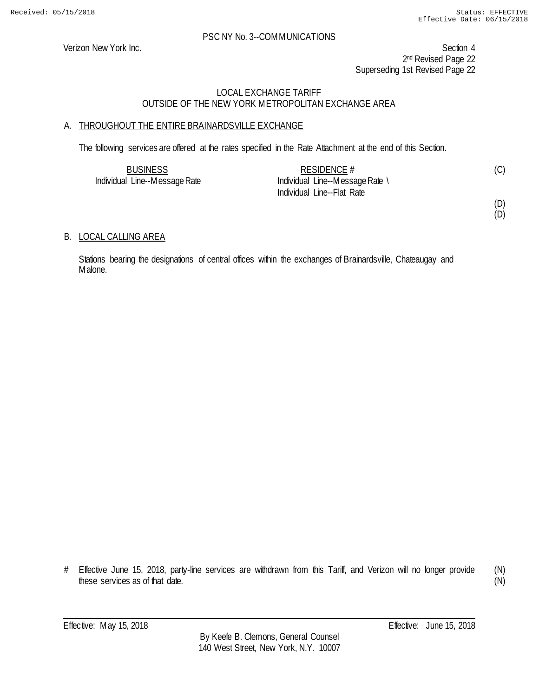Verizon New York Inc. Section 4 2<sup>nd</sup> Revised Page 22 Superseding 1st Revised Page 22

# LOCAL EXCHANGE TARIFF OUTSIDE OF THE NEW YORK METROPOLITAN EXCHANGE AREA

# A. THROUGHOUT THE ENTIRE BRAINARDSVILLE EXCHANGE

The following services are offered at the rates specified in the Rate Attachment at the end of this Section.

| <b>BUSINESS</b>               | RESIDENCE $#$                   | (C) |
|-------------------------------|---------------------------------|-----|
| Individual Line--Message Rate | Individual Line--Message Rate \ |     |
|                               | Individual Line--Flat Rate      |     |

(D) (D)

#### B. LOCAL CALLING AREA

Stations bearing the designations of central offices within the exchanges of Brainardsville, Chateaugay and Malone.

# Effective June 15, 2018, party-line services are withdrawn from this Tariff, and Verizon will no longer provide these services as of that date.

(N) (N)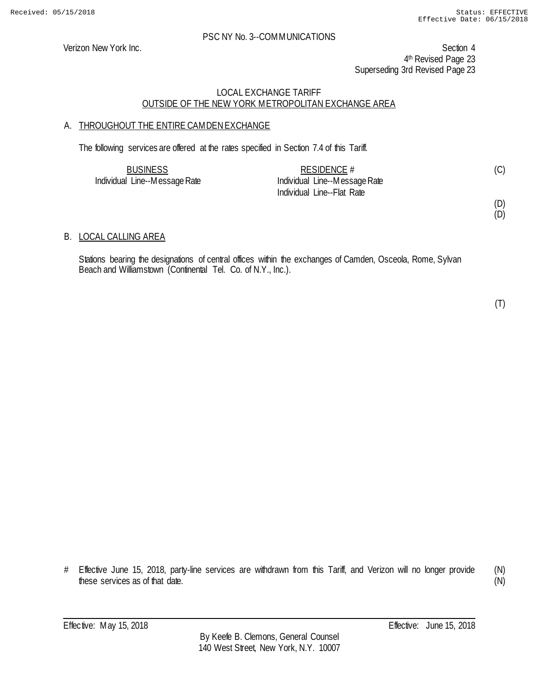Verizon New York Inc. Section 4 4<sup>th</sup> Revised Page 23 Superseding 3rd Revised Page 23

# LOCAL EXCHANGE TARIFF OUTSIDE OF THE NEW YORK METROPOLITAN EXCHANGE AREA

# A. THROUGHOUT THE ENTIRE CAMDENEXCHANGE

The following services are offered at the rates specified in Section 7.4 of this Tariff.

| <b>BUSINESS</b>               | RESIDENCE $#$                 | (C) |
|-------------------------------|-------------------------------|-----|
| Individual Line--Message Rate | Individual Line--Message Rate |     |
|                               | Individual Line--Flat Rate    |     |

# (D)

(D)

#### B. LOCAL CALLING AREA

Stations bearing the designations of central offices within the exchanges of Camden, Osceola, Rome, Sylvan Beach and Williamstown (Continental Tel. Co. of N.Y., Inc.).

(T)

# Effective June 15, 2018, party-line services are withdrawn from this Tariff, and Verizon will no longer provide these services as of that date. (N)

(N)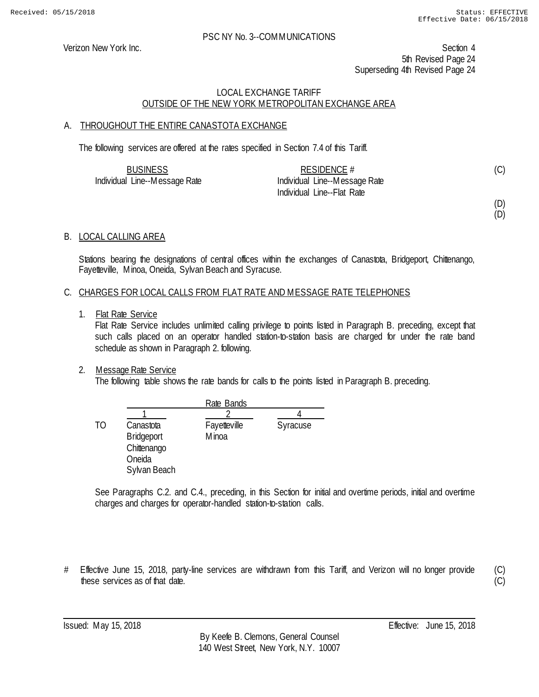Verizon New York Inc. Section 4 5th Revised Page 24 Superseding 4th Revised Page 24

# LOCAL EXCHANGE TARIFF OUTSIDE OF THE NEW YORK METROPOLITAN EXCHANGE AREA

#### A. THROUGHOUT THE ENTIRE CANASTOTA EXCHANGE

The following services are offered at the rates specified in Section 7.4 of this Tariff.

| <b>BUSINESS</b>               | RESIDENCE #                   | (C) |
|-------------------------------|-------------------------------|-----|
| Individual Line--Message Rate | Individual Line--Message Rate |     |
|                               | Individual Line--Flat Rate    |     |

(D) (D)

#### B. LOCAL CALLING AREA

Stations bearing the designations of central offices within the exchanges of Canastota, Bridgeport, Chittenango, Fayetteville, Minoa, Oneida, Sylvan Beach and Syracuse.

#### C. CHARGES FOR LOCAL CALLS FROM FLAT RATE AND MESSAGE RATE TELEPHONES

1. Flat Rate Service

Flat Rate Service includes unlimited calling privilege to points listed in Paragraph B. preceding, except that such calls placed on an operator handled station-to-station basis are charged for under the rate band schedule as shown in Paragraph 2. following.

#### 2. Message Rate Service

The following table shows the rate bands for calls to the points listed in Paragraph B. preceding.

|    |                                                                         | Rate Bands             |          |
|----|-------------------------------------------------------------------------|------------------------|----------|
|    |                                                                         |                        |          |
| TΟ | Canastota<br><b>Bridgeport</b><br>Chittenango<br>Oneida<br>Sylvan Beach | Fayetteville<br>M inoa | Syracuse |

See Paragraphs C.2. and C.4., preceding, in this Section for initial and overtime periods, initial and overtime charges and charges for operator-handled station-to-station calls.

# Effective June 15, 2018, party-line services are withdrawn from this Tariff, and Verizon will no longer provide these services as of that date.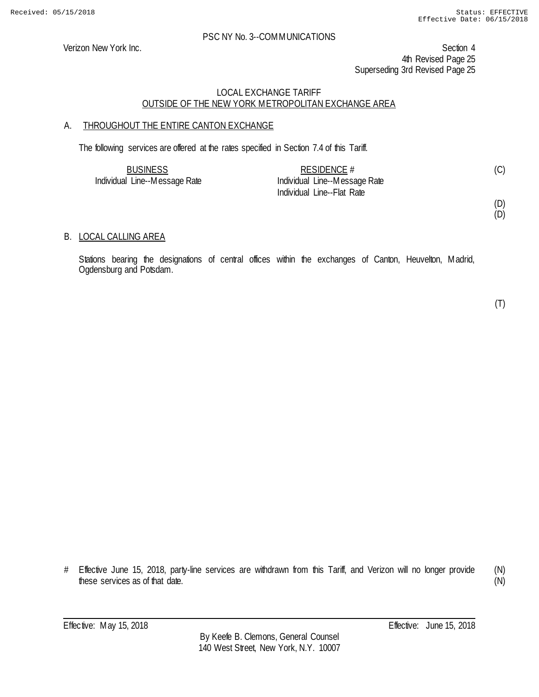Verizon New York Inc. Section 4 4th Revised Page 25 Superseding 3rd Revised Page 25

#### LOCAL EXCHANGE TARIFF OUTSIDE OF THE NEW YORK METROPOLITAN EXCHANGE AREA

# A. THROUGHOUT THE ENTIRE CANTON EXCHANGE

The following services are offered at the rates specified in Section 7.4 of this Tariff.

| <b>BUSINESS</b>               | RESIDENCE $#$                 |  |
|-------------------------------|-------------------------------|--|
| Individual Line--Message Rate | Individual Line--Message Rate |  |
|                               | Individual Line--Flat Rate    |  |

(D)

#### (D)

#### B. LOCAL CALLING AREA

Stations bearing the designations of central offices within the exchanges of Canton, Heuvelton, Madrid, Ogdensburg and Potsdam.

(T)

# Effective June 15, 2018, party-line services are withdrawn from this Tariff, and Verizon will no longer provide these services as of that date. (N)

(N)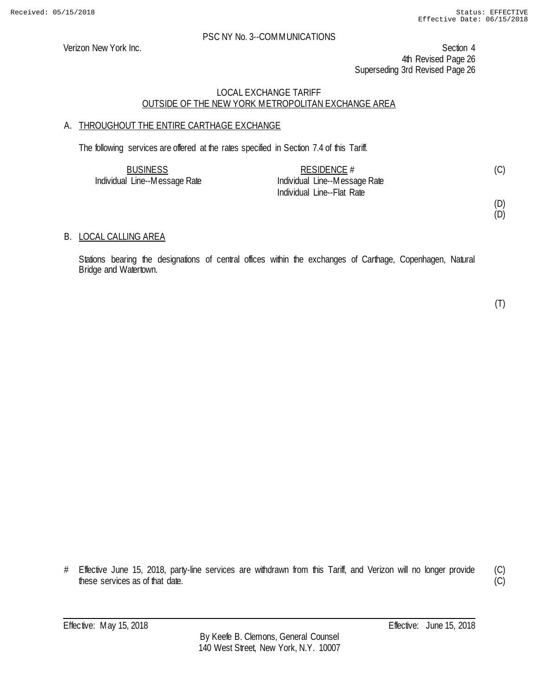Verizon New York Inc. Section 4 4th Revised Page 26 Superseding 3rd Revised Page 26

#### LOCAL EXCHANGE TARIFF OUTSIDE OF THE NEW YORK METROPOLITAN EXCHANGE AREA

# A. THROUGHOUT THE ENTIRE CARTHAGE EXCHANGE

The following services are offered at the rates specified in Section 7.4 of this Tariff.

| <b>BUSINESS</b>               | RESIDENCE #                   |  |
|-------------------------------|-------------------------------|--|
| Individual Line--Message Rate | Individual Line--Message Rate |  |
|                               | Individual Line--Flat Rate    |  |

# (D)

(D)

#### B. LOCAL CALLING AREA

Stations bearing the designations of central offices within the exchanges of Carthage, Copenhagen, Natural Bridge and Watertown.

(T)

# Effective June 15, 2018, party-line services are withdrawn from this Tariff, and Verizon will no longer provide these services as of that date.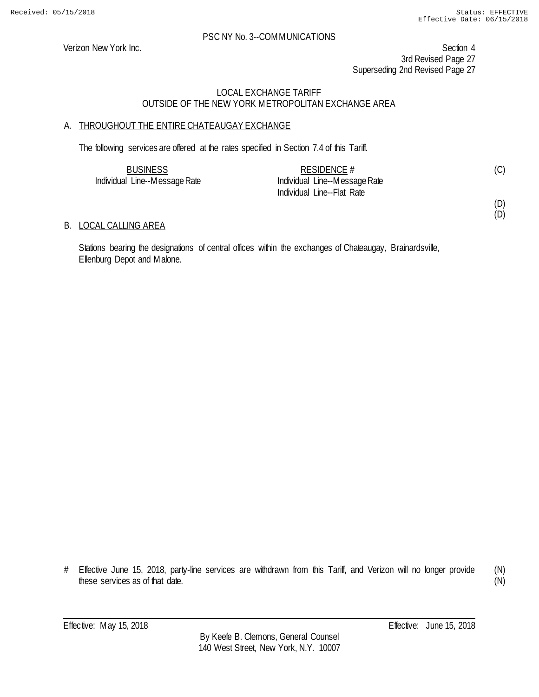(D) (D)

#### PSC NY No. 3--COMMUNICATIONS

Verizon New York Inc. Section 4 3rd Revised Page 27 Superseding 2nd Revised Page 27

# LOCAL EXCHANGE TARIFF OUTSIDE OF THE NEW YORK METROPOLITAN EXCHANGE AREA

# A. THROUGHOUT THE ENTIRE CHATEAUGAY EXCHANGE

The following services are offered at the rates specified in Section 7.4 of this Tariff.

| <b>BUSINESS</b>               | RESIDENCE $#$                 |  |
|-------------------------------|-------------------------------|--|
| Individual Line--Message Rate | Individual Line--Message Rate |  |
|                               | Individual Line--Flat Rate    |  |

#### B. LOCAL CALLING AREA

Stations bearing the designations of central offices within the exchanges of Chateaugay, Brainardsville, Ellenburg Depot and Malone.

<sup>#</sup> Effective June 15, 2018, party-line services are withdrawn from this Tariff, and Verizon will no longer provide these services as of that date.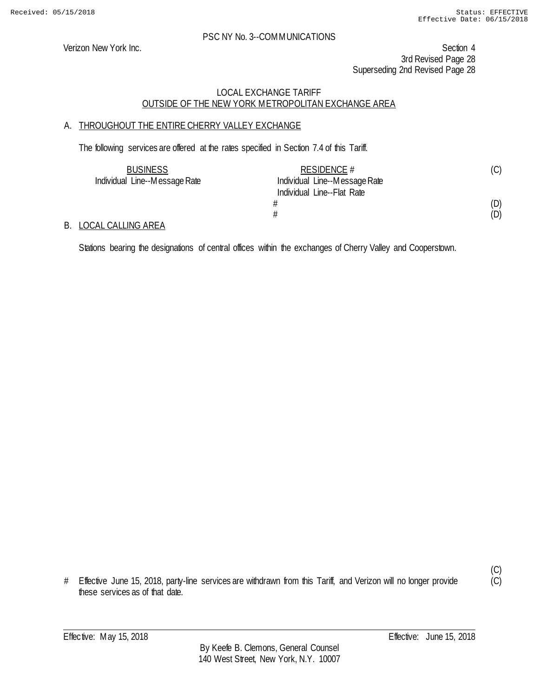Verizon New York Inc. Section 4 3rd Revised Page 28 Superseding 2nd Revised Page 28

# LOCAL EXCHANGE TARIFF OUTSIDE OF THE NEW YORK METROPOLITAN EXCHANGE AREA

# A. THROUGHOUT THE ENTIRE CHERRY VALLEY EXCHANGE

The following services are offered at the rates specified in Section 7.4 of this Tariff.

| <b>BUSINESS</b>               | RESIDENCE #                   | (C) |
|-------------------------------|-------------------------------|-----|
| Individual Line--Message Rate | Individual Line--Message Rate |     |
|                               | Individual Line--Flat Rate    |     |
|                               |                               | (D) |
|                               |                               | (D) |

#### B. LOCAL CALLING AREA

Stations bearing the designations of central offices within the exchanges of Cherry Valley and Cooperstown.

# Effective June 15, 2018, party-line services are withdrawn from this Tariff, and Verizon will no longer provide these services as of that date.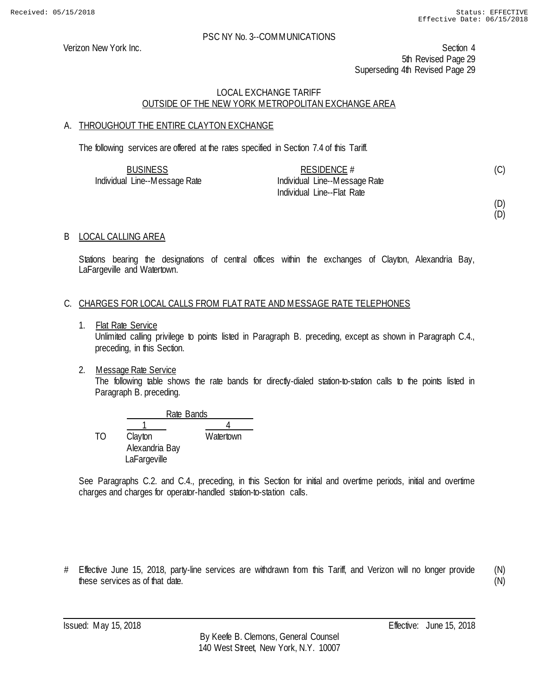Verizon New York Inc. Section 4 5th Revised Page 29 Superseding 4th Revised Page 29

#### LOCAL EXCHANGE TARIFF OUTSIDE OF THE NEW YORK METROPOLITAN EXCHANGE AREA

# A. THROUGHOUT THE ENTIRE CLAYTON EXCHANGE

The following services are offered at the rates specified in Section 7.4 of this Tariff.

| <b>BUSINESS</b>               | RESIDENCE $#$                 |  |
|-------------------------------|-------------------------------|--|
| Individual Line--Message Rate | Individual Line--Message Rate |  |
|                               | Individual Line--Flat Rate    |  |

(D) (D)

# B LOCAL CALLING AREA

Stations bearing the designations of central offices within the exchanges of Clayton, Alexandria Bay, LaFargeville and Watertown.

#### C. CHARGES FOR LOCAL CALLS FROM FLAT RATE AND MESSAGE RATE TELEPHONES

1. Flat Rate Service

Unlimited calling privilege to points listed in Paragraph B. preceding, except as shown in Paragraph C.4., preceding, in this Section.

2. Message Rate Service The following table shows the rate bands for directly-dialed station-to-station calls to the points listed in Paragraph B. preceding.

|    |                | Rate Bands |  |
|----|----------------|------------|--|
|    |                |            |  |
| TΟ | Clayton        | Watertown  |  |
|    | Alexandria Bay |            |  |
|    | LaFargeville   |            |  |

See Paragraphs C.2. and C.4., preceding, in this Section for initial and overtime periods, initial and overtime charges and charges for operator-handled station-to-station calls.

# Effective June 15, 2018, party-line services are withdrawn from this Tariff, and Verizon will no longer provide these services as of that date.

(N) (N)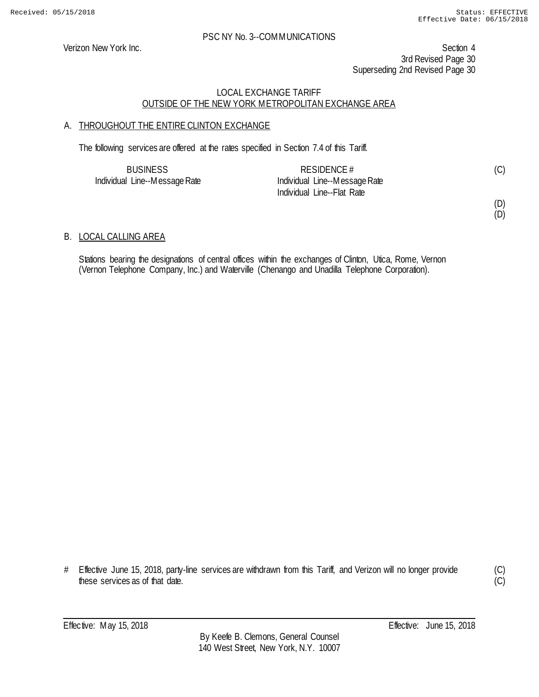Verizon New York Inc. Section 4 3rd Revised Page 30 Superseding 2nd Revised Page 30

# LOCAL EXCHANGE TARIFF OUTSIDE OF THE NEW YORK METROPOLITAN EXCHANGE AREA

# A. THROUGHOUT THE ENTIRE CLINTON EXCHANGE

The following services are offered at the rates specified in Section 7.4 of this Tariff.

| <b>BUSINESS</b>               | RESIDENCE $#$                 |  |
|-------------------------------|-------------------------------|--|
| Individual Line--Message Rate | Individual Line--Message Rate |  |
|                               | Individual Line--Flat Rate    |  |

# (D)

(D)

#### B. LOCAL CALLING AREA

Stations bearing the designations of central offices within the exchanges of Clinton, Utica, Rome, Vernon (Vernon Telephone Company, Inc.) and Waterville (Chenango and Unadilla Telephone Corporation).

# Effective June 15, 2018, party-line services are withdrawn from this Tariff, and Verizon will no longer provide these services as of that date.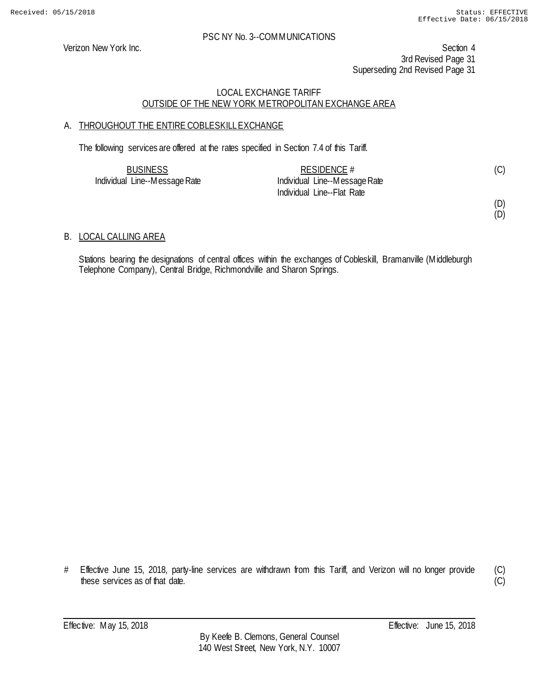Verizon New York Inc. Section 4 3rd Revised Page 31 Superseding 2nd Revised Page 31

# LOCAL EXCHANGE TARIFF OUTSIDE OF THE NEW YORK METROPOLITAN EXCHANGE AREA

# A. THROUGHOUT THE ENTIRE COBLESKILL EXCHANGE

The following services are offered at the rates specified in Section 7.4 of this Tariff.

| <b>BUSINESS</b>               | RESIDENCE $#$                 |  |
|-------------------------------|-------------------------------|--|
| Individual Line--Message Rate | Individual Line--Message Rate |  |
|                               | Individual Line--Flat Rate    |  |

(D) (D)

#### B. LOCAL CALLING AREA

Stations bearing the designations of central offices within the exchanges of Cobleskill, Bramanville (Middleburgh Telephone Company), Central Bridge, Richmondville and Sharon Springs.

# Effective June 15, 2018, party-line services are withdrawn from this Tariff, and Verizon will no longer provide these services as of that date.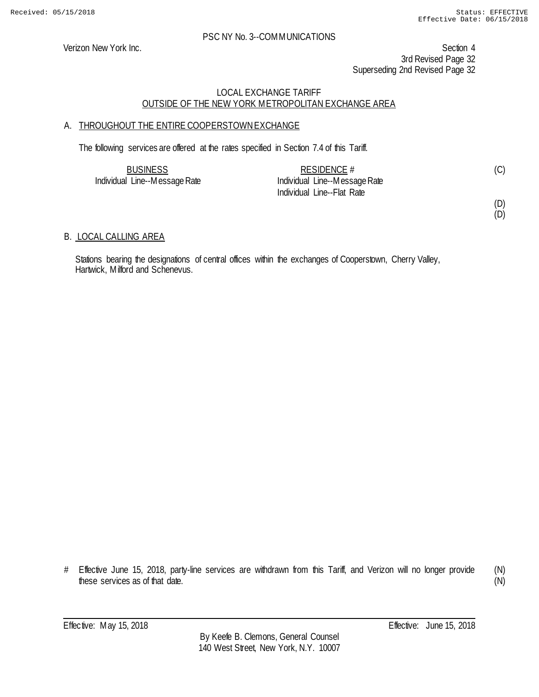Verizon New York Inc. Section 4 3rd Revised Page 32 Superseding 2nd Revised Page 32

#### LOCAL EXCHANGE TARIFF OUTSIDE OF THE NEW YORK METROPOLITAN EXCHANGE AREA

# A. THROUGHOUT THE ENTIRE COOPERSTOWNEXCHANGE

The following services are offered at the rates specified in Section 7.4 of this Tariff.

| <b>BUSINESS</b>               | RESIDENCE $#$                 | (C) |
|-------------------------------|-------------------------------|-----|
| Individual Line--Message Rate | Individual Line--Message Rate |     |
|                               | Individual Line--Flat Rate    |     |

#### (D) (D)

B. LOCAL CALLING AREA

Stations bearing the designations of central offices within the exchanges of Cooperstown, Cherry Valley, Hartwick, Milford and Schenevus.

# Effective June 15, 2018, party-line services are withdrawn from this Tariff, and Verizon will no longer provide these services as of that date.

(N) (N)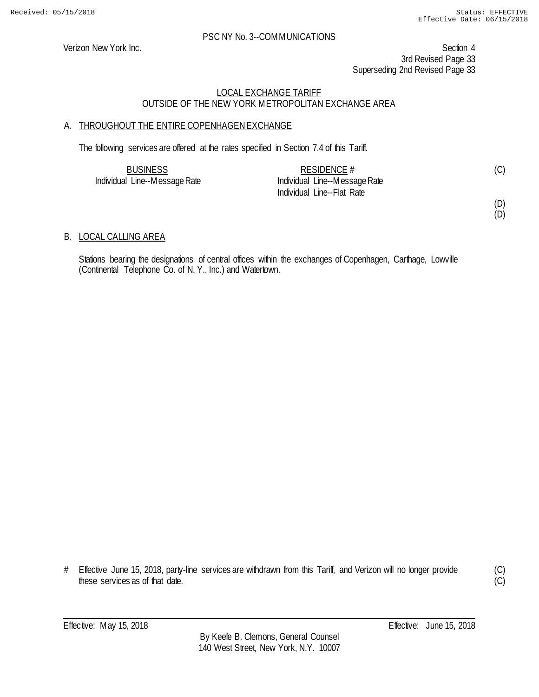Verizon New York Inc. Section 4 3rd Revised Page 33 Superseding 2nd Revised Page 33

# LOCAL EXCHANGE TARIFF OUTSIDE OF THE NEW YORK METROPOLITAN EXCHANGE AREA

# A. THROUGHOUT THE ENTIRE COPENHAGEN EXCHANGE

The following services are offered at the rates specified in Section 7.4 of this Tariff.

| <b>BUSINESS</b>               | RESIDENCE $#$                 |  |
|-------------------------------|-------------------------------|--|
| Individual Line--Message Rate | Individual Line--Message Rate |  |
|                               | Individual Line--Flat Rate    |  |

(D) (D)

#### B. LOCAL CALLING AREA

Stations bearing the designations of central offices within the exchanges of Copenhagen, Carthage, Lowville (Continental Telephone Co. of N. Y., Inc.) and Watertown.

# Effective June 15, 2018, party-line services are withdrawn from this Tariff, and Verizon will no longer provide these services as of that date.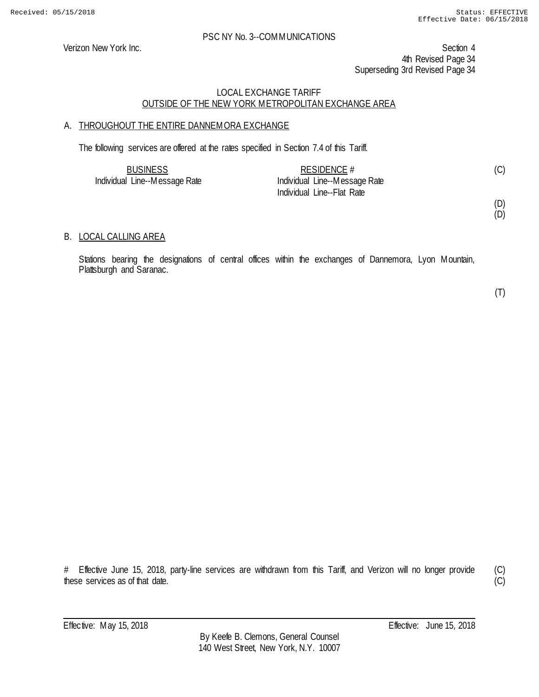Verizon New York Inc. Section 4 4th Revised Page 34 Superseding 3rd Revised Page 34

# LOCAL EXCHANGE TARIFF OUTSIDE OF THE NEW YORK METROPOLITAN EXCHANGE AREA

# A. THROUGHOUT THE ENTIRE DANNEMORA EXCHANGE

The following services are offered at the rates specified in Section 7.4 of this Tariff.

| <b>BUSINESS</b>               | RESIDENCE $#$                 | (C) |
|-------------------------------|-------------------------------|-----|
| Individual Line--Message Rate | Individual Line--Message Rate |     |
|                               | Individual Line--Flat Rate    |     |

(D) (D)

# B. LOCAL CALLING AREA

Stations bearing the designations of central offices within the exchanges of Dannemora, Lyon Mountain, Plattsburgh and Saranac.

(T)

# Effective June 15, 2018, party-line services are withdrawn from this Tariff, and Verizon will no longer provide these services as of that date.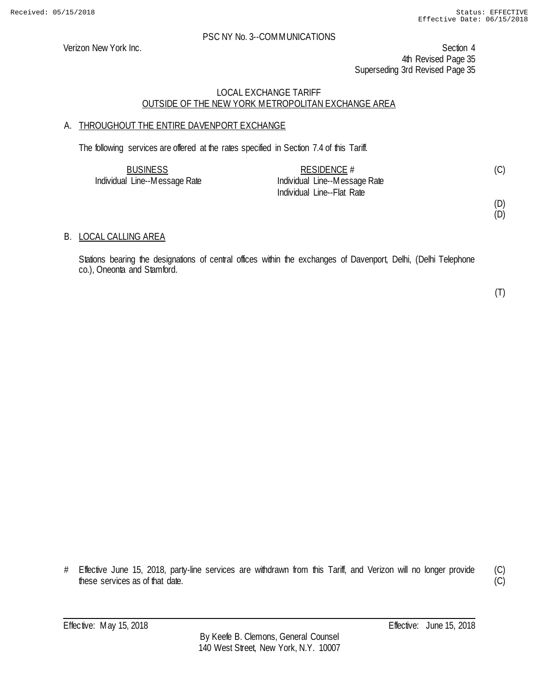Verizon New York Inc. Section 4 4th Revised Page 35 Superseding 3rd Revised Page 35

#### LOCAL EXCHANGE TARIFF OUTSIDE OF THE NEW YORK METROPOLITAN EXCHANGE AREA

# A. THROUGHOUT THE ENTIRE DAVENPORT EXCHANGE

The following services are offered at the rates specified in Section 7.4 of this Tariff.

| <b>BUSINESS</b>               | RESIDENCE #                   |  |
|-------------------------------|-------------------------------|--|
| Individual Line--Message Rate | Individual Line--Message Rate |  |
|                               | Individual Line--Flat Rate    |  |

(D)

# (D)

#### B. LOCAL CALLING AREA

Stations bearing the designations of central offices within the exchanges of Davenport, Delhi, (Delhi Telephone co.), Oneonta and Stamford.

(T)

# Effective June 15, 2018, party-line services are withdrawn from this Tariff, and Verizon will no longer provide these services as of that date.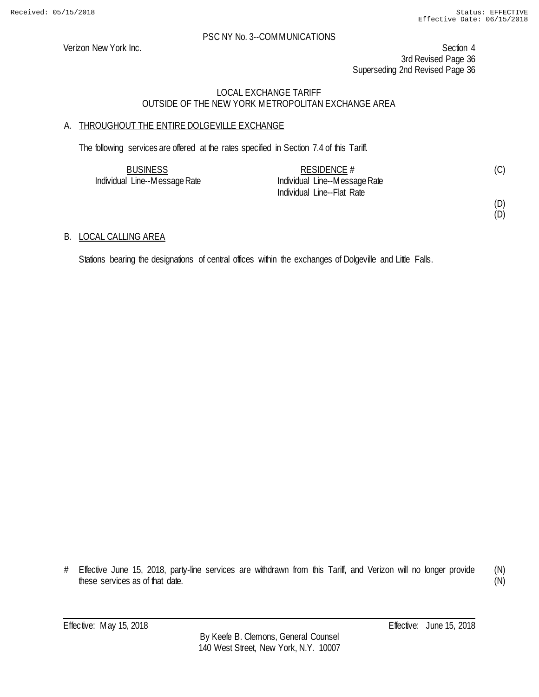Verizon New York Inc. Section 4 3rd Revised Page 36 Superseding 2nd Revised Page 36

# LOCAL EXCHANGE TARIFF OUTSIDE OF THE NEW YORK METROPOLITAN EXCHANGE AREA

# A. THROUGHOUT THE ENTIRE DOLGEVILLE EXCHANGE

The following services are offered at the rates specified in Section 7.4 of this Tariff.

| <b>BUSINESS</b>               | RESIDENCE $#$                 | (C) |
|-------------------------------|-------------------------------|-----|
| Individual Line--Message Rate | Individual Line--Message Rate |     |
|                               | Individual Line--Flat Rate    |     |

(D) (D)

#### B. LOCAL CALLING AREA

Stations bearing the designations of central offices within the exchanges of Dolgeville and Little Falls.

(N) (N)

<sup>#</sup> Effective June 15, 2018, party-line services are withdrawn from this Tariff, and Verizon will no longer provide these services as of that date.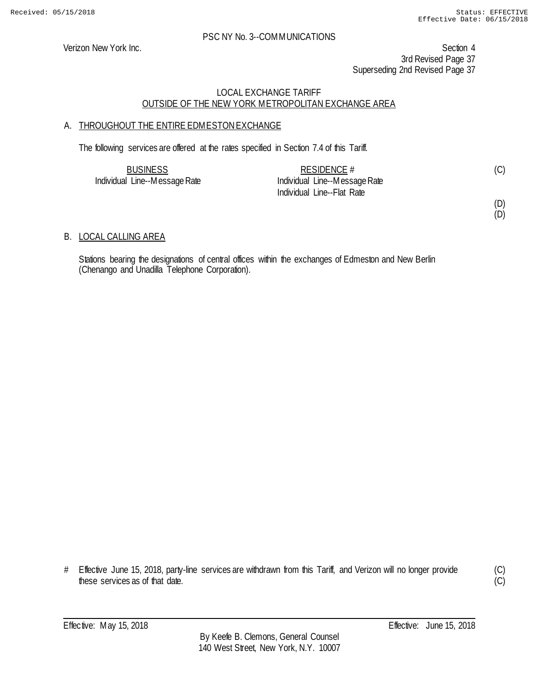Verizon New York Inc. Section 4 3rd Revised Page 37 Superseding 2nd Revised Page 37

### LOCAL EXCHANGE TARIFF OUTSIDE OF THE NEW YORK METROPOLITAN EXCHANGE AREA

## A. THROUGHOUT THE ENTIRE EDMESTON EXCHANGE

The following services are offered at the rates specified in Section 7.4 of this Tariff.

| <b>BUSINESS</b>               | RESIDENCE $#$                 |  |
|-------------------------------|-------------------------------|--|
| Individual Line--Message Rate | Individual Line--Message Rate |  |
|                               | Individual Line--Flat Rate    |  |

#### (D) (D)

B. LOCAL CALLING AREA

Stations bearing the designations of central offices within the exchanges of Edmeston and New Berlin (Chenango and Unadilla Telephone Corporation).

# Effective June 15, 2018, party-line services are withdrawn from this Tariff, and Verizon will no longer provide these services as of that date.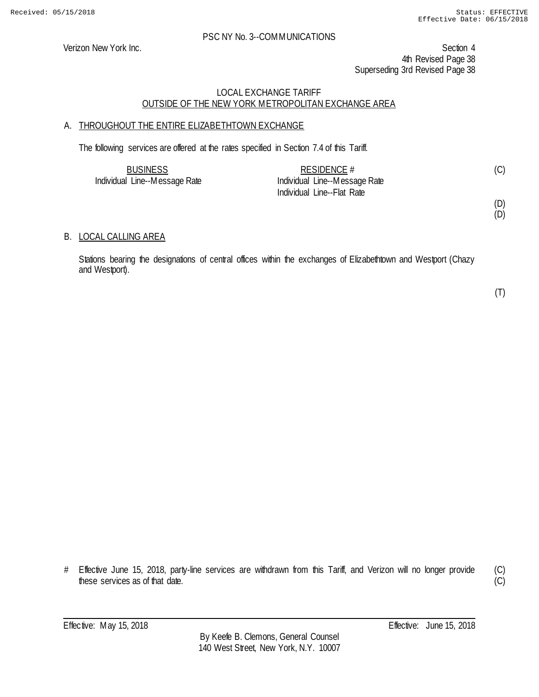Verizon New York Inc. Section 4 4th Revised Page 38 Superseding 3rd Revised Page 38

### LOCAL EXCHANGE TARIFF OUTSIDE OF THE NEW YORK METROPOLITAN EXCHANGE AREA

## A. THROUGHOUT THE ENTIRE ELIZABETHTOWN EXCHANGE

The following services are offered at the rates specified in Section 7.4 of this Tariff.

| <b>BUSINESS</b>               | RESIDENCE $#$                 |  |
|-------------------------------|-------------------------------|--|
| Individual Line--Message Rate | Individual Line--Message Rate |  |
|                               | Individual Line--Flat Rate    |  |

(D)

## (D)

### B. LOCAL CALLING AREA

Stations bearing the designations of central offices within the exchanges of Elizabethtown and Westport (Chazy and Westport).

(T)

# Effective June 15, 2018, party-line services are withdrawn from this Tariff, and Verizon will no longer provide these services as of that date.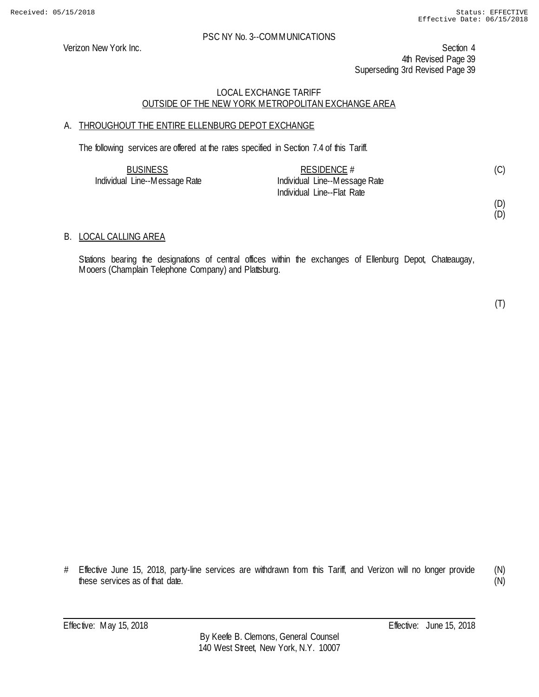Verizon New York Inc. Section 4 4th Revised Page 39 Superseding 3rd Revised Page 39

### LOCAL EXCHANGE TARIFF OUTSIDE OF THE NEW YORK METROPOLITAN EXCHANGE AREA

## A. THROUGHOUT THE ENTIRE ELLENBURG DEPOT EXCHANGE

The following services are offered at the rates specified in Section 7.4 of this Tariff.

| <b>BUSINESS</b>               | RESIDENCE $#$                 | (C) |
|-------------------------------|-------------------------------|-----|
| Individual Line--Message Rate | Individual Line--Message Rate |     |
|                               | Individual Line--Flat Rate    |     |

### (D)

(D)

### B. LOCAL CALLING AREA

Stations bearing the designations of central offices within the exchanges of Ellenburg Depot, Chateaugay, Mooers (Champlain Telephone Company) and Plattsburg.

(T)

# Effective June 15, 2018, party-line services are withdrawn from this Tariff, and Verizon will no longer provide these services as of that date. (N)

(N)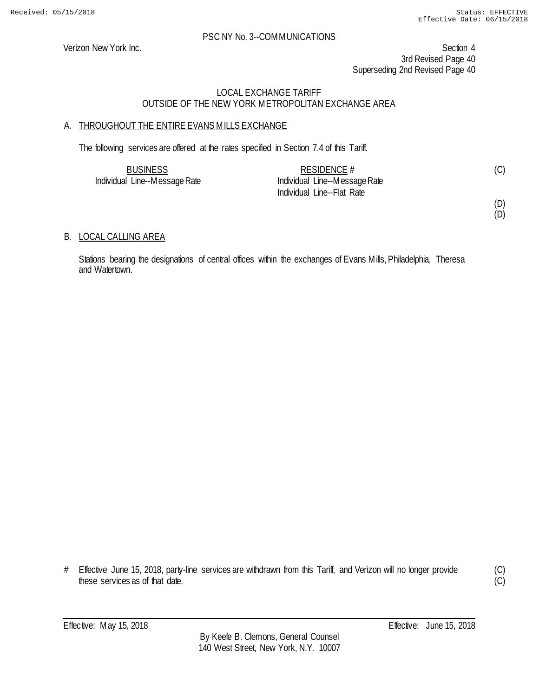Verizon New York Inc. Section 4 3rd Revised Page 40 Superseding 2nd Revised Page 40

## LOCAL EXCHANGE TARIFF OUTSIDE OF THE NEW YORK METROPOLITAN EXCHANGE AREA

## A. THROUGHOUT THE ENTIRE EVANS MILLS EXCHANGE

The following services are offered at the rates specified in Section 7.4 of this Tariff.

| <b>BUSINESS</b>               | RESIDENCE $#$                 |  |
|-------------------------------|-------------------------------|--|
| Individual Line--Message Rate | Individual Line--Message Rate |  |
|                               | Individual Line--Flat Rate    |  |

(D) (D)

## B. LOCAL CALLING AREA

Stations bearing the designations of central offices within the exchanges of Evans Mills, Philadelphia, Theresa and Watertown.

<sup>#</sup> Effective June 15, 2018, party-line services are withdrawn from this Tariff, and Verizon will no longer provide these services as of that date.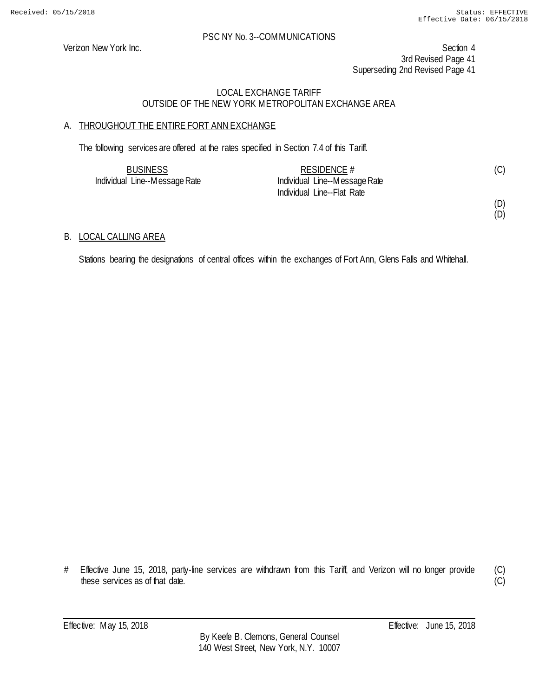Verizon New York Inc. Section 4 3rd Revised Page 41 Superseding 2nd Revised Page 41

## LOCAL EXCHANGE TARIFF OUTSIDE OF THE NEW YORK METROPOLITAN EXCHANGE AREA

## A. THROUGHOUT THE ENTIRE FORT ANN EXCHANGE

The following services are offered at the rates specified in Section 7.4 of this Tariff.

| <b>BUSINESS</b>               | RESIDENCE $#$                 |  |
|-------------------------------|-------------------------------|--|
| Individual Line--Message Rate | Individual Line--Message Rate |  |
|                               | Individual Line--Flat Rate    |  |

(D) (D)

## B. LOCAL CALLING AREA

Stations bearing the designations of central offices within the exchanges of Fort Ann, Glens Falls and Whitehall.

<sup>#</sup> Effective June 15, 2018, party-line services are withdrawn from this Tariff, and Verizon will no longer provide these services as of that date.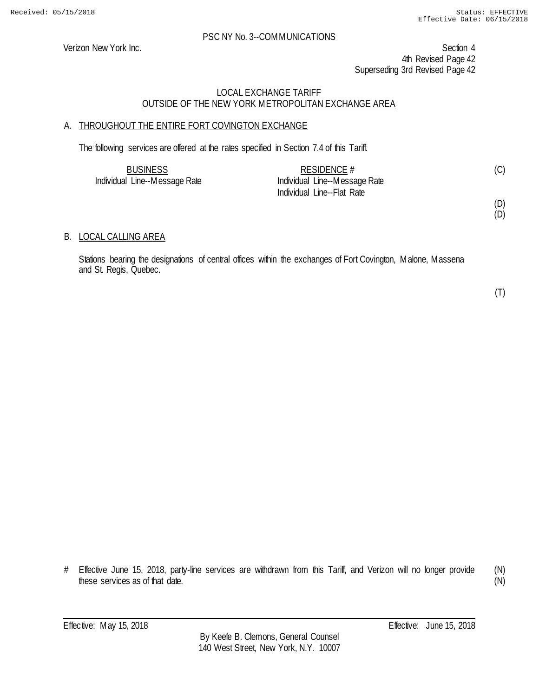Verizon New York Inc. Section 4 4th Revised Page 42 Superseding 3rd Revised Page 42

### LOCAL EXCHANGE TARIFF OUTSIDE OF THE NEW YORK METROPOLITAN EXCHANGE AREA

## A. THROUGHOUT THE ENTIRE FORT COVINGTON EXCHANGE

The following services are offered at the rates specified in Section 7.4 of this Tariff.

| <b>BUSINESS</b>               | RESIDENCE $#$                 | (C) |
|-------------------------------|-------------------------------|-----|
| Individual Line--Message Rate | Individual Line--Message Rate |     |
|                               | Individual Line--Flat Rate    |     |

(D) (D)

### B. LOCAL CALLING AREA

Stations bearing the designations of central offices within the exchanges of Fort Covington, Malone, Massena and St. Regis, Quebec.

(T)

# Effective June 15, 2018, party-line services are withdrawn from this Tariff, and Verizon will no longer provide these services as of that date. (N)

(N)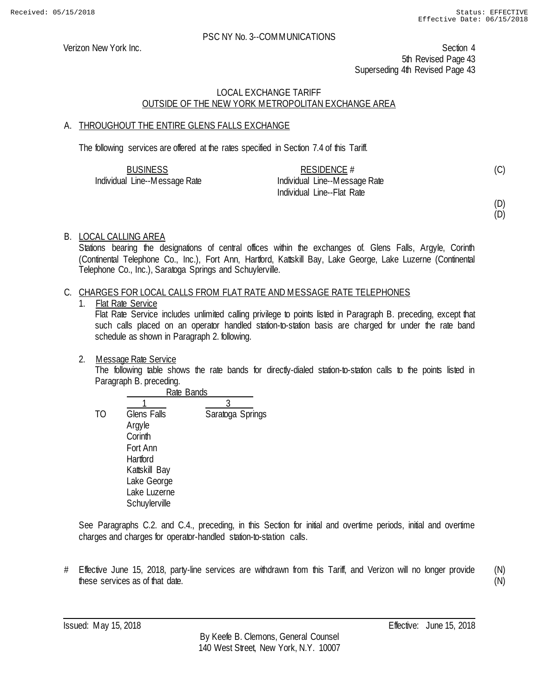Verizon New York Inc. Section 4 5th Revised Page 43 Superseding 4th Revised Page 43

### LOCAL EXCHANGE TARIFF OUTSIDE OF THE NEW YORK METROPOLITAN EXCHANGE AREA

## A. THROUGHOUT THE ENTIRE GLENS FALLS EXCHANGE

The following services are offered at the rates specified in Section 7.4 of this Tariff.

| <b>BUSINESS</b>               | RESIDENCE #                   |  |
|-------------------------------|-------------------------------|--|
| Individual Line--Message Rate | Individual Line--Message Rate |  |
|                               | Individual Line--Flat Rate    |  |

(D)

(C)

## (D)

### B. LOCAL CALLING AREA

Stations bearing the designations of central offices within the exchanges of. Glens Falls, Argyle, Corinth (Continental Telephone Co., Inc.), Fort Ann, Hartford, Kattskill Bay, Lake George, Lake Luzerne (Continental Telephone Co., Inc.), Saratoga Springs and Schuylerville.

### C. CHARGES FOR LOCAL CALLS FROM FLAT RATE AND MESSAGE RATE TELEPHONES

1. Flat Rate Service

Flat Rate Service includes unlimited calling privilege to points listed in Paragraph B. preceding, except that such calls placed on an operator handled station-to-station basis are charged for under the rate band schedule as shown in Paragraph 2. following.

2. Message Rate Service

The following table shows the rate bands for directly-dialed station-to-station calls to the points listed in Paragraph B. preceding.

|                | Rate Bands         |                  |  |
|----------------|--------------------|------------------|--|
|                |                    |                  |  |
| T <sub>O</sub> | <b>Glens Falls</b> | Saratoga Springs |  |
|                | Argyle             |                  |  |
|                | Corinth            |                  |  |
|                | Fort Ann           |                  |  |
|                | Hartford           |                  |  |
|                | Kattskill Bay      |                  |  |
|                | Lake George        |                  |  |
|                | Lake Luzerne       |                  |  |
|                | Schuylerville      |                  |  |

See Paragraphs C.2. and C.4., preceding, in this Section for initial and overtime periods, initial and overtime charges and charges for operator-handled station-to-station calls.

# Effective June 15, 2018, party-line services are withdrawn from this Tariff, and Verizon will no longer provide these services as of that date.

(N) (N)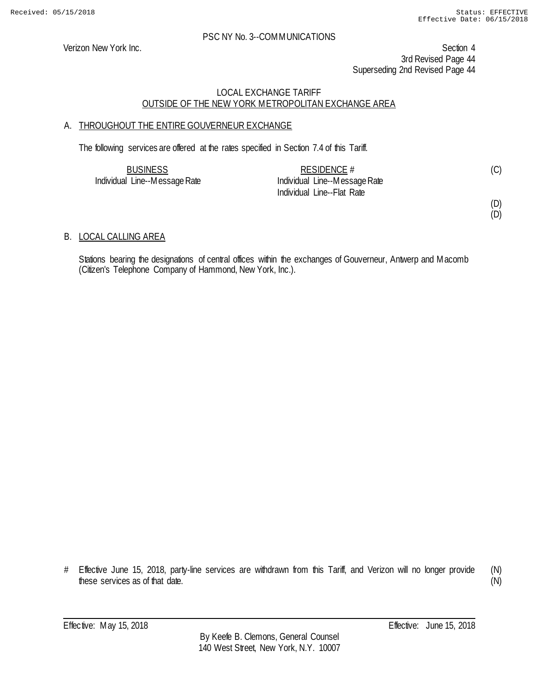Verizon New York Inc. Section 4 3rd Revised Page 44 Superseding 2nd Revised Page 44

## LOCAL EXCHANGE TARIFF OUTSIDE OF THE NEW YORK METROPOLITAN EXCHANGE AREA

## A. THROUGHOUT THE ENTIRE GOUVERNEUR EXCHANGE

The following services are offered at the rates specified in Section 7.4 of this Tariff.

| <b>BUSINESS</b>               | RESIDENCE #                   | (C) |
|-------------------------------|-------------------------------|-----|
| Individual Line--Message Rate | Individual Line--Message Rate |     |
|                               | Individual Line--Flat Rate    |     |

## (D)

(D)

## B. LOCAL CALLING AREA

Stations bearing the designations of central offices within the exchanges of Gouverneur, Antwerp and Macomb (Citizen's Telephone Company of Hammond, New York, Inc.).

<sup>#</sup> Effective June 15, 2018, party-line services are withdrawn from this Tariff, and Verizon will no longer provide these services as of that date.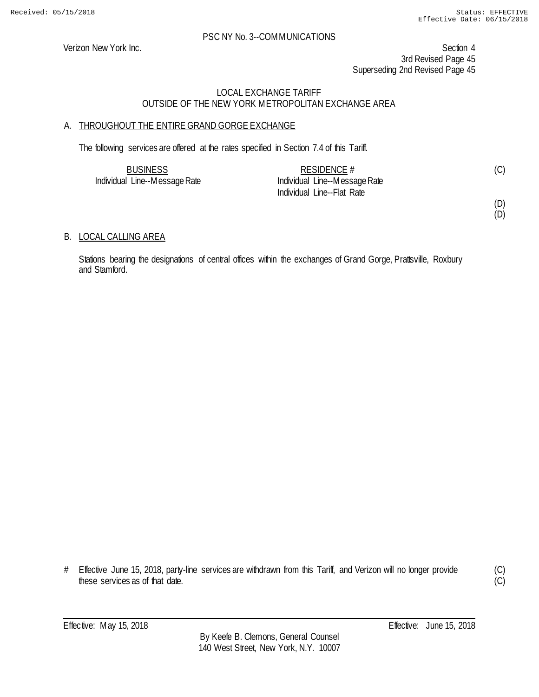Verizon New York Inc. Section 4 3rd Revised Page 45 Superseding 2nd Revised Page 45

## LOCAL EXCHANGE TARIFF OUTSIDE OF THE NEW YORK METROPOLITAN EXCHANGE AREA

## A. THROUGHOUT THE ENTIRE GRAND GORGE EXCHANGE

The following services are offered at the rates specified in Section 7.4 of this Tariff.

| <b>BUSINESS</b>               | RESIDENCE $#$                 |  |
|-------------------------------|-------------------------------|--|
| Individual Line--Message Rate | Individual Line--Message Rate |  |
|                               | Individual Line--Flat Rate    |  |

## (D)

(D)

## B. LOCAL CALLING AREA

Stations bearing the designations of central offices within the exchanges of Grand Gorge, Prattsville, Roxbury and Stamford.

# Effective June 15, 2018, party-line services are withdrawn from this Tariff, and Verizon will no longer provide these services as of that date.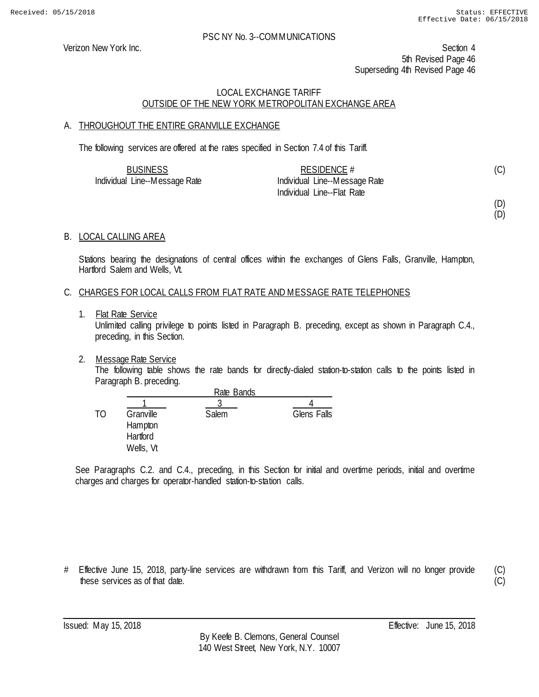Verizon New York Inc. Section 4 5th Revised Page 46 Superseding 4th Revised Page 46

### LOCAL EXCHANGE TARIFF OUTSIDE OF THE NEW YORK METROPOLITAN EXCHANGE AREA

### A. THROUGHOUT THE ENTIRE GRANVILLE EXCHANGE

The following services are offered at the rates specified in Section 7.4 of this Tariff.

| <b>BUSINESS</b>               | RESIDENCE $#$                 |  |
|-------------------------------|-------------------------------|--|
| Individual Line--Message Rate | Individual Line--Message Rate |  |
|                               | Individual Line--Flat Rate    |  |

(D)

### (D)

### B. LOCAL CALLING AREA

Stations bearing the designations of central offices within the exchanges of Glens Falls, Granville, Hampton, Hartford Salem and Wells, Vt.

### C. CHARGES FOR LOCAL CALLS FROM FLAT RATE AND MESSAGE RATE TELEPHONES

1. Flat Rate Service

Unlimited calling privilege to points listed in Paragraph B. preceding, except as shown in Paragraph C.4., preceding, in this Section.

### 2. Message Rate Service

The following table shows the rate bands for directly-dialed station-to-station calls to the points listed in Paragraph B. preceding.

|    |                                               | Rate Bands |             |
|----|-----------------------------------------------|------------|-------------|
| TΟ | Granville<br>Hampton<br>Hartford<br>Wells, Vt | Salem      | Glens Falls |

See Paragraphs C.2. and C.4., preceding, in this Section for initial and overtime periods, initial and overtime charges and charges for operator-handled station-to-station calls.

# Effective June 15, 2018, party-line services are withdrawn from this Tariff, and Verizon will no longer provide these services as of that date.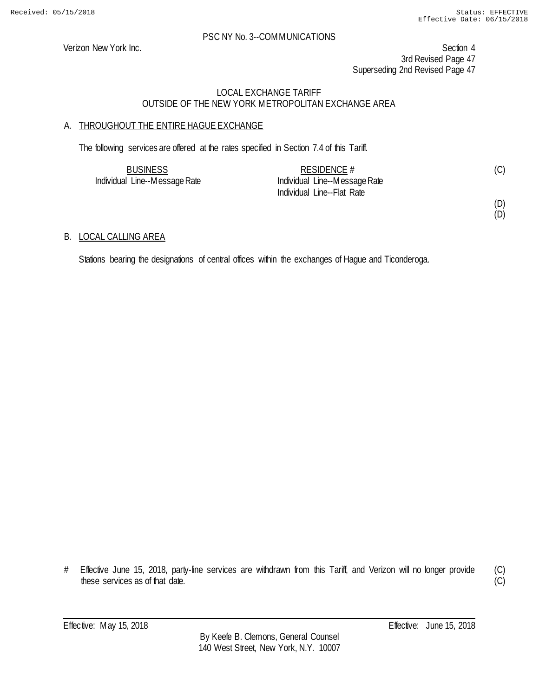Verizon New York Inc. Section 4 3rd Revised Page 47 Superseding 2nd Revised Page 47

## LOCAL EXCHANGE TARIFF OUTSIDE OF THE NEW YORK METROPOLITAN EXCHANGE AREA

## A. THROUGHOUT THE ENTIRE HAGUE EXCHANGE

The following services are offered at the rates specified in Section 7.4 of this Tariff.

| <b>BUSINESS</b>               | RESIDENCE $#$                 |  |
|-------------------------------|-------------------------------|--|
| Individual Line--Message Rate | Individual Line--Message Rate |  |
|                               | Individual Line--Flat Rate    |  |

(D) (D)

### B. LOCAL CALLING AREA

Stations bearing the designations of central offices within the exchanges of Hague and Ticonderoga.

<sup>#</sup> Effective June 15, 2018, party-line services are withdrawn from this Tariff, and Verizon will no longer provide these services as of that date.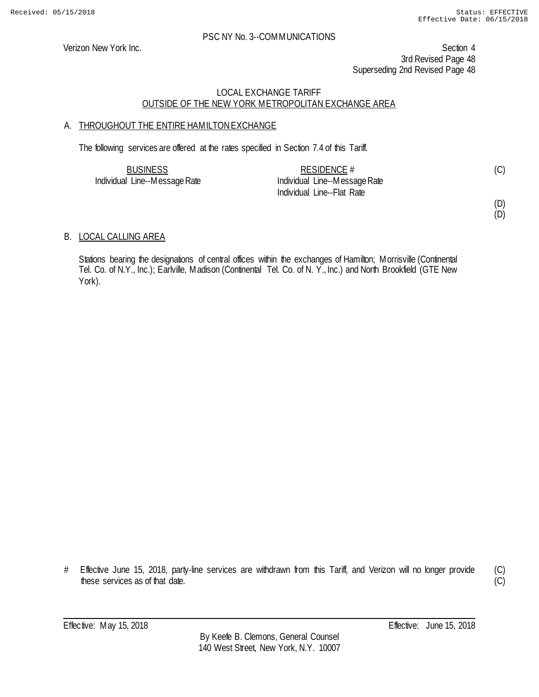Verizon New York Inc. Section 4 3rd Revised Page 48 Superseding 2nd Revised Page 48

## LOCAL EXCHANGE TARIFF OUTSIDE OF THE NEW YORK METROPOLITAN EXCHANGE AREA

## A. THROUGHOUT THE ENTIRE HAMILTON EXCHANGE

The following services are offered at the rates specified in Section 7.4 of this Tariff.

| <b>BUSINESS</b>               | RESIDENCE $#$                 |  |
|-------------------------------|-------------------------------|--|
| Individual Line--Message Rate | Individual Line--Message Rate |  |
|                               | Individual Line--Flat Rate    |  |

(D)

(D)

(C)

## B. LOCAL CALLING AREA

Stations bearing the designations of central offices within the exchanges of Hamilton; Morrisville (Continental Tel. Co. of N.Y., Inc.); Earlville, Madison (Continental Tel. Co. of N. Y., Inc.) and North Brookfield (GTE New York).

# Effective June 15, 2018, party-line services are withdrawn from this Tariff, and Verizon will no longer provide these services as of that date.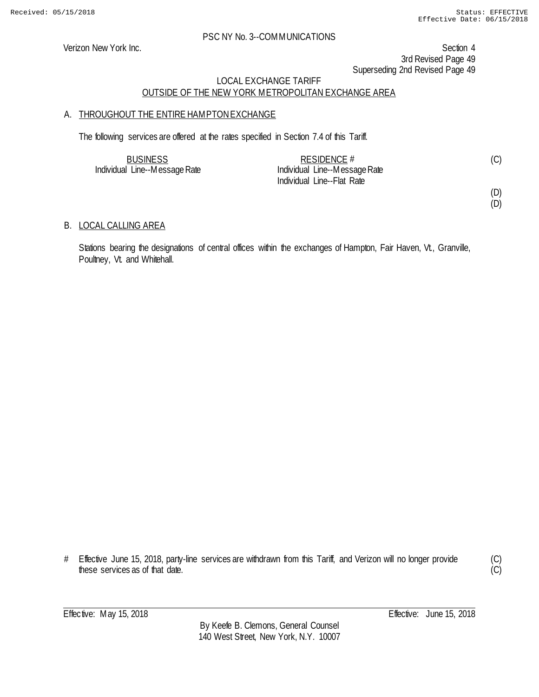> (C) (C)

### PSC NY No. 3--COMMUNICATIONS

Verizon New York Inc. Section 4 3rd Revised Page 49 Superseding 2nd Revised Page 49

### LOCAL EXCHANGE TARIFF OUTSIDE OF THE NEW YORK METROPOLITAN EXCHANGE AREA

### A. THROUGHOUT THE ENTIRE HAMPTON EXCHANGE

The following services are offered at the rates specified in Section 7.4 of this Tariff.

| <b>BUSINESS</b>               | RESIDENCE #                   |  |
|-------------------------------|-------------------------------|--|
| Individual Line--Message Rate | Individual Line--Message Rate |  |
|                               | Individual Line--Flat Rate    |  |

### B. LOCAL CALLING AREA

Stations bearing the designations of central offices within the exchanges of Hampton, Fair Haven, Vt., Granville, Poultney, Vt. and Whitehall.

<sup>#</sup> Effective June 15, 2018, party-line services are withdrawn from this Tariff, and Verizon will no longer provide these services as of that date.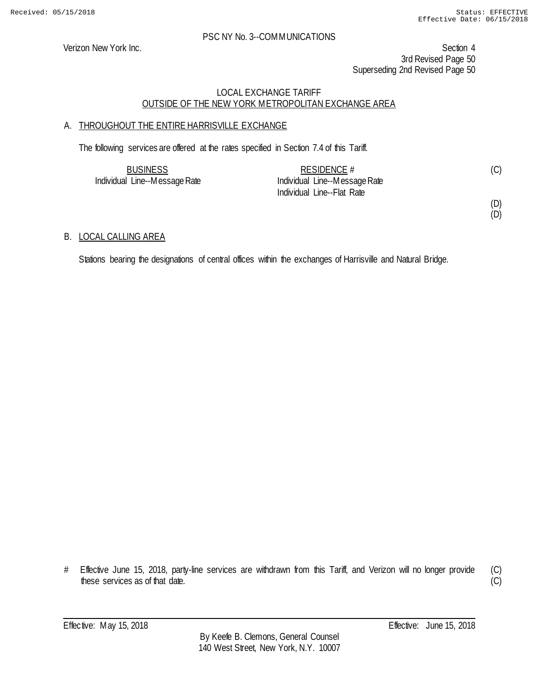Verizon New York Inc. Section 4 3rd Revised Page 50 Superseding 2nd Revised Page 50

## LOCAL EXCHANGE TARIFF OUTSIDE OF THE NEW YORK METROPOLITAN EXCHANGE AREA

## A. THROUGHOUT THE ENTIRE HARRISVILLE EXCHANGE

The following services are offered at the rates specified in Section 7.4 of this Tariff.

| <b>BUSINESS</b>               | RESIDENCE #                   | (C) |
|-------------------------------|-------------------------------|-----|
| Individual Line--Message Rate | Individual Line--Message Rate |     |
|                               | Individual Line--Flat Rate    |     |

(D) (D)

### B. LOCAL CALLING AREA

Stations bearing the designations of central offices within the exchanges of Harrisville and Natural Bridge.

<sup>#</sup> Effective June 15, 2018, party-line services are withdrawn from this Tariff, and Verizon will no longer provide these services as of that date.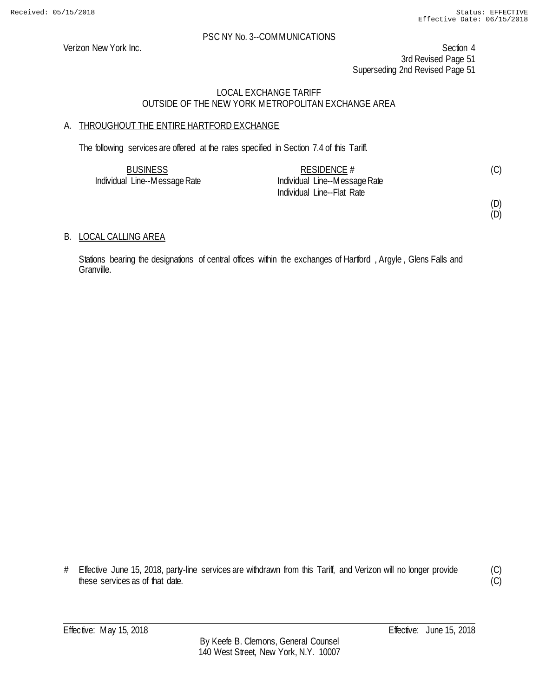Verizon New York Inc. Section 4 3rd Revised Page 51 Superseding 2nd Revised Page 51

## LOCAL EXCHANGE TARIFF OUTSIDE OF THE NEW YORK METROPOLITAN EXCHANGE AREA

## A. THROUGHOUT THE ENTIRE HARTFORD EXCHANGE

The following services are offered at the rates specified in Section 7.4 of this Tariff.

| <b>BUSINESS</b>               | RESIDENCE #                   | (C) |
|-------------------------------|-------------------------------|-----|
| Individual Line--Message Rate | Individual Line--Message Rate |     |
|                               | Individual Line--Flat Rate    |     |

#### (D) (D)

B. LOCAL CALLING AREA

Stations bearing the designations of central offices within the exchanges of Hartford, Argyle, Glens Falls and Granville.

# Effective June 15, 2018, party-line services are withdrawn from this Tariff, and Verizon will no longer provide these services as of that date.

(C) (C)

Effective: May 15, 2018 **Effective:** June 15, 2018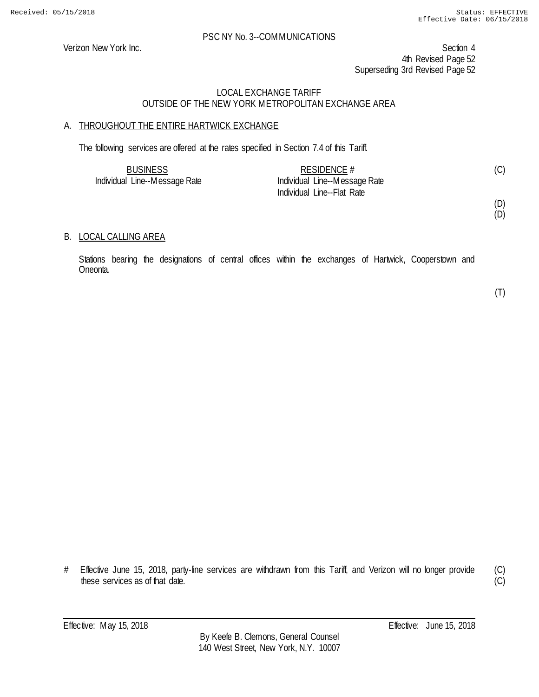Verizon New York Inc. Section 4 4th Revised Page 52 Superseding 3rd Revised Page 52

### LOCAL EXCHANGE TARIFF OUTSIDE OF THE NEW YORK METROPOLITAN EXCHANGE AREA

## A. THROUGHOUT THE ENTIRE HARTWICK EXCHANGE

The following services are offered at the rates specified in Section 7.4 of this Tariff.

| <b>BUSINESS</b>               | RESIDENCE $#$                 |  |
|-------------------------------|-------------------------------|--|
| Individual Line--Message Rate | Individual Line--Message Rate |  |
|                               | Individual Line--Flat Rate    |  |

(D) (D)

### B. LOCAL CALLING AREA

Stations bearing the designations of central offices within the exchanges of Hartwick, Cooperstown and Oneonta.

(T)

# Effective June 15, 2018, party-line services are withdrawn from this Tariff, and Verizon will no longer provide these services as of that date.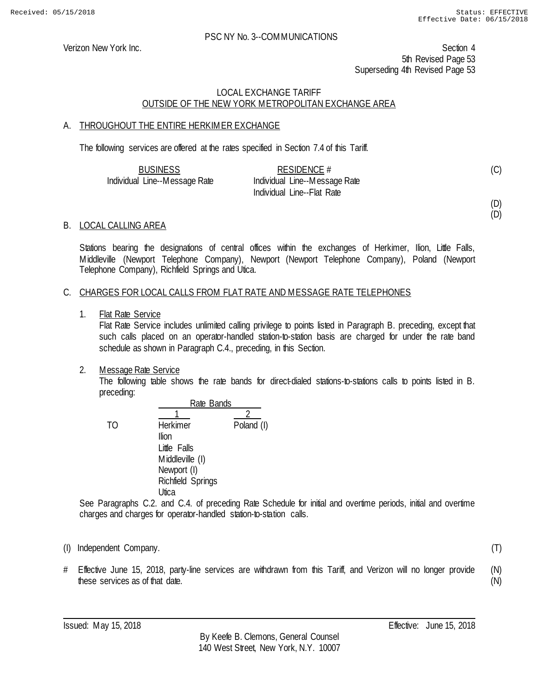Verizon New York Inc. Section 4 5th Revised Page 53 Superseding 4th Revised Page 53

## LOCAL EXCHANGE TARIFF OUTSIDE OF THE NEW YORK METROPOLITAN EXCHANGE AREA

### A. THROUGHOUT THE ENTIRE HERKIMER EXCHANGE

The following services are offered at the rates specified in Section 7.4 of this Tariff.

| <b>BUSINESS</b>               | RESIDENCE $#$                 | (C) |
|-------------------------------|-------------------------------|-----|
| Individual Line--Message Rate | Individual Line--Message Rate |     |
|                               | Individual Line--Flat Rate    |     |

(D) (D)

(T)

### B. LOCAL CALLING AREA

Stations bearing the designations of central offices within the exchanges of Herkimer, Ilion, Little Falls, Middleville (Newport Telephone Company), Newport (Newport Telephone Company), Poland (Newport Telephone Company), Richfield Springs and Utica.

### C. CHARGES FOR LOCAL CALLS FROM FLAT RATE AND MESSAGE RATE TELEPHONES

1. Flat Rate Service

Flat Rate Service includes unlimited calling privilege to points listed in Paragraph B. preceding, except that such calls placed on an operator-handled station-to-station basis are charged for under the rate band schedule as shown in Paragraph C.4., preceding, in this Section.

2. Message Rate Service

The following table shows the rate bands for direct-dialed stations-to-stations calls to points listed in B. preceding:

Rate Bands  $\overline{1}$  2 TO Herkimer Poland (I) Ilion Little Falls Middleville (I) Newport (I) Richfield Springs **Utica** 

See Paragraphs C.2. and C.4. of preceding Rate Schedule for initial and overtime periods, initial and overtime charges and charges for operator-handled station-to-station calls.

- (I) Independent Company.
- # Effective June 15, 2018, party-line services are withdrawn from this Tariff, and Verizon will no longer provide these services as of that date. (N) (N)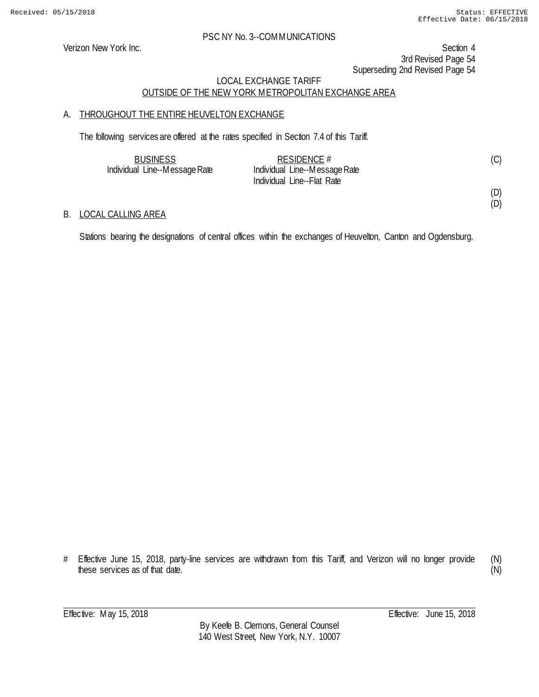### PSC NY No. 3--COMMUNICATIONS

Verizon New York Inc. Section 4 3rd Revised Page 54 Superseding 2nd Revised Page 54

## LOCAL EXCHANGE TARIFF OUTSIDE OF THE NEW YORK METROPOLITAN EXCHANGE AREA

### A. THROUGHOUT THE ENTIRE HEUVELTON EXCHANGE

The following services are offered at the rates specified in Section 7.4 of this Tariff.

| <b>BUSINESS</b>               | RESIDENCE $#$                 |  |
|-------------------------------|-------------------------------|--|
| Individual Line--Message Rate | Individual Line--Message Rate |  |
|                               | Individual Line--Flat Rate    |  |

### B. LOCAL CALLING AREA

Stations bearing the designations of central offices within the exchanges of Heuvelton, Canton and Ogdensburg.

<sup>#</sup> Effective June 15, 2018, party-line services are withdrawn from this Tariff, and Verizon will no longer provide these services as of that date. (N) (N)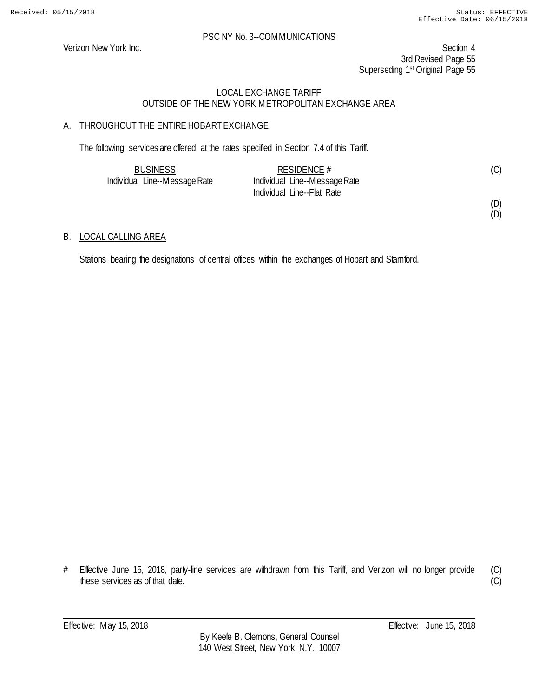### PSC NY No. 3--COMMUNICATIONS

Verizon New York Inc. Section 4 3rd Revised Page 55 Superseding 1st Original Page 55

## LOCAL EXCHANGE TARIFF OUTSIDE OF THE NEW YORK METROPOLITAN EXCHANGE AREA

## A. THROUGHOUT THE ENTIRE HOBART EXCHANGE

The following services are offered at the rates specified in Section 7.4 of this Tariff.

| <b>BUSINESS</b>               | RESIDENCE $#$                 | (C) |
|-------------------------------|-------------------------------|-----|
| Individual Line--Message Rate | Individual Line--Message Rate |     |
|                               | Individual Line--Flat Rate    |     |

## B. LOCAL CALLING AREA

Stations bearing the designations of central offices within the exchanges of Hobart and Stamford.

<sup>#</sup> Effective June 15, 2018, party-line services are withdrawn from this Tariff, and Verizon will no longer provide these services as of that date.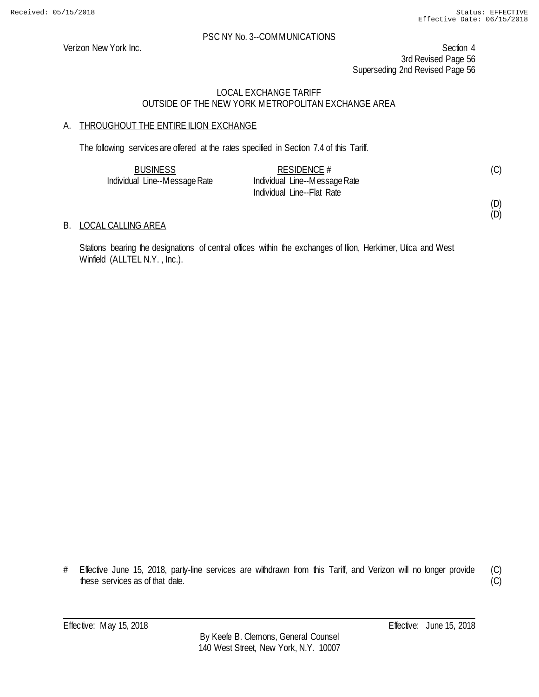### PSC NY No. 3--COMMUNICATIONS

Verizon New York Inc. Section 4 3rd Revised Page 56 Superseding 2nd Revised Page 56

## LOCAL EXCHANGE TARIFF OUTSIDE OF THE NEW YORK METROPOLITAN EXCHANGE AREA

## A. THROUGHOUT THE ENTIRE ILION EXCHANGE

The following services are offered at the rates specified in Section 7.4 of this Tariff.

| <b>BUSINESS</b>               | RESIDENCE $#$                 | (C) |
|-------------------------------|-------------------------------|-----|
| Individual Line--Message Rate | Individual Line--Message Rate |     |
|                               | Individual Line--Flat Rate    |     |

B. LOCAL CALLING AREA

Stations bearing the designations of central offices within the exchanges of Ilion, Herkimer, Utica and West Winfield (ALLTEL N.Y., Inc.).

<sup>#</sup> Effective June 15, 2018, party-line services are withdrawn from this Tariff, and Verizon will no longer provide these services as of that date.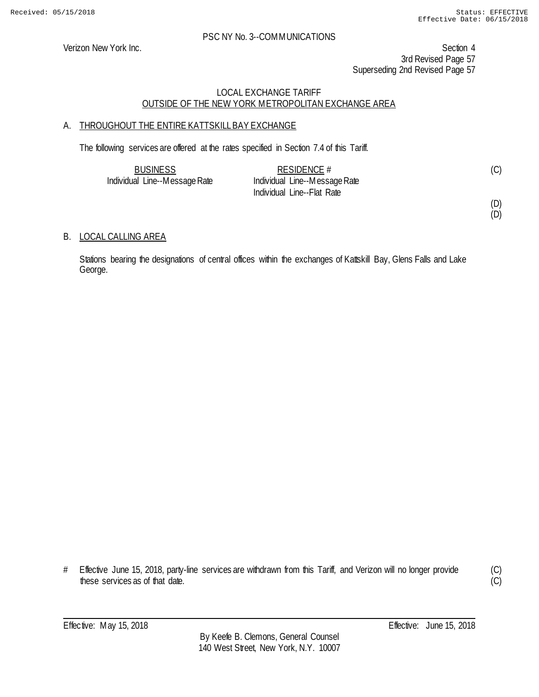Verizon New York Inc. Section 4 3rd Revised Page 57 Superseding 2nd Revised Page 57

## LOCAL EXCHANGE TARIFF OUTSIDE OF THE NEW YORK METROPOLITAN EXCHANGE AREA

## A. THROUGHOUT THE ENTIRE KATTSKILL BAY EXCHANGE

The following services are offered at the rates specified in Section 7.4 of this Tariff.

| <b>BUSINESS</b>               | RESIDENCE $#$                 | (C) |
|-------------------------------|-------------------------------|-----|
| Individual Line--Message Rate | Individual Line--Message Rate |     |
|                               | Individual Line--Flat Rate    |     |

(D)

# (D)

## B. LOCAL CALLING AREA

Stations bearing the designations of central offices within the exchanges of Kattskill Bay, Glens Falls and Lake George.

# Effective June 15, 2018, party-line services are withdrawn from this Tariff, and Verizon will no longer provide these services as of that date.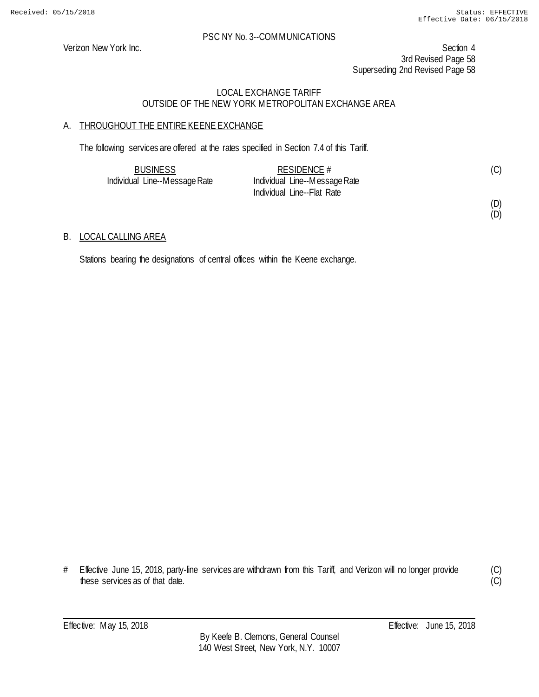Verizon New York Inc. Section 4 3rd Revised Page 58 Superseding 2nd Revised Page 58

## LOCAL EXCHANGE TARIFF OUTSIDE OF THE NEW YORK METROPOLITAN EXCHANGE AREA

## A. THROUGHOUT THE ENTIRE KEENE EXCHANGE

The following services are offered at the rates specified in Section 7.4 of this Tariff.

| <b>BUSINESS</b>               | RESIDENCE $#$                 |  |
|-------------------------------|-------------------------------|--|
| Individual Line--Message Rate | Individual Line--Message Rate |  |
|                               | Individual Line--Flat Rate    |  |

#### (D) (D)

### B. LOCAL CALLING AREA

Stations bearing the designations of central offices within the Keene exchange.

<sup>#</sup> Effective June 15, 2018, party-line services are withdrawn from this Tariff, and Verizon will no longer provide these services as of that date.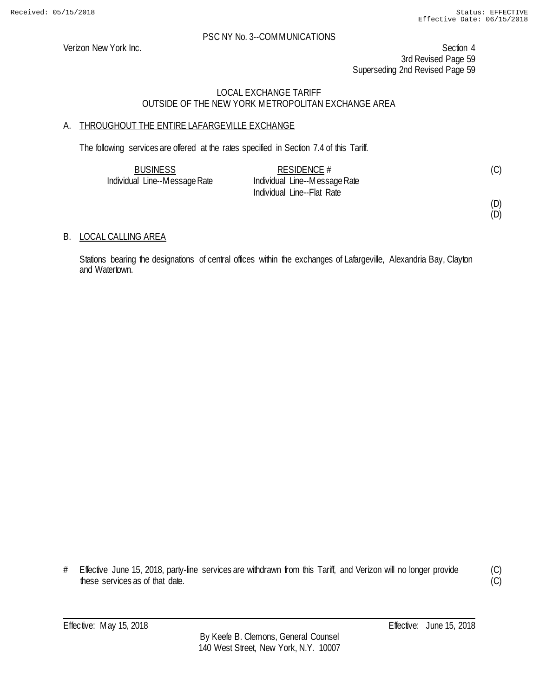Verizon New York Inc. Section 4 3rd Revised Page 59 Superseding 2nd Revised Page 59

## LOCAL EXCHANGE TARIFF OUTSIDE OF THE NEW YORK METROPOLITAN EXCHANGE AREA

## A. THROUGHOUT THE ENTIRE LAFARGEVILLE EXCHANGE

The following services are offered at the rates specified in Section 7.4 of this Tariff.

| <b>BUSINESS</b>               | RESIDENCE $#$                 | (C) |
|-------------------------------|-------------------------------|-----|
| Individual Line--Message Rate | Individual Line--Message Rate |     |
|                               | Individual Line--Flat Rate    |     |

(D)

## (D)

## B. LOCAL CALLING AREA

Stations bearing the designations of central offices within the exchanges of Lafargeville, Alexandria Bay, Clayton and Watertown.

<sup>#</sup> Effective June 15, 2018, party-line services are withdrawn from this Tariff, and Verizon will no longer provide these services as of that date.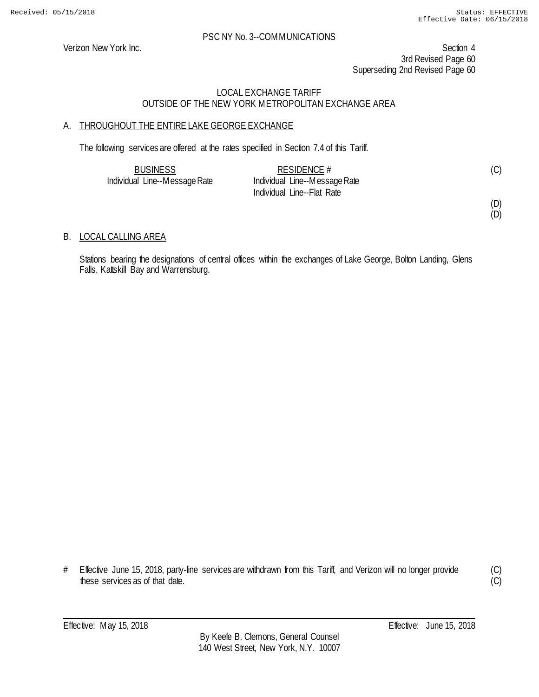Verizon New York Inc. Section 4 3rd Revised Page 60 Superseding 2nd Revised Page 60

## LOCAL EXCHANGE TARIFF OUTSIDE OF THE NEW YORK METROPOLITAN EXCHANGE AREA

## A. THROUGHOUT THE ENTIRE LAKE GEORGE EXCHANGE

The following services are offered at the rates specified in Section 7.4 of this Tariff.

| <b>BUSINESS</b>               | RESIDENCE #                   | (C) |
|-------------------------------|-------------------------------|-----|
| Individual Line--Message Rate | Individual Line--Message Rate |     |
|                               | Individual Line--Flat Rate    |     |

(D) (D)

### B. LOCAL CALLING AREA

Stations bearing the designations of central offices within the exchanges of Lake George, Bolton Landing, Glens Falls, Kattskill Bay and Warrensburg.

<sup>#</sup> Effective June 15, 2018, party-line services are withdrawn from this Tariff, and Verizon will no longer provide these services as of that date.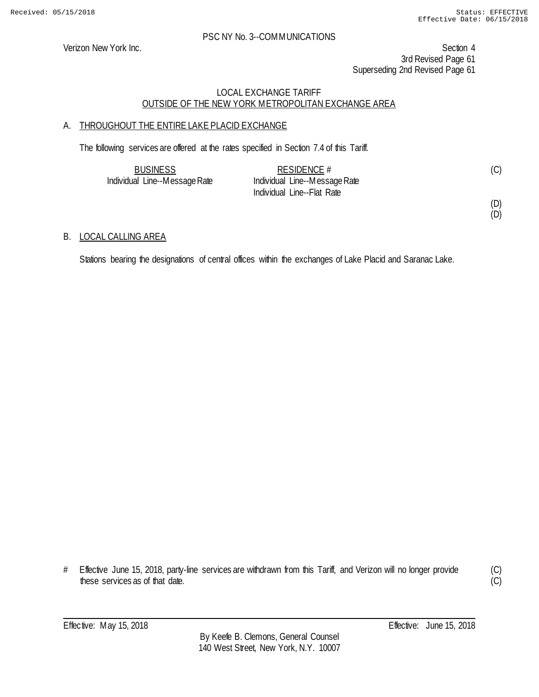Verizon New York Inc. Section 4 3rd Revised Page 61 Superseding 2nd Revised Page 61

## LOCAL EXCHANGE TARIFF OUTSIDE OF THE NEW YORK METROPOLITAN EXCHANGE AREA

## A. THROUGHOUT THE ENTIRE LAKE PLACID EXCHANGE

The following services are offered at the rates specified in Section 7.4 of this Tariff.

| <b>BUSINESS</b>               | RESIDENCE #                   | (C) |
|-------------------------------|-------------------------------|-----|
| Individual Line--Message Rate | Individual Line--Message Rate |     |
|                               | Individual Line--Flat Rate    |     |

(D)

## (D)

### B. LOCAL CALLING AREA

Stations bearing the designations of central offices within the exchanges of Lake Placid and Saranac Lake.

<sup>#</sup> Effective June 15, 2018, party-line services are withdrawn from this Tariff, and Verizon will no longer provide these services as of that date.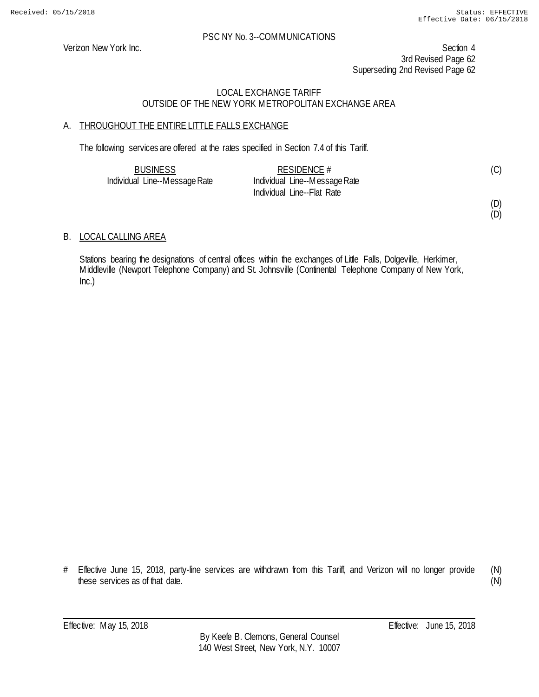Verizon New York Inc. Section 4 3rd Revised Page 62 Superseding 2nd Revised Page 62

## LOCAL EXCHANGE TARIFF OUTSIDE OF THE NEW YORK METROPOLITAN EXCHANGE AREA

## A. THROUGHOUT THE ENTIRE LITTLE FALLS EXCHANGE

The following services are offered at the rates specified in Section 7.4 of this Tariff.

| <b>BUSINESS</b>               | RESIDENCE $#$                 | (C) |
|-------------------------------|-------------------------------|-----|
| Individual Line--Message Rate | Individual Line--Message Rate |     |
|                               | Individual Line--Flat Rate    |     |

(D)

(D)

## B. LOCAL CALLING AREA

Stations bearing the designations of central offices within the exchanges of Little Falls, Dolgeville, Herkimer, Middleville (Newport Telephone Company) and St. Johnsville (Continental Telephone Company of New York, Inc.)

# Effective June 15, 2018, party-line services are withdrawn from this Tariff, and Verizon will no longer provide these services as of that date.

(N) (N)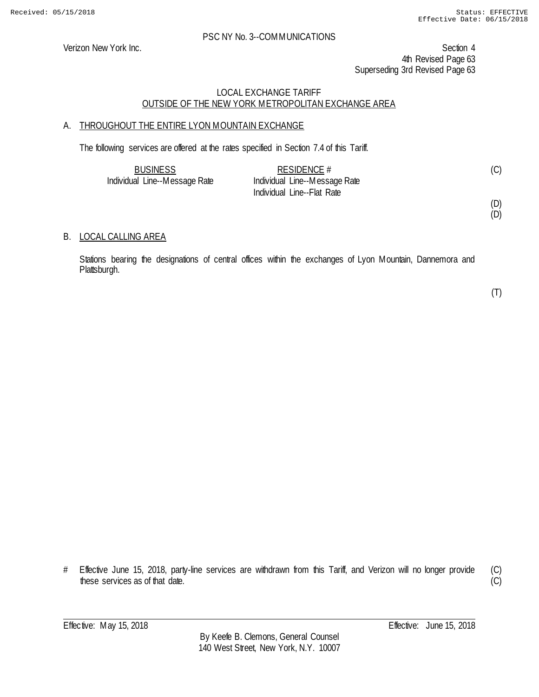Verizon New York Inc. Section 4 4th Revised Page 63 Superseding 3rd Revised Page 63

## LOCAL EXCHANGE TARIFF OUTSIDE OF THE NEW YORK METROPOLITAN EXCHANGE AREA

## A. THROUGHOUT THE ENTIRE LYON MOUNTAIN EXCHANGE

The following services are offered at the rates specified in Section 7.4 of this Tariff.

| <b>BUSINESS</b>               | RESIDENCE $#$                 | (C) |
|-------------------------------|-------------------------------|-----|
| Individual Line--Message Rate | Individual Line--Message Rate |     |
|                               | Individual Line--Flat Rate    |     |

(D) (D)

### B. LOCAL CALLING AREA

Stations bearing the designations of central offices within the exchanges of Lyon Mountain, Dannemora and Plattsburgh.

(T)

# Effective June 15, 2018, party-line services are withdrawn from this Tariff, and Verizon will no longer provide these services as of that date.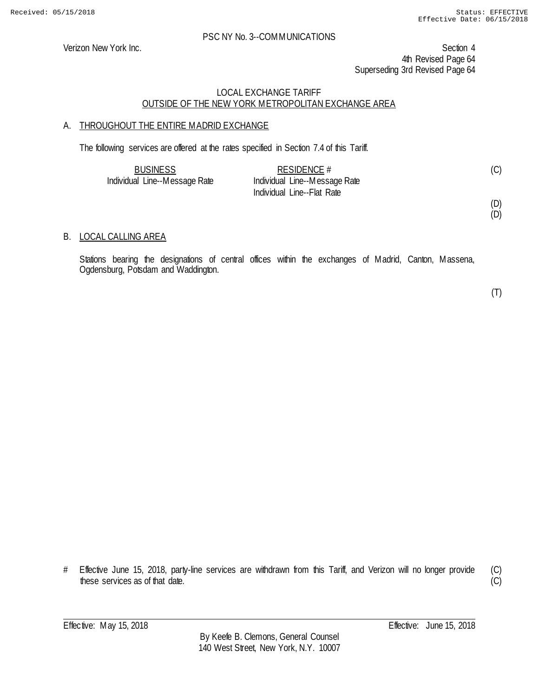Verizon New York Inc. Section 4 4th Revised Page 64 Superseding 3rd Revised Page 64

## LOCAL EXCHANGE TARIFF OUTSIDE OF THE NEW YORK METROPOLITAN EXCHANGE AREA

## A. THROUGHOUT THE ENTIRE MADRID EXCHANGE

The following services are offered at the rates specified in Section 7.4 of this Tariff.

| <b>BUSINESS</b>               | RESIDENCE $#$                 | (C) |
|-------------------------------|-------------------------------|-----|
| Individual Line--Message Rate | Individual Line--Message Rate |     |
|                               | Individual Line--Flat Rate    |     |

(D) (D)

### B. LOCAL CALLING AREA

Stations bearing the designations of central offices within the exchanges of Madrid, Canton, Massena, Ogdensburg, Potsdam and Waddington.

(T)

# Effective June 15, 2018, party-line services are withdrawn from this Tariff, and Verizon will no longer provide these services as of that date.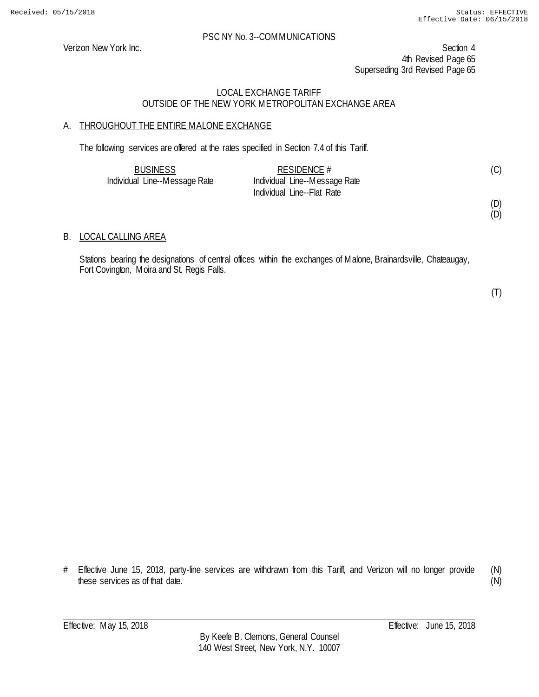Verizon New York Inc. Section 4 4th Revised Page 65 Superseding 3rd Revised Page 65

## LOCAL EXCHANGE TARIFF OUTSIDE OF THE NEW YORK METROPOLITAN EXCHANGE AREA

## A. THROUGHOUT THE ENTIRE MALONE EXCHANGE

The following services are offered at the rates specified in Section 7.4 of this Tariff.

| <b>BUSINESS</b>               | RESIDENCE $#$                 | (C) |
|-------------------------------|-------------------------------|-----|
| Individual Line--Message Rate | Individual Line--Message Rate |     |
|                               | Individual Line--Flat Rate    |     |

(D) (D)

### B. LOCAL CALLING AREA

Stations bearing the designations of central offices within the exchanges of Malone, Brainardsville, Chateaugay, Fort Covington, Moira and St. Regis Falls.

(T)

# Effective June 15, 2018, party-line services are withdrawn from this Tariff, and Verizon will no longer provide these services as of that date.

(N) (N)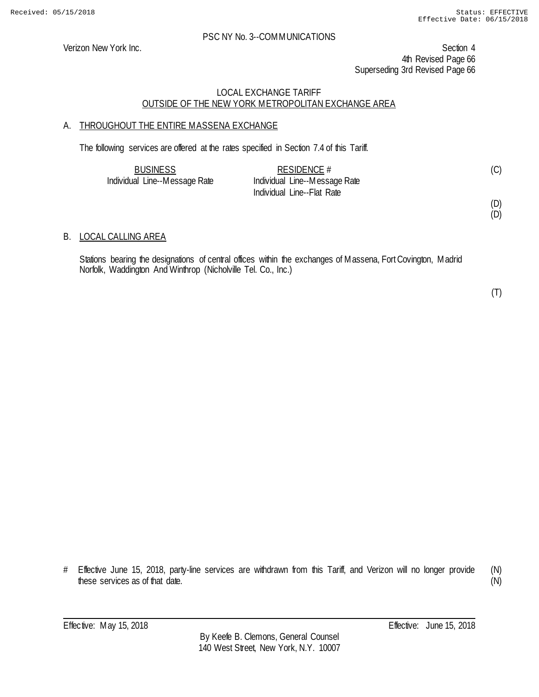Verizon New York Inc. Section 4 4th Revised Page 66 Superseding 3rd Revised Page 66

### LOCAL EXCHANGE TARIFF OUTSIDE OF THE NEW YORK METROPOLITAN EXCHANGE AREA

## A. THROUGHOUT THE ENTIRE MASSENA EXCHANGE

The following services are offered at the rates specified in Section 7.4 of this Tariff.

| <b>BUSINESS</b>               | RESIDENCE $#$                 | (C) |
|-------------------------------|-------------------------------|-----|
| Individual Line--Message Rate | Individual Line--Message Rate |     |
|                               | Individual Line--Flat Rate    |     |

(D) (D)

### B. LOCAL CALLING AREA

Stations bearing the designations of central offices within the exchanges of Massena, Fort Covington, Madrid Norfolk, Waddington And Winthrop (Nicholville Tel. Co., Inc.)

(T)

# Effective June 15, 2018, party-line services are withdrawn from this Tariff, and Verizon will no longer provide these services as of that date.

(N) (N)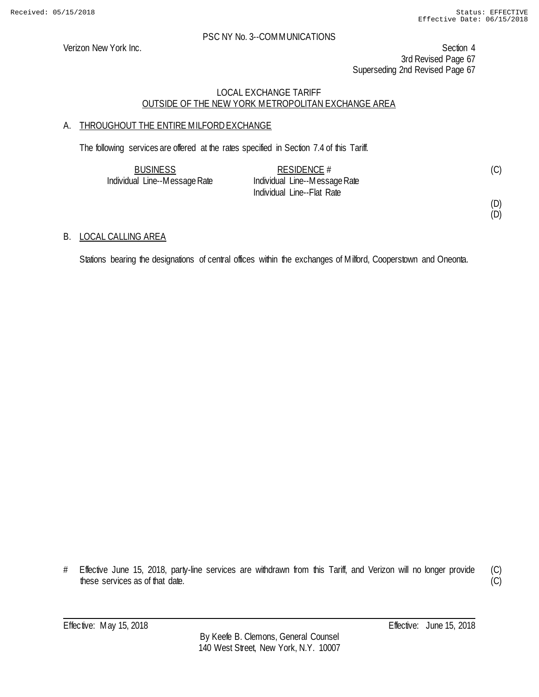Verizon New York Inc. Section 4 3rd Revised Page 67 Superseding 2nd Revised Page 67

## LOCAL EXCHANGE TARIFF OUTSIDE OF THE NEW YORK METROPOLITAN EXCHANGE AREA

## A. THROUGHOUT THE ENTIRE MILFORD EXCHANGE

The following services are offered at the rates specified in Section 7.4 of this Tariff.

| <b>BUSINESS</b>               | RESIDENCE #                   | (C) |
|-------------------------------|-------------------------------|-----|
| Individual Line--Message Rate | Individual Line--Message Rate |     |
|                               | Individual Line--Flat Rate    |     |

(D)

(D)

## B. LOCAL CALLING AREA

Stations bearing the designations of central offices within the exchanges of Milford, Cooperstown and Oneonta.

<sup>#</sup> Effective June 15, 2018, party-line services are withdrawn from this Tariff, and Verizon will no longer provide these services as of that date.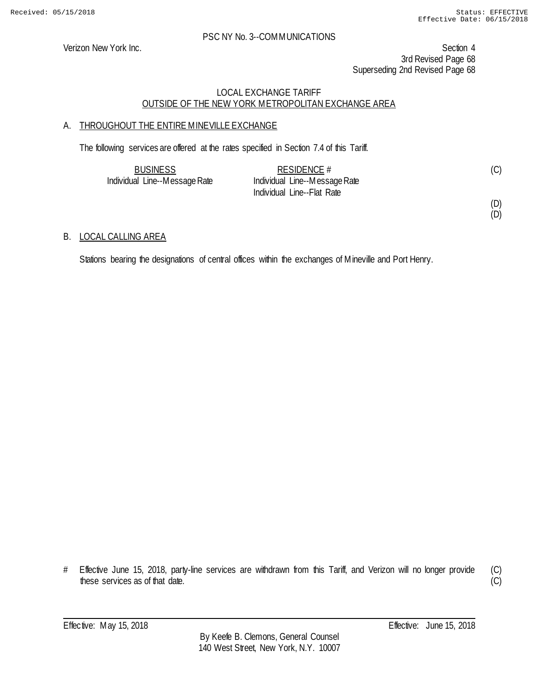### PSC NY No. 3--COMMUNICATIONS

Verizon New York Inc. Section 4 3rd Revised Page 68 Superseding 2nd Revised Page 68

## LOCAL EXCHANGE TARIFF OUTSIDE OF THE NEW YORK METROPOLITAN EXCHANGE AREA

## A. THROUGHOUT THE ENTIRE MINEVILLE EXCHANGE

The following services are offered at the rates specified in Section 7.4 of this Tariff.

| <b>BUSINESS</b>               | RESIDENCE $#$                 | (C) |
|-------------------------------|-------------------------------|-----|
| Individual Line--Message Rate | Individual Line--Message Rate |     |
|                               | Individual Line--Flat Rate    |     |

B. LOCAL CALLING AREA

Stations bearing the designations of central offices within the exchanges of Mineville and Port Henry.

<sup>#</sup> Effective June 15, 2018, party-line services are withdrawn from this Tariff, and Verizon will no longer provide these services as of that date.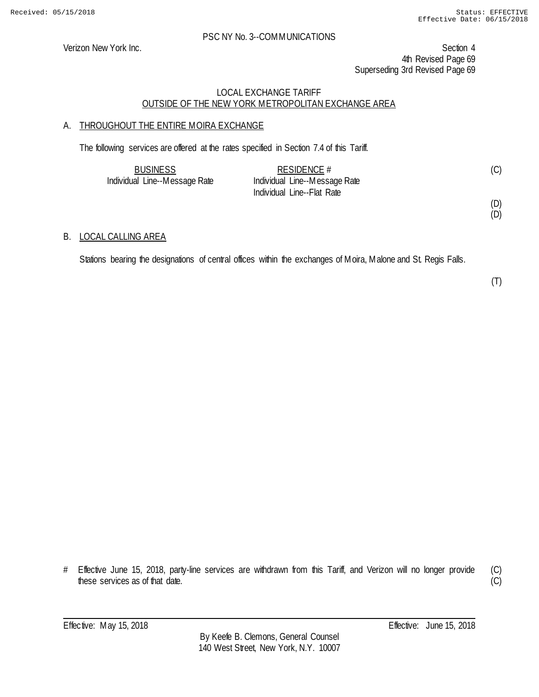Verizon New York Inc. Section 4 4th Revised Page 69 Superseding 3rd Revised Page 69

## LOCAL EXCHANGE TARIFF OUTSIDE OF THE NEW YORK METROPOLITAN EXCHANGE AREA

## A. THROUGHOUT THE ENTIRE MOIRA EXCHANGE

The following services are offered at the rates specified in Section 7.4 of this Tariff.

| <b>BUSINESS</b>               | RESIDENCE $#$                 | (C) |
|-------------------------------|-------------------------------|-----|
| Individual Line--Message Rate | Individual Line--Message Rate |     |
|                               | Individual Line--Flat Rate    |     |

(D) (D)

## B. LOCAL CALLING AREA

Stations bearing the designations of central offices within the exchanges of Moira, Malone and St. Regis Falls.

(T)

# Effective June 15, 2018, party-line services are withdrawn from this Tariff, and Verizon will no longer provide these services as of that date.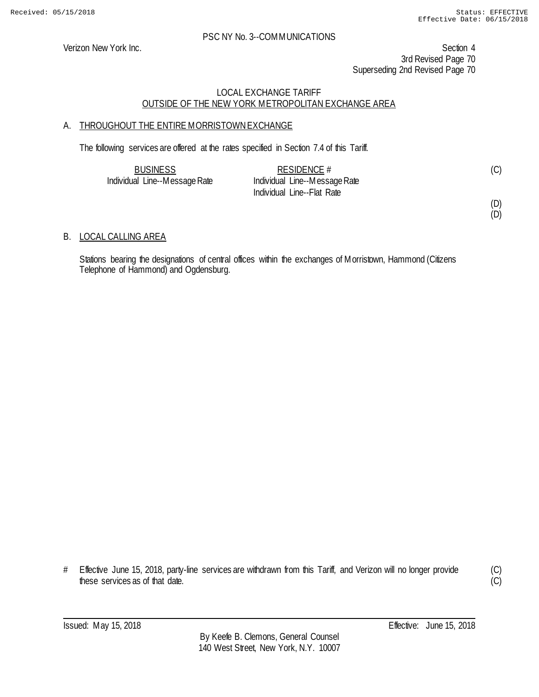Verizon New York Inc. Section 4 3rd Revised Page 70 Superseding 2nd Revised Page 70

## LOCAL EXCHANGE TARIFF OUTSIDE OF THE NEW YORK METROPOLITAN EXCHANGE AREA

## A. THROUGHOUT THE ENTIRE MORRISTOWN EXCHANGE

The following services are offered at the rates specified in Section 7.4 of this Tariff.

| <b>BUSINESS</b>               | RESIDENCE $#$                 | (C) |
|-------------------------------|-------------------------------|-----|
| Individual Line--Message Rate | Individual Line--Message Rate |     |
|                               | Individual Line--Flat Rate    |     |

(D) (D)

## B. LOCAL CALLING AREA

Stations bearing the designations of central offices within the exchanges of Morristown, Hammond (Citizens Telephone of Hammond) and Ogdensburg.

<sup>#</sup> Effective June 15, 2018, party-line services are withdrawn from this Tariff, and Verizon will no longer provide these services as of that date.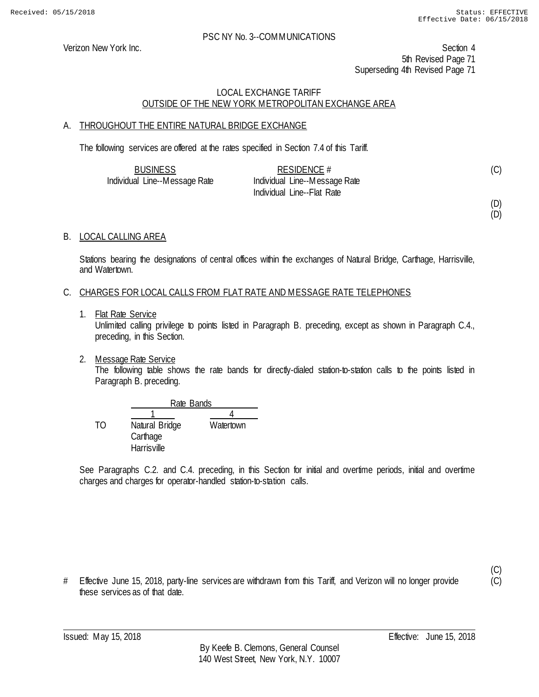Verizon New York Inc. Section 4 5th Revised Page 71 Superseding 4th Revised Page 71

## LOCAL EXCHANGE TARIFF OUTSIDE OF THE NEW YORK METROPOLITAN EXCHANGE AREA

## A. THROUGHOUT THE ENTIRE NATURAL BRIDGE EXCHANGE

The following services are offered at the rates specified in Section 7.4 of this Tariff.

| <b>BUSINESS</b>               | RESIDENCE $#$                 | (C) |
|-------------------------------|-------------------------------|-----|
| Individual Line--Message Rate | Individual Line--Message Rate |     |
|                               | Individual Line--Flat Rate    |     |

(D) (D)

(C)  $(C)$ 

B. LOCAL CALLING AREA

Stations bearing the designations of central offices within the exchanges of Natural Bridge, Carthage, Harrisville, and Watertown.

## C. CHARGES FOR LOCAL CALLS FROM FLAT RATE AND MESSAGE RATE TELEPHONES

1. Flat Rate Service

Unlimited calling privilege to points listed in Paragraph B. preceding, except as shown in Paragraph C.4., preceding, in this Section.

2. Message Rate Service

The following table shows the rate bands for directly-dialed station-to-station calls to the points listed in Paragraph B. preceding.

|    |                | Rate Bands |  |  |
|----|----------------|------------|--|--|
|    |                |            |  |  |
| TΩ | Natural Bridge | Watertown  |  |  |
|    | Carthage       |            |  |  |
|    | Harrisville    |            |  |  |

See Paragraphs C.2. and C.4. preceding, in this Section for initial and overtime periods, initial and overtime charges and charges for operator-handled station-to-station calls.

# Effective June 15, 2018, party-line services are withdrawn from this Tariff, and Verizon will no longer provide these services as of that date.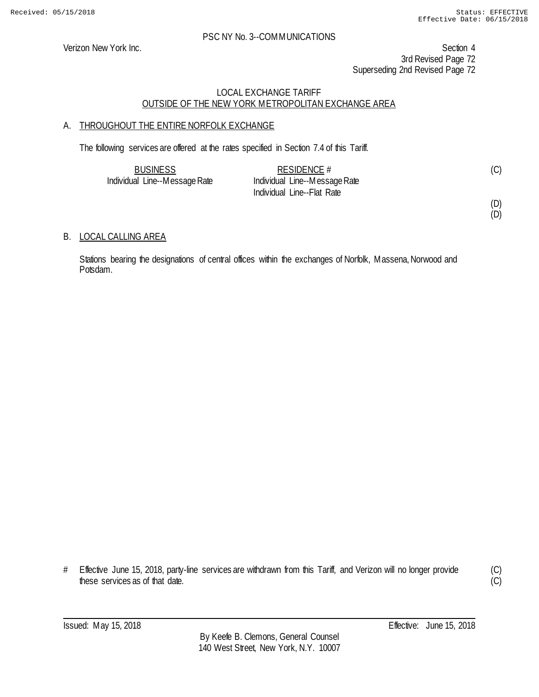### PSC NY No. 3--COMMUNICATIONS

Verizon New York Inc. Section 4 3rd Revised Page 72 Superseding 2nd Revised Page 72

## LOCAL EXCHANGE TARIFF OUTSIDE OF THE NEW YORK METROPOLITAN EXCHANGE AREA

## A. THROUGHOUT THE ENTIRE NORFOLK EXCHANGE

The following services are offered at the rates specified in Section 7.4 of this Tariff.

| <b>BUSINESS</b>               | RESIDENCE #                   | (C) |
|-------------------------------|-------------------------------|-----|
| Individual Line--Message Rate | Individual Line--Message Rate |     |
|                               | Individual Line--Flat Rate    |     |

B. LOCAL CALLING AREA

Stations bearing the designations of central offices within the exchanges of Norfolk, Massena, Norwood and Potsdam.

# Effective June 15, 2018, party-line services are withdrawn from this Tariff, and Verizon will no longer provide these services as of that date.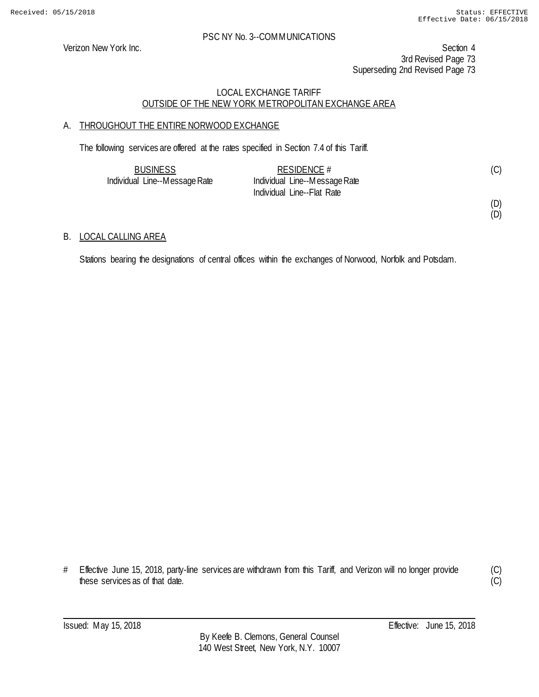Verizon New York Inc. Section 4 3rd Revised Page 73 Superseding 2nd Revised Page 73

### LOCAL EXCHANGE TARIFF OUTSIDE OF THE NEW YORK METROPOLITAN EXCHANGE AREA

# A. THROUGHOUT THE ENTIRE NORWOOD EXCHANGE

The following services are offered at the rates specified in Section 7.4 of this Tariff.

| <b>BUSINESS</b>               | RESIDENCE $#$                 | (C) |
|-------------------------------|-------------------------------|-----|
| Individual Line--Message Rate | Individual Line--Message Rate |     |
|                               | Individual Line--Flat Rate    |     |

#### (D) (D)

B. LOCAL CALLING AREA

Stations bearing the designations of central offices within the exchanges of Norwood, Norfolk and Potsdam.

<sup>#</sup> Effective June 15, 2018, party-line services are withdrawn from this Tariff, and Verizon will no longer provide these services as of that date.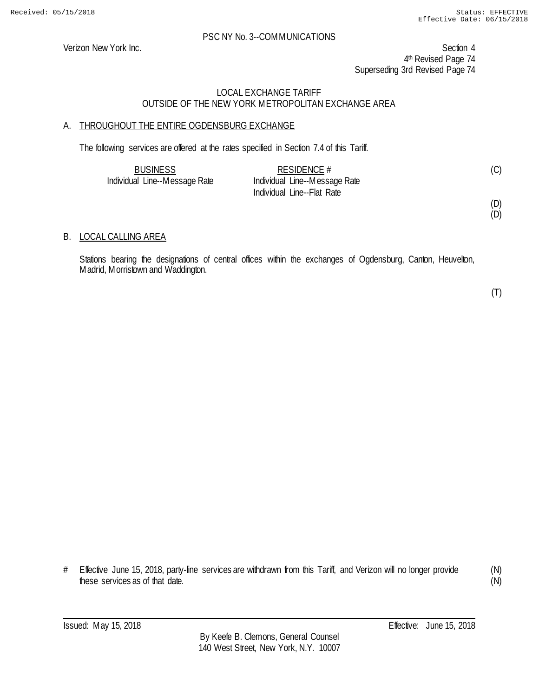Verizon New York Inc. Section 4 4<sup>th</sup> Revised Page 74 Superseding 3rd Revised Page 74

### LOCAL EXCHANGE TARIFF OUTSIDE OF THE NEW YORK METROPOLITAN EXCHANGE AREA

# A. THROUGHOUT THE ENTIRE OGDENSBURG EXCHANGE

The following services are offered at the rates specified in Section 7.4 of this Tariff.

| <b>BUSINESS</b>               | RESIDENCE $#$                 | (C) |
|-------------------------------|-------------------------------|-----|
| Individual Line--Message Rate | Individual Line--Message Rate |     |
|                               | Individual Line--Flat Rate    |     |

(D) (D)

### B. LOCAL CALLING AREA

Stations bearing the designations of central offices within the exchanges of Ogdensburg, Canton, Heuvelton, Madrid, Morristown and Waddington.

(T)

# Effective June 15, 2018, party-line services are withdrawn from this Tariff, and Verizon will no longer provide these services as of that date.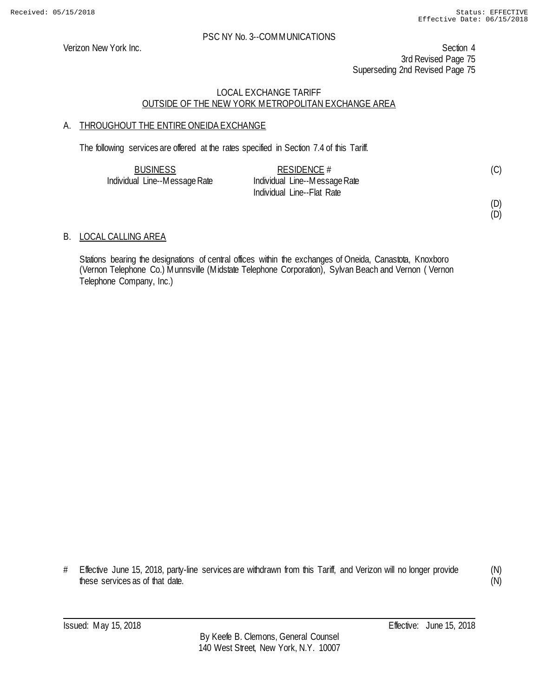Verizon New York Inc. Section 4 3rd Revised Page 75 Superseding 2nd Revised Page 75

### LOCAL EXCHANGE TARIFF OUTSIDE OF THE NEW YORK METROPOLITAN EXCHANGE AREA

# A. THROUGHOUT THE ENTIRE ONEIDA EXCHANGE

The following services are offered at the rates specified in Section 7.4 of this Tariff.

| <b>BUSINESS</b>               | RESIDENCE #                   | (C) |
|-------------------------------|-------------------------------|-----|
| Individual Line--Message Rate | Individual Line--Message Rate |     |
|                               | Individual Line--Flat Rate    |     |

(D) (D)

### B. LOCAL CALLING AREA

Stations bearing the designations of central offices within the exchanges of Oneida, Canastota, Knoxboro (Vernon Telephone Co.) Munnsville (Midstate Telephone Corporation), Sylvan Beach and Vernon ( Vernon Telephone Company, Inc.)

# Effective June 15, 2018, party-line services are withdrawn from this Tariff, and Verizon will no longer provide these services as of that date.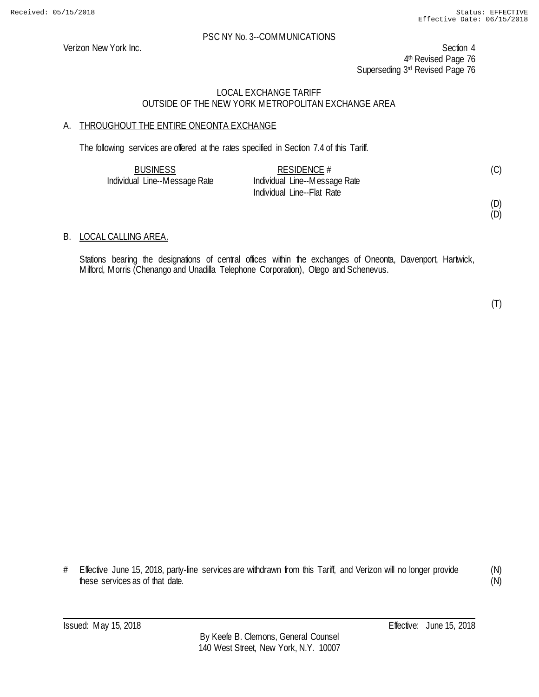Verizon New York Inc. Section 4 4<sup>th</sup> Revised Page 76 Superseding 3rd Revised Page 76

### LOCAL EXCHANGE TARIFF OUTSIDE OF THE NEW YORK METROPOLITAN EXCHANGE AREA

### A. THROUGHOUT THE ENTIRE ONEONTA EXCHANGE

The following services are offered at the rates specified in Section 7.4 of this Tariff.

| <b>BUSINESS</b>               | RESIDENCE $#$                 | (C) |
|-------------------------------|-------------------------------|-----|
| Individual Line--Message Rate | Individual Line--Message Rate |     |
|                               | Individual Line--Flat Rate    |     |

(D)

# (D)

### B. LOCAL CALLING AREA.

Stations bearing the designations of central offices within the exchanges of Oneonta, Davenport, Hartwick, Milford, Morris (Chenango and Unadilla Telephone Corporation), Otego and Schenevus.

# Effective June 15, 2018, party-line services are withdrawn from this Tariff, and Verizon will no longer provide these services as of that date.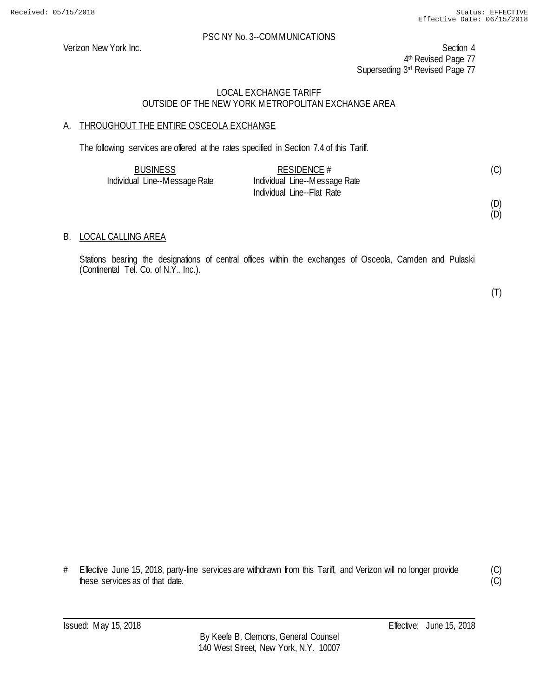Verizon New York Inc. Section 4 4<sup>th</sup> Revised Page 77 Superseding 3rd Revised Page 77

### LOCAL EXCHANGE TARIFF OUTSIDE OF THE NEW YORK METROPOLITAN EXCHANGE AREA

### A. THROUGHOUT THE ENTIRE OSCEOLA EXCHANGE

The following services are offered at the rates specified in Section 7.4 of this Tariff.

| <b>BUSINESS</b>               | RESIDENCE $#$                 | (C) |
|-------------------------------|-------------------------------|-----|
| Individual Line--Message Rate | Individual Line--Message Rate |     |
|                               | Individual Line--Flat Rate    |     |

(D) (D)

#### B. LOCAL CALLING AREA

Stations bearing the designations of central offices within the exchanges of Osceola, Camden and Pulaski (Continental Tel. Co. of N.Y., Inc.).

(T)

# Effective June 15, 2018, party-line services are withdrawn from this Tariff, and Verizon will no longer provide these services as of that date.

(C)  $\overline{C}$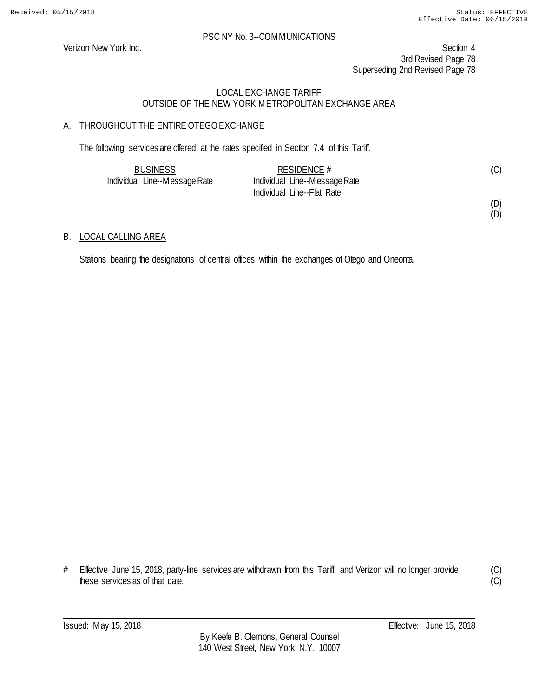(D) (D)

#### PSC NY No. 3--COMMUNICATIONS

Verizon New York Inc. Section 4 3rd Revised Page 78 Superseding 2nd Revised Page 78

### LOCAL EXCHANGE TARIFF OUTSIDE OF THE NEW YORK METROPOLITAN EXCHANGE AREA

# A. THROUGHOUT THE ENTIRE OTEGO EXCHANGE

The following services are offered at the rates specified in Section 7.4 of this Tariff.

| <b>BUSINESS</b>               | RESIDENCE $#$                 | (C) |
|-------------------------------|-------------------------------|-----|
| Individual Line--Message Rate | Individual Line--Message Rate |     |
|                               | Individual Line--Flat Rate    |     |

# B. LOCAL CALLING AREA

Stations bearing the designations of central offices within the exchanges of Otego and Oneonta.

<sup>#</sup> Effective June 15, 2018, party-line services are withdrawn from this Tariff, and Verizon will no longer provide these services as of that date.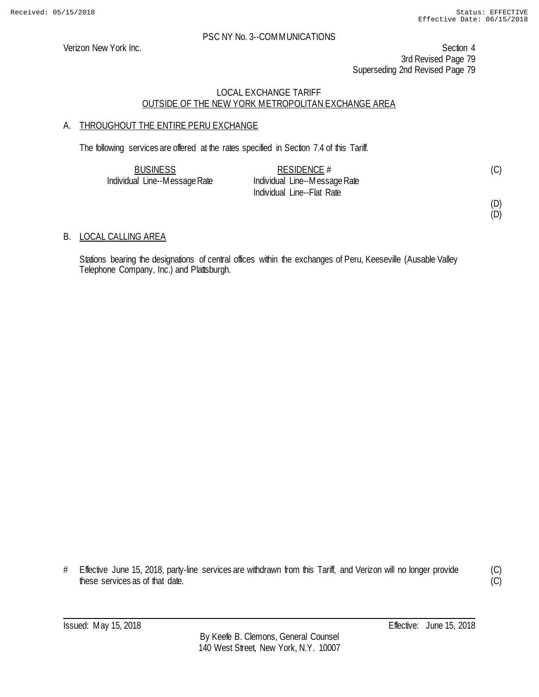(D) (D)

#### PSC NY No. 3--COMMUNICATIONS

Verizon New York Inc. Section 4 3rd Revised Page 79 Superseding 2nd Revised Page 79

### LOCAL EXCHANGE TARIFF OUTSIDE OF THE NEW YORK METROPOLITAN EXCHANGE AREA

# A. THROUGHOUT THE ENTIRE PERU EXCHANGE

The following services are offered at the rates specified in Section 7.4 of this Tariff.

| <b>BUSINESS</b>               | RESIDENCE $#$                 | (C) |
|-------------------------------|-------------------------------|-----|
| Individual Line--Message Rate | Individual Line--Message Rate |     |
|                               | Individual Line--Flat Rate    |     |

# B. LOCAL CALLING AREA

Stations bearing the designations of central offices within the exchanges of Peru, Keeseville (Ausable Valley Telephone Company, Inc.) and Plattsburgh.

# Effective June 15, 2018, party-line services are withdrawn from this Tariff, and Verizon will no longer provide these services as of that date.

(C)  $\overline{C}$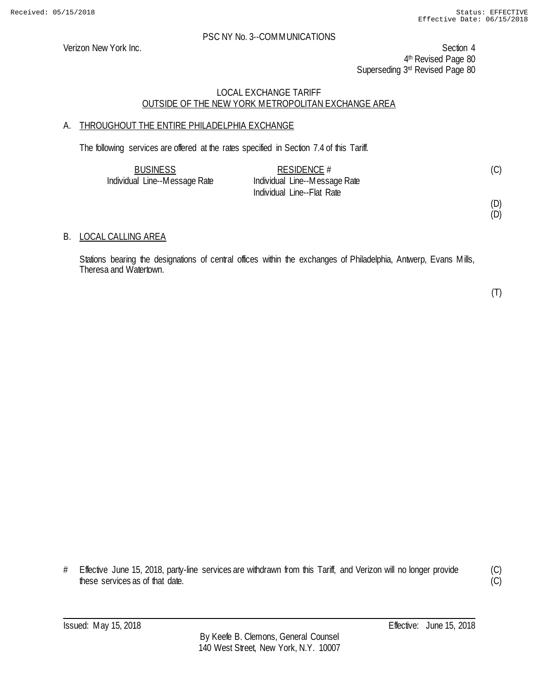Verizon New York Inc. Section 4 4th Revised Page 80 Superseding 3rd Revised Page 80

### LOCAL EXCHANGE TARIFF OUTSIDE OF THE NEW YORK METROPOLITAN EXCHANGE AREA

# A. THROUGHOUT THE ENTIRE PHILADELPHIA EXCHANGE

The following services are offered at the rates specified in Section 7.4 of this Tariff.

| <b>BUSINESS</b>               | RESIDENCE $#$                 |  |
|-------------------------------|-------------------------------|--|
| Individual Line--Message Rate | Individual Line--Message Rate |  |
|                               | Individual Line--Flat Rate    |  |

(D) (D)

### B. LOCAL CALLING AREA

Stations bearing the designations of central offices within the exchanges of Philadelphia, Antwerp, Evans Mills, Theresa and Watertown.

(T)

# Effective June 15, 2018, party-line services are withdrawn from this Tariff, and Verizon will no longer provide these services as of that date.

(C)  $\overline{C}$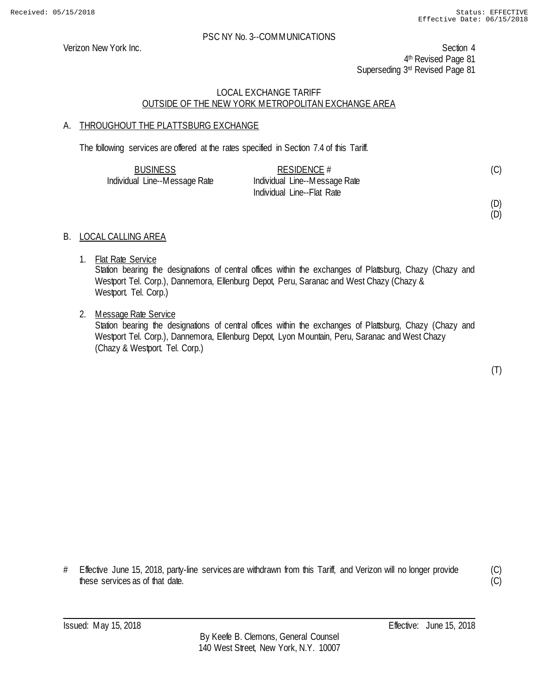Verizon New York Inc. Section 4 4<sup>th</sup> Revised Page 81 Superseding 3rd Revised Page 81

### LOCAL EXCHANGE TARIFF OUTSIDE OF THE NEW YORK METROPOLITAN EXCHANGE AREA

#### A. THROUGHOUT THE PLATTSBURG EXCHANGE

The following services are offered at the rates specified in Section 7.4 of this Tariff.

| <b>BUSINESS</b>               | RESIDENCE #                   | (C) |
|-------------------------------|-------------------------------|-----|
| Individual Line--Message Rate | Individual Line--Message Rate |     |
|                               | Individual Line--Flat Rate    |     |

(D)

(D)

### B. LOCAL CALLING AREA

1. Flat Rate Service

Station bearing the designations of central offices within the exchanges of Plattsburg, Chazy (Chazy and Westport Tel. Corp.), Dannemora, Ellenburg Depot, Peru, Saranac and West Chazy (Chazy & Westport. Tel. Corp.)

2. Message Rate Service

Station bearing the designations of central offices within the exchanges of Plattsburg, Chazy (Chazy and Westport Tel. Corp.), Dannemora, Ellenburg Depot, Lyon Mountain, Peru, Saranac and West Chazy (Chazy & Westport. Tel. Corp.)

(T)

# Effective June 15, 2018, party-line services are withdrawn from this Tariff, and Verizon will no longer provide these services as of that date.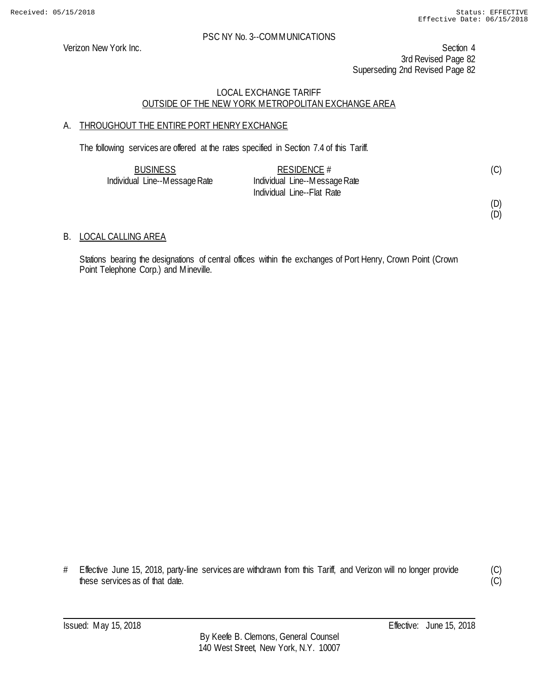(D) (D)

#### PSC NY No. 3--COMMUNICATIONS

Verizon New York Inc. Section 4 3rd Revised Page 82 Superseding 2nd Revised Page 82

### LOCAL EXCHANGE TARIFF OUTSIDE OF THE NEW YORK METROPOLITAN EXCHANGE AREA

# A. THROUGHOUT THE ENTIRE PORT HENRY EXCHANGE

The following services are offered at the rates specified in Section 7.4 of this Tariff.

| <b>BUSINESS</b>               | RESIDENCE $#$                 | (C) |
|-------------------------------|-------------------------------|-----|
| Individual Line--Message Rate | Individual Line--Message Rate |     |
|                               | Individual Line--Flat Rate    |     |

#### B. LOCAL CALLING AREA

Stations bearing the designations of central offices within the exchanges of Port Henry, Crown Point (Crown Point Telephone Corp.) and Mineville.

# Effective June 15, 2018, party-line services are withdrawn from this Tariff, and Verizon will no longer provide these services as of that date.

(C)  $\overline{(C)}$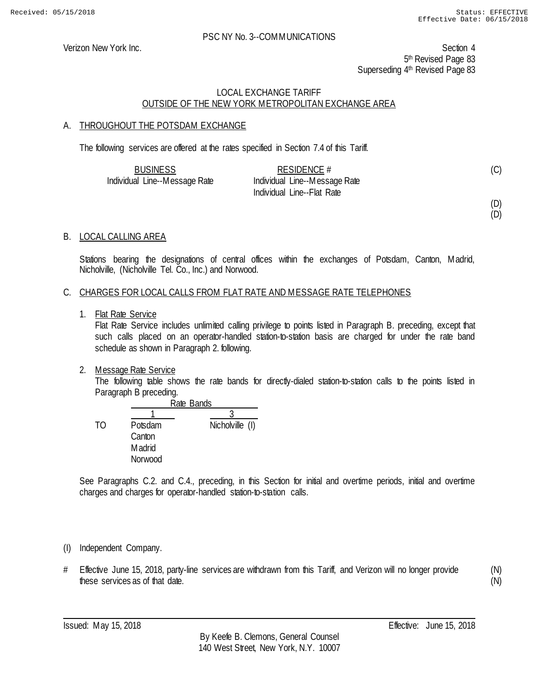Verizon New York Inc. Section 4 5<sup>th</sup> Revised Page 83 Superseding 4<sup>th</sup> Revised Page 83

### LOCAL EXCHANGE TARIFF OUTSIDE OF THE NEW YORK METROPOLITAN EXCHANGE AREA

### A. THROUGHOUT THE POTSDAM EXCHANGE

The following services are offered at the rates specified in Section 7.4 of this Tariff.

| <b>BUSINESS</b>               | RESIDENCE $#$                 | (C) |
|-------------------------------|-------------------------------|-----|
| Individual Line--Message Rate | Individual Line--Message Rate |     |
|                               | Individual Line--Flat Rate    |     |

# (D)

(D)

# B. LOCAL CALLING AREA

Stations bearing the designations of central offices within the exchanges of Potsdam, Canton, Madrid, Nicholville, (Nicholville Tel. Co., Inc.) and Norwood.

#### C. CHARGES FOR LOCAL CALLS FROM FLAT RATE AND MESSAGE RATE TELEPHONES

1. Flat Rate Service

Flat Rate Service includes unlimited calling privilege to points listed in Paragraph B. preceding, except that such calls placed on an operator-handled station-to-station basis are charged for under the rate band schedule as shown in Paragraph 2. following.

2. Message Rate Service

The following table shows the rate bands for directly-dialed station-to-station calls to the points listed in Paragraph B preceding.

|    |               | Rate Bands      |  |
|----|---------------|-----------------|--|
|    |               |                 |  |
| TΩ | Potsdam       | Nicholville (I) |  |
|    | Canton        |                 |  |
|    | <b>Madrid</b> |                 |  |
|    | Norwood       |                 |  |

See Paragraphs C.2. and C.4., preceding, in this Section for initial and overtime periods, initial and overtime charges and charges for operator-handled station-to-station calls.

- (I) Independent Company.
- # Effective June 15, 2018, party-line services are withdrawn from this Tariff, and Verizon will no longer provide these services as of that date.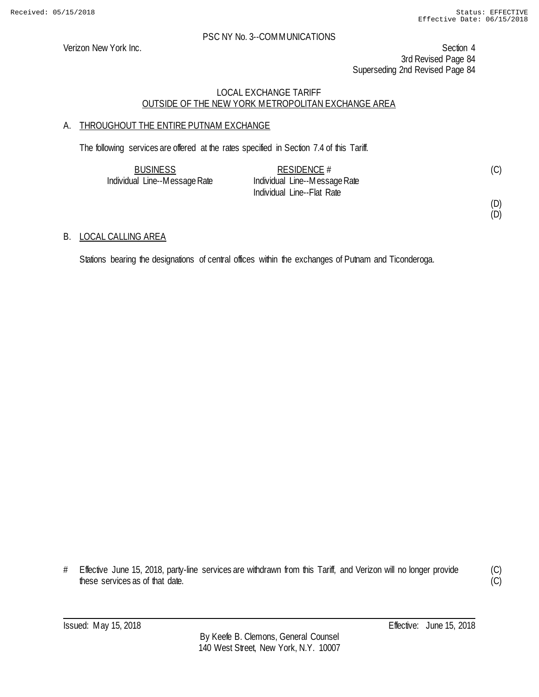Verizon New York Inc. Section 4 3rd Revised Page 84 Superseding 2nd Revised Page 84

### LOCAL EXCHANGE TARIFF OUTSIDE OF THE NEW YORK METROPOLITAN EXCHANGE AREA

# A. THROUGHOUT THE ENTIRE PUTNAM EXCHANGE

The following services are offered at the rates specified in Section 7.4 of this Tariff.

| <b>BUSINESS</b>               | RESIDENCE #                   | (C) |
|-------------------------------|-------------------------------|-----|
| Individual Line--Message Rate | Individual Line--Message Rate |     |
|                               | Individual Line--Flat Rate    |     |

#### (D) (D)

### B. LOCAL CALLING AREA

Stations bearing the designations of central offices within the exchanges of Putnam and Ticonderoga.

<sup>#</sup> Effective June 15, 2018, party-line services are withdrawn from this Tariff, and Verizon will no longer provide these services as of that date.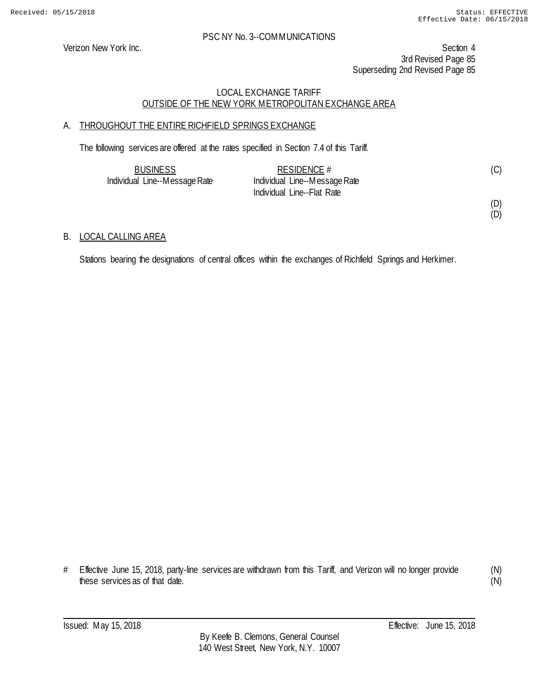Verizon New York Inc. Section 4 3rd Revised Page 85 Superseding 2nd Revised Page 85

### LOCAL EXCHANGE TARIFF OUTSIDE OF THE NEW YORK METROPOLITAN EXCHANGE AREA

# A. THROUGHOUT THE ENTIRE RICHFIELD SPRINGS EXCHANGE

The following services are offered at the rates specified in Section 7.4 of this Tariff.

| <b>BUSINESS</b>               | RESIDENCE $#$                 | (C) |
|-------------------------------|-------------------------------|-----|
| Individual Line--Message Rate | Individual Line--Message Rate |     |
|                               | Individual Line--Flat Rate    |     |

(D) (D)

### B. LOCAL CALLING AREA

Stations bearing the designations of central offices within the exchanges of Richfield Springs and Herkimer.

<sup>#</sup> Effective June 15, 2018, party-line services are withdrawn from this Tariff, and Verizon will no longer provide these services as of that date.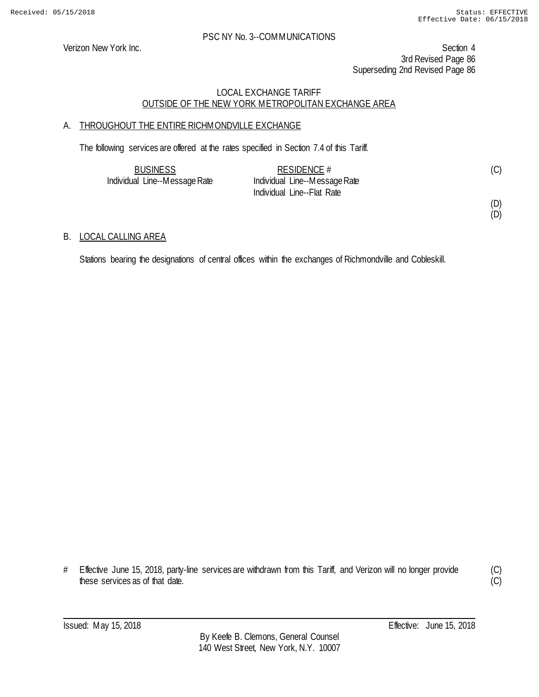Verizon New York Inc. Section 4 3rd Revised Page 86 Superseding 2nd Revised Page 86

### LOCAL EXCHANGE TARIFF OUTSIDE OF THE NEW YORK METROPOLITAN EXCHANGE AREA

# A. THROUGHOUT THE ENTIRE RICHMONDVILLE EXCHANGE

The following services are offered at the rates specified in Section 7.4 of this Tariff.

| <b>BUSINESS</b>               | RESIDENCE $#$                 | (C) |
|-------------------------------|-------------------------------|-----|
| Individual Line--Message Rate | Individual Line--Message Rate |     |
|                               | Individual Line--Flat Rate    |     |

(D) (D)

### B. LOCAL CALLING AREA

Stations bearing the designations of central offices within the exchanges of Richmondville and Cobleskill.

<sup>#</sup> Effective June 15, 2018, party-line services are withdrawn from this Tariff, and Verizon will no longer provide these services as of that date.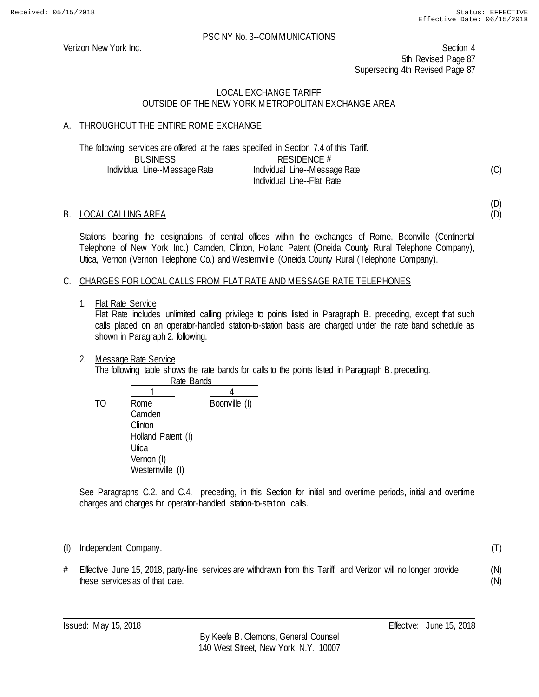(D) (D)

(T)

(N) (N)

#### PSC NY No. 3--COMMUNICATIONS

Verizon New York Inc. Section 4 5th Revised Page 87 Superseding 4th Revised Page 87

### LOCAL EXCHANGE TARIFF OUTSIDE OF THE NEW YORK METROPOLITAN EXCHANGE AREA

### A. THROUGHOUT THE ENTIRE ROME EXCHANGE

|                               | The following services are offered at the rates specified in Section 7.4 of this Tariff. |     |  |
|-------------------------------|------------------------------------------------------------------------------------------|-----|--|
| <b>BUSINESS</b>               | RESIDENCE #                                                                              |     |  |
| Individual Line--Message Rate | Individual Line--Message Rate                                                            | (C) |  |
|                               | Individual Line--Flat Rate                                                               |     |  |

#### B. LOCAL CALLING AREA

Stations bearing the designations of central offices within the exchanges of Rome, Boonville (Continental Telephone of New York Inc.) Camden, Clinton, Holland Patent (Oneida County Rural Telephone Company), Utica, Vernon (Vernon Telephone Co.) and Westernville (Oneida County Rural (Telephone Company).

#### C. CHARGES FOR LOCAL CALLS FROM FLAT RATE AND MESSAGE RATE TELEPHONES

#### 1. Flat Rate Service

Flat Rate includes unlimited calling privilege to points listed in Paragraph B. preceding, except that such calls placed on an operator-handled station-to-station basis are charged under the rate band schedule as shown in Paragraph 2. following.

2. Message Rate Service

The following table shows the rate bands for calls to the points listed in Paragraph B. preceding. Rate Bands

 $\frac{1}{4}$  4 TO Rome Boonville (I) Camden **Clinton** Holland Patent (I) **Utica** Vernon (I) Westernville (I)

See Paragraphs C.2. and C.4. preceding, in this Section for initial and overtime periods, initial and overtime charges and charges for operator-handled station-to-station calls.

(I) Independent Company.

# Effective June 15, 2018, party-line services are withdrawn from this Tariff, and Verizon will no longer provide these services as of that date.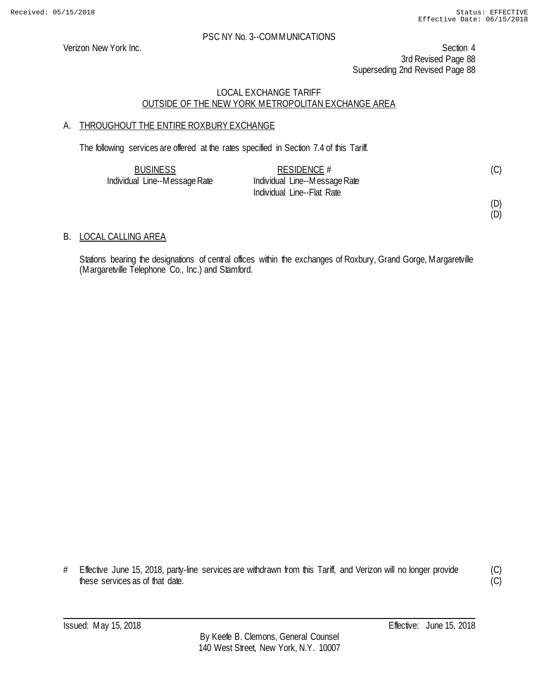Verizon New York Inc. Section 4 3rd Revised Page 88 Superseding 2nd Revised Page 88

### LOCAL EXCHANGE TARIFF OUTSIDE OF THE NEW YORK METROPOLITAN EXCHANGE AREA

# A. THROUGHOUT THE ENTIRE ROXBURY EXCHANGE

The following services are offered at the rates specified in Section 7.4 of this Tariff.

| <b>BUSINESS</b>               | RESIDENCE $#$                 | (C) |
|-------------------------------|-------------------------------|-----|
| Individual Line--Message Rate | Individual Line--Message Rate |     |
|                               | Individual Line--Flat Rate    |     |

(D) (D)

### B. LOCAL CALLING AREA

Stations bearing the designations of central offices within the exchanges of Roxbury, Grand Gorge, Margaretville (Margaretville Telephone Co., Inc.) and Stamford.

(C)  $\overline{(C)}$ 

<sup>#</sup> Effective June 15, 2018, party-line services are withdrawn from this Tariff, and Verizon will no longer provide these services as of that date.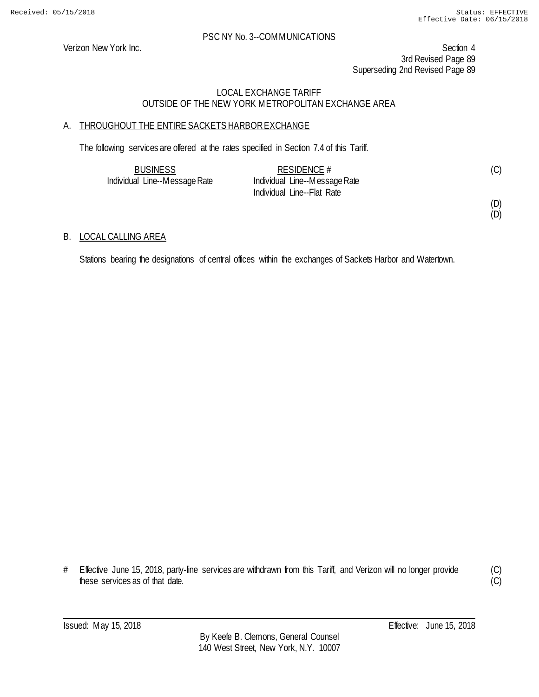Verizon New York Inc. Section 4 3rd Revised Page 89 Superseding 2nd Revised Page 89

### LOCAL EXCHANGE TARIFF OUTSIDE OF THE NEW YORK METROPOLITAN EXCHANGE AREA

# A. THROUGHOUT THE ENTIRE SACKETS HARBOR EXCHANGE

The following services are offered at the rates specified in Section 7.4 of this Tariff.

| <b>BUSINESS</b>               | RESIDENCE $#$                 | (C) |
|-------------------------------|-------------------------------|-----|
| Individual Line--Message Rate | Individual Line--Message Rate |     |
|                               | Individual Line--Flat Rate    |     |

(D) (D)

### B. LOCAL CALLING AREA

Stations bearing the designations of central offices within the exchanges of Sackets Harbor and Watertown.

<sup>#</sup> Effective June 15, 2018, party-line services are withdrawn from this Tariff, and Verizon will no longer provide these services as of that date.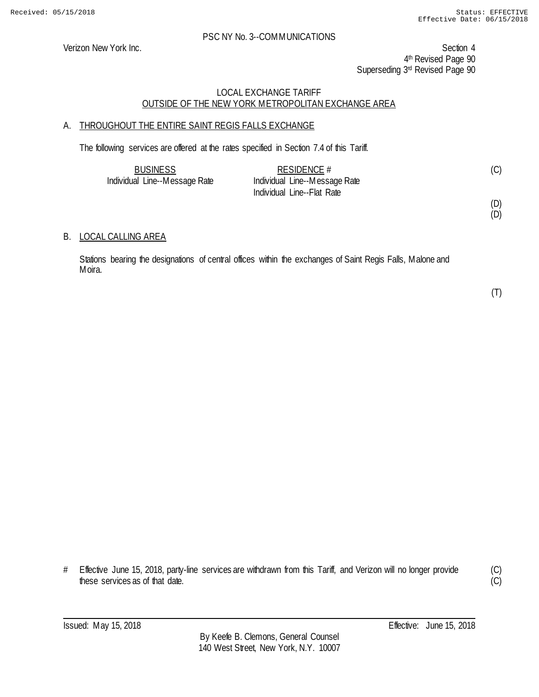Verizon New York Inc. Section 4 4th Revised Page 90 Superseding 3rd Revised Page 90

### LOCAL EXCHANGE TARIFF OUTSIDE OF THE NEW YORK METROPOLITAN EXCHANGE AREA

# A. THROUGHOUT THE ENTIRE SAINT REGIS FALLS EXCHANGE

The following services are offered at the rates specified in Section 7.4 of this Tariff.

| <b>BUSINESS</b>               | RESIDENCE $#$                 | (C) |
|-------------------------------|-------------------------------|-----|
| Individual Line--Message Rate | Individual Line--Message Rate |     |
|                               | Individual Line--Flat Rate    |     |

(D) (D)

#### B. LOCAL CALLING AREA

Stations bearing the designations of central offices within the exchanges of Saint Regis Falls, Malone and Moira.

(T)

# Effective June 15, 2018, party-line services are withdrawn from this Tariff, and Verizon will no longer provide these services as of that date.

(C)  $\overline{C}$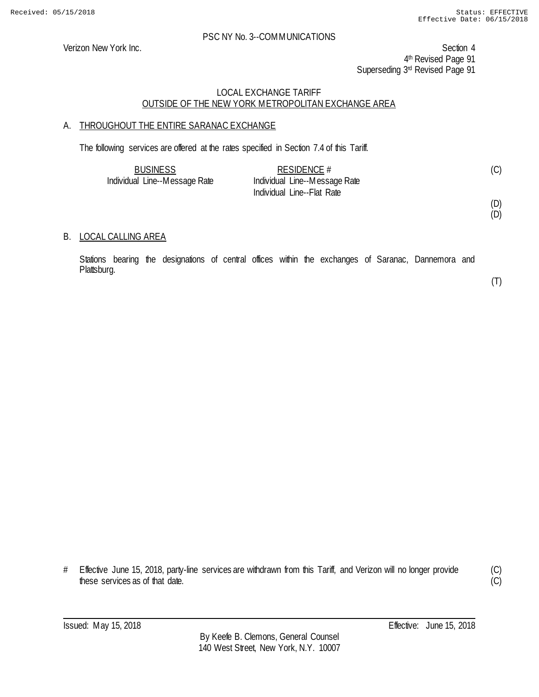Verizon New York Inc. Section 4 4<sup>th</sup> Revised Page 91 Superseding 3rd Revised Page 91

### LOCAL EXCHANGE TARIFF OUTSIDE OF THE NEW YORK METROPOLITAN EXCHANGE AREA

### A. THROUGHOUT THE ENTIRE SARANAC EXCHANGE

The following services are offered at the rates specified in Section 7.4 of this Tariff.

| <b>BUSINESS</b>               | RESIDENCE $#$                 | (C) |
|-------------------------------|-------------------------------|-----|
| Individual Line--Message Rate | Individual Line--Message Rate |     |
|                               | Individual Line--Flat Rate    |     |

(D) (D)

#### B. LOCAL CALLING AREA

Stations bearing the designations of central offices within the exchanges of Saranac, Dannemora and Plattsburg.

(T)

(C)  $\overline{C}$ 

# Effective June 15, 2018, party-line services are withdrawn from this Tariff, and Verizon will no longer provide these services as of that date.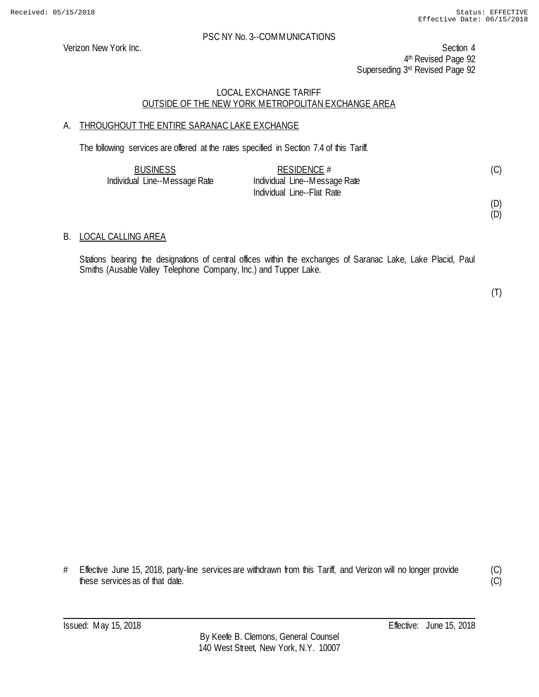Verizon New York Inc. Section 4 4<sup>th</sup> Revised Page 92 Superseding 3rd Revised Page 92

### LOCAL EXCHANGE TARIFF OUTSIDE OF THE NEW YORK METROPOLITAN EXCHANGE AREA

### A. THROUGHOUT THE ENTIRE SARANAC LAKE EXCHANGE

The following services are offered at the rates specified in Section 7.4 of this Tariff.

| <b>BUSINESS</b>               | RESIDENCE $#$                 |  |
|-------------------------------|-------------------------------|--|
| Individual Line--Message Rate | Individual Line--Message Rate |  |
|                               | Individual Line--Flat Rate    |  |

(D) (D)

#### B. LOCAL CALLING AREA

Stations bearing the designations of central offices within the exchanges of Saranac Lake, Lake Placid, Paul Smiths (Ausable Valley Telephone Company, Inc.) and Tupper Lake.

(T)

# Effective June 15, 2018, party-line services are withdrawn from this Tariff, and Verizon will no longer provide these services as of that date.

(C)  $\overline{(C)}$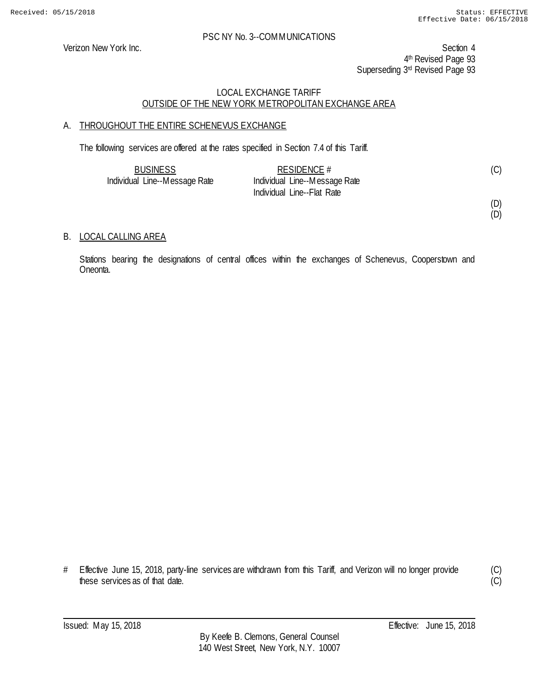Verizon New York Inc. Section 4 4<sup>th</sup> Revised Page 93 Superseding 3rd Revised Page 93

### LOCAL EXCHANGE TARIFF OUTSIDE OF THE NEW YORK METROPOLITAN EXCHANGE AREA

# A. THROUGHOUT THE ENTIRE SCHENEVUS EXCHANGE

The following services are offered at the rates specified in Section 7.4 of this Tariff.

| <b>BUSINESS</b>               | RESIDENCE $#$                 | (C) |
|-------------------------------|-------------------------------|-----|
| Individual Line--Message Rate | Individual Line--Message Rate |     |
|                               | Individual Line--Flat Rate    |     |

(D)

# (D)

### B. LOCAL CALLING AREA

Stations bearing the designations of central offices within the exchanges of Schenevus, Cooperstown and Oneonta.

(C)  $\overline{(C)}$ 

<sup>#</sup> Effective June 15, 2018, party-line services are withdrawn from this Tariff, and Verizon will no longer provide these services as of that date.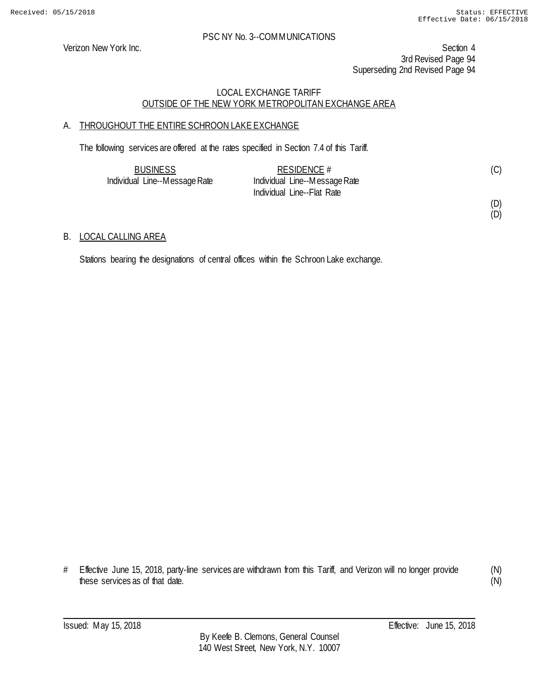Verizon New York Inc. Section 4 3rd Revised Page 94 Superseding 2nd Revised Page 94

### LOCAL EXCHANGE TARIFF OUTSIDE OF THE NEW YORK METROPOLITAN EXCHANGE AREA

# A. THROUGHOUT THE ENTIRE SCHROON LAKE EXCHANGE

The following services are offered at the rates specified in Section 7.4 of this Tariff.

| <b>BUSINESS</b>               | RESIDENCE $#$                 |  |
|-------------------------------|-------------------------------|--|
| Individual Line--Message Rate | Individual Line--Message Rate |  |
|                               | Individual Line--Flat Rate    |  |

#### (D) (D)

### B. LOCAL CALLING AREA

Stations bearing the designations of central offices within the Schroon Lake exchange.

<sup>#</sup> Effective June 15, 2018, party-line services are withdrawn from this Tariff, and Verizon will no longer provide these services as of that date.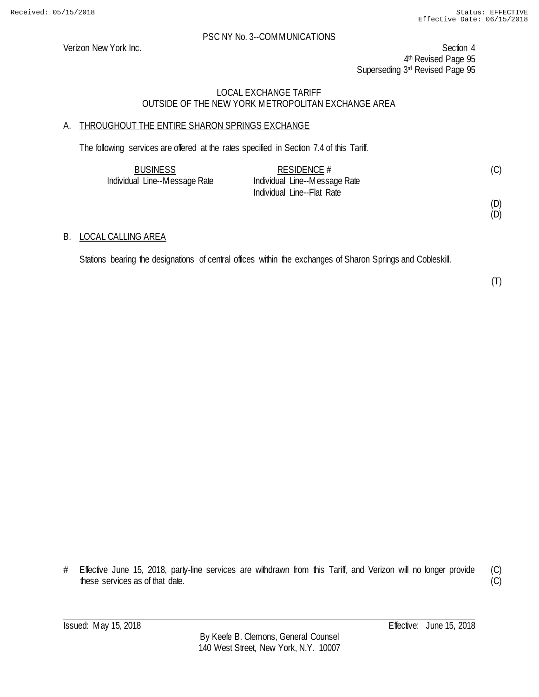Verizon New York Inc. Section 4 4th Revised Page 95 Superseding 3rd Revised Page 95

### LOCAL EXCHANGE TARIFF OUTSIDE OF THE NEW YORK METROPOLITAN EXCHANGE AREA

# A. THROUGHOUT THE ENTIRE SHARON SPRINGS EXCHANGE

The following services are offered at the rates specified in Section 7.4 of this Tariff.

| <b>BUSINESS</b>               | RESIDENCE $#$                 | (C) |
|-------------------------------|-------------------------------|-----|
| Individual Line--Message Rate | Individual Line--Message Rate |     |
|                               | Individual Line--Flat Rate    |     |

(D) (D)

#### B. LOCAL CALLING AREA

Stations bearing the designations of central offices within the exchanges of Sharon Springs and Cobleskill.

<sup>#</sup> Effective June 15, 2018, party-line services are withdrawn from this Tariff, and Verizon will no longer provide these services as of that date.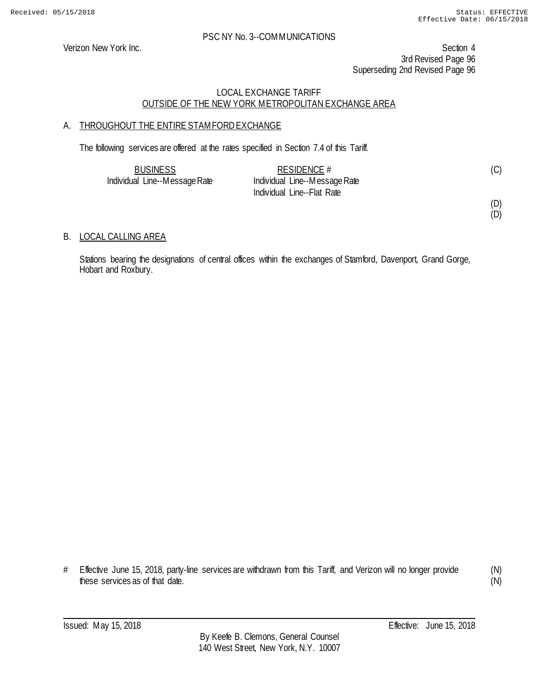Verizon New York Inc. Section 4 3rd Revised Page 96 Superseding 2nd Revised Page 96

### LOCAL EXCHANGE TARIFF OUTSIDE OF THE NEW YORK METROPOLITAN EXCHANGE AREA

# A. THROUGHOUT THE ENTIRE STAMFORD EXCHANGE

The following services are offered at the rates specified in Section 7.4 of this Tariff.

| <b>BUSINESS</b>               | RESIDENCE $#$                 | (C) |
|-------------------------------|-------------------------------|-----|
| Individual Line--Message Rate | Individual Line--Message Rate |     |
|                               | Individual Line--Flat Rate    |     |

(D) (D)

### B. LOCAL CALLING AREA

Stations bearing the designations of central offices within the exchanges of Stamford, Davenport, Grand Gorge, Hobart and Roxbury.

# Effective June 15, 2018, party-line services are withdrawn from this Tariff, and Verizon will no longer provide these services as of that date.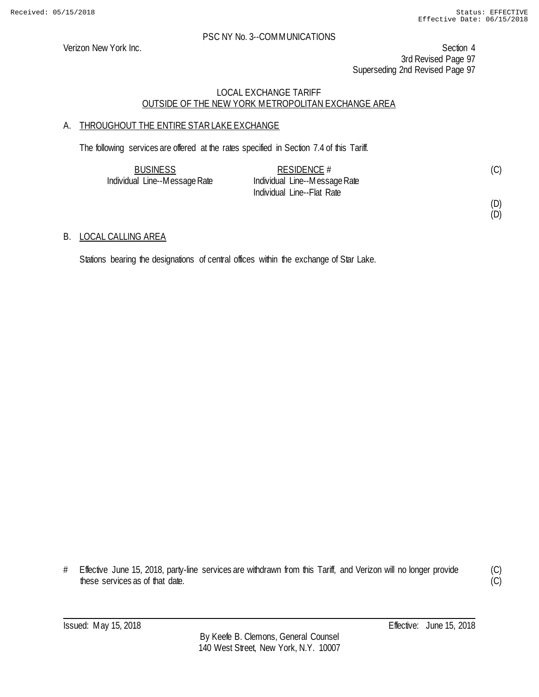Verizon New York Inc. Section 4 3rd Revised Page 97 Superseding 2nd Revised Page 97

### LOCAL EXCHANGE TARIFF OUTSIDE OF THE NEW YORK METROPOLITAN EXCHANGE AREA

# A. THROUGHOUT THE ENTIRE STAR LAKE EXCHANGE

The following services are offered at the rates specified in Section 7.4 of this Tariff.

| <b>BUSINESS</b>               | RESIDENCE $#$                 |  |
|-------------------------------|-------------------------------|--|
| Individual Line--Message Rate | Individual Line--Message Rate |  |
|                               | Individual Line--Flat Rate    |  |

#### (D) (D)

### B. LOCAL CALLING AREA

Stations bearing the designations of central offices within the exchange of Star Lake.

<sup>#</sup> Effective June 15, 2018, party-line services are withdrawn from this Tariff, and Verizon will no longer provide these services as of that date.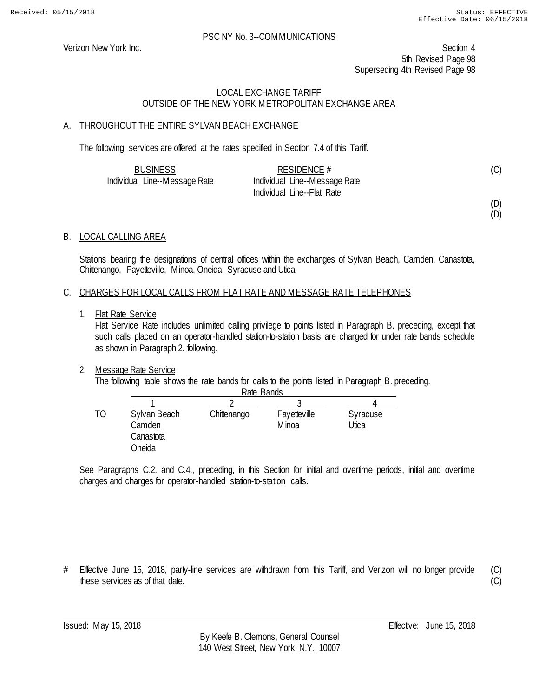Verizon New York Inc. Section 4 5th Revised Page 98 Superseding 4th Revised Page 98

### LOCAL EXCHANGE TARIFF OUTSIDE OF THE NEW YORK METROPOLITAN EXCHANGE AREA

### A. THROUGHOUT THE ENTIRE SYLVAN BEACH EXCHANGE

The following services are offered at the rates specified in Section 7.4 of this Tariff.

| <b>BUSINESS</b>               | RESIDENCE $#$                 | (C) |
|-------------------------------|-------------------------------|-----|
| Individual Line--Message Rate | Individual Line--Message Rate |     |
|                               | Individual Line--Flat Rate    |     |

(D)

(D)

### B. LOCAL CALLING AREA

Stations bearing the designations of central offices within the exchanges of Sylvan Beach, Camden, Canastota, Chittenango, Fayetteville, Minoa, Oneida, Syracuse and Utica.

#### C. CHARGES FOR LOCAL CALLS FROM FLAT RATE AND MESSAGE RATE TELEPHONES

1. Flat Rate Service

Flat Service Rate includes unlimited calling privilege to points listed in Paragraph B. preceding, except that such calls placed on an operator-handled station-to-station basis are charged for under rate bands schedule as shown in Paragraph 2. following.

#### 2. Message Rate Service

The following table shows the rate bands for calls to the points listed in Paragraph B. preceding. Rate Bands

| Rate Bands                                    |             |                        |                   |
|-----------------------------------------------|-------------|------------------------|-------------------|
|                                               |             |                        |                   |
| Sylvan Beach<br>Camden<br>Canastota<br>Oneida | Chittenango | Fayetteville<br>M inoa | Syracuse<br>Jtica |

See Paragraphs C.2. and C.4., preceding, in this Section for initial and overtime periods, initial and overtime charges and charges for operator-handled station-to-station calls.

# Effective June 15, 2018, party-line services are withdrawn from this Tariff, and Verizon will no longer provide these services as of that date.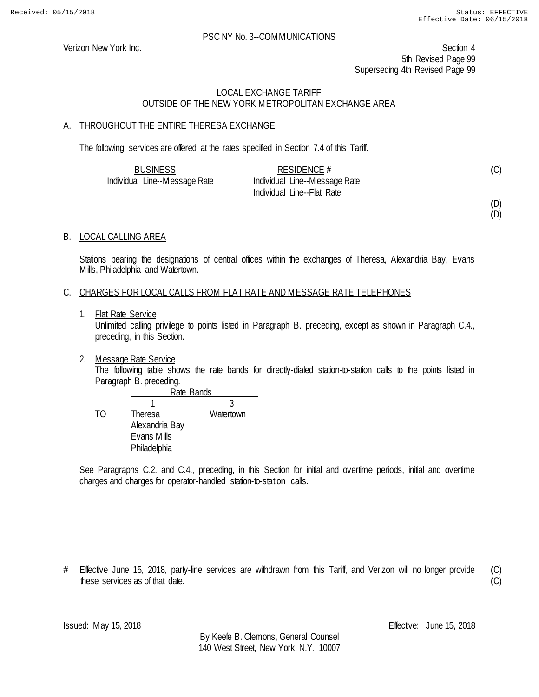Verizon New York Inc. Section 4 5th Revised Page 99 Superseding 4th Revised Page 99

### LOCAL EXCHANGE TARIFF OUTSIDE OF THE NEW YORK METROPOLITAN EXCHANGE AREA

# A. THROUGHOUT THE ENTIRE THERESA EXCHANGE

The following services are offered at the rates specified in Section 7.4 of this Tariff.

| <b>BUSINESS</b>               | RESIDENCE $#$                 | (C) |
|-------------------------------|-------------------------------|-----|
| Individual Line--Message Rate | Individual Line--Message Rate |     |
|                               | Individual Line--Flat Rate    |     |

(D)

# (D)

### B. LOCAL CALLING AREA

Stations bearing the designations of central offices within the exchanges of Theresa, Alexandria Bay, Evans Mills, Philadelphia and Watertown.

#### C. CHARGES FOR LOCAL CALLS FROM FLAT RATE AND MESSAGE RATE TELEPHONES

1. Flat Rate Service

Unlimited calling privilege to points listed in Paragraph B. preceding, except as shown in Paragraph C.4., preceding, in this Section.

2. Message Rate Service

The following table shows the rate bands for directly-dialed station-to-station calls to the points listed in Paragraph B. preceding.

|    |                | Rate Bands |  |  |
|----|----------------|------------|--|--|
|    |                |            |  |  |
| TΟ | <b>Theresa</b> | Watertown  |  |  |
|    | Alexandria Bay |            |  |  |
|    | Evans Mills    |            |  |  |
|    | Philadelphia   |            |  |  |

See Paragraphs C.2. and C.4., preceding, in this Section for initial and overtime periods, initial and overtime charges and charges for operator-handled station-to-station calls.

# Effective June 15, 2018, party-line services are withdrawn from this Tariff, and Verizon will no longer provide these services as of that date.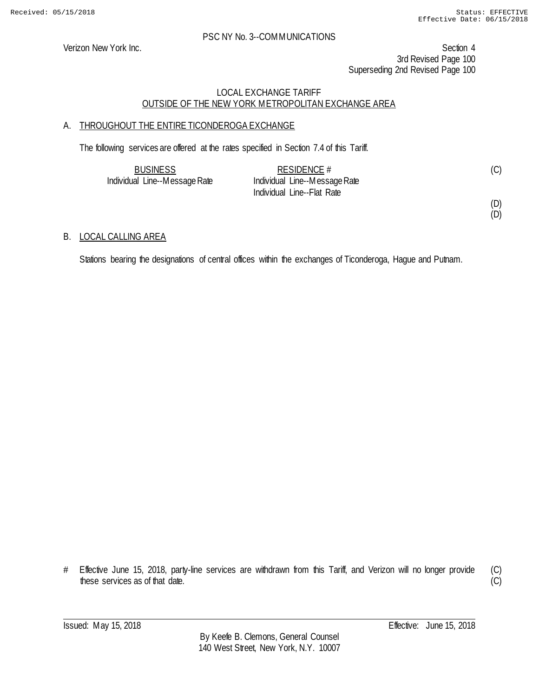Verizon New York Inc. Section 4 3rd Revised Page 100 Superseding 2nd Revised Page 100

### LOCAL EXCHANGE TARIFF OUTSIDE OF THE NEW YORK METROPOLITAN EXCHANGE AREA

# A. THROUGHOUT THE ENTIRE TICONDEROGA EXCHANGE

The following services are offered at the rates specified in Section 7.4 of this Tariff.

| <b>BUSINESS</b>               | RESIDENCE $#$                 | (C) |
|-------------------------------|-------------------------------|-----|
| Individual Line--Message Rate | Individual Line--Message Rate |     |
|                               | Individual Line--Flat Rate    |     |

(D)

(D)

### B. LOCAL CALLING AREA

Stations bearing the designations of central offices within the exchanges of Ticonderoga, Hague and Putnam.

(C)  $\overline{C}$ 

<sup>#</sup> Effective June 15, 2018, party-line services are withdrawn from this Tariff, and Verizon will no longer provide these services as of that date.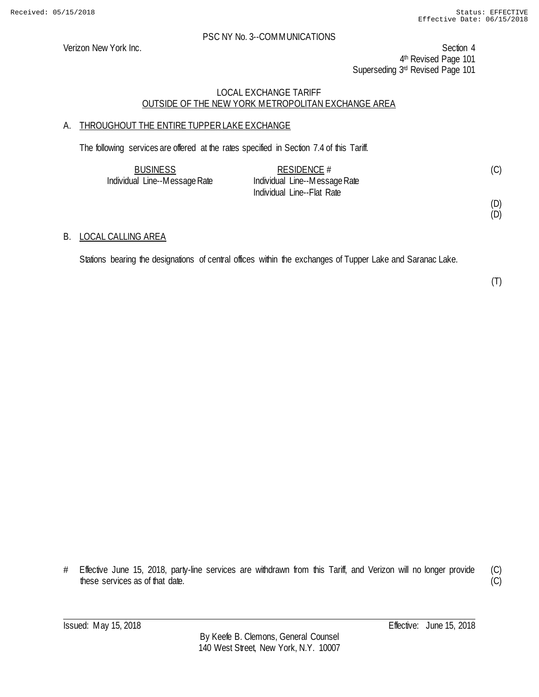Verizon New York Inc. Section 4 4th Revised Page 101 Superseding 3<sup>rd</sup> Revised Page 101

### LOCAL EXCHANGE TARIFF OUTSIDE OF THE NEW YORK METROPOLITAN EXCHANGE AREA

# A. THROUGHOUT THE ENTIRE TUPPER LAKE EXCHANGE

The following services are offered at the rates specified in Section 7.4 of this Tariff.

| <b>BUSINESS</b>               | RESIDENCE $#$                 |  |
|-------------------------------|-------------------------------|--|
| Individual Line--Message Rate | Individual Line--Message Rate |  |
|                               | Individual Line--Flat Rate    |  |

(D) (D)

#### B. LOCAL CALLING AREA

Stations bearing the designations of central offices within the exchanges of Tupper Lake and Saranac Lake.

(T)

# Effective June 15, 2018, party-line services are withdrawn from this Tariff, and Verizon will no longer provide these services as of that date.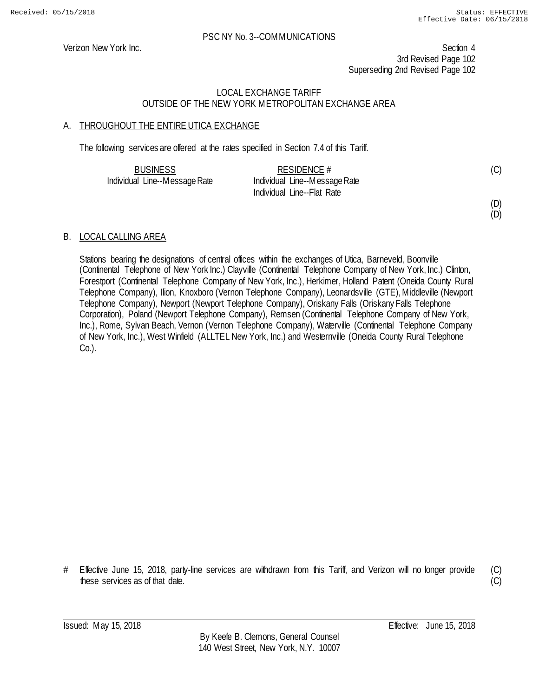Verizon New York Inc. Section 4 3rd Revised Page 102 Superseding 2nd Revised Page 102

### LOCAL EXCHANGE TARIFF OUTSIDE OF THE NEW YORK METROPOLITAN EXCHANGE AREA

### A. THROUGHOUT THE ENTIRE UTICA EXCHANGE

The following services are offered at the rates specified in Section 7.4 of this Tariff.

| <b>BUSINESS</b>               | RESIDENCE $#$                 | (C) |
|-------------------------------|-------------------------------|-----|
| Individual Line--Message Rate | Individual Line--Message Rate |     |
|                               | Individual Line--Flat Rate    |     |

#### (D) (D)

#### B. LOCAL CALLING AREA

Stations bearing the designations of central offices within the exchanges of Utica, Barneveld, Boonville (Continental Telephone of New York Inc.) Clayville (Continental Telephone Company of New York, Inc.) Clinton, Forestport (Continental Telephone Company of New York, Inc.), Herkimer, Holland Patent (Oneida County Rural Telephone Company), Ilion, Knoxboro (Vernon Telephone Company), Leonardsville (GTE), Middleville (Newport Telephone Company), Newport (Newport Telephone Company), Oriskany Falls (Oriskany Falls Telephone Corporation), Poland (Newport Telephone Company), Remsen (Continental Telephone Company of New York, Inc.), Rome, Sylvan Beach, Vernon (Vernon Telephone Company), Waterville (Continental Telephone Company of New York, Inc.), West Winfield (ALLTEL New York, Inc.) and Westernville (Oneida County Rural Telephone Co.).

# Effective June 15, 2018, party-line services are withdrawn from this Tariff, and Verizon will no longer provide these services as of that date.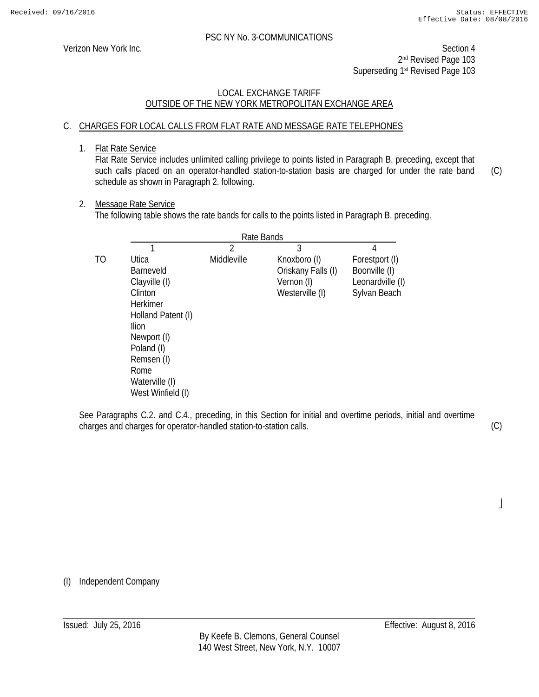Verizon New York Inc. Section 4 2nd Revised Page 103 Superseding 1st Revised Page 103

### LOCAL EXCHANGE TARIFF OUTSIDE OF THE NEW YORK METROPOLITAN EXCHANGE AREA

# C. CHARGES FOR LOCAL CALLS FROM FLAT RATE AND MESSAGE RATE TELEPHONES

1. Flat Rate Service

Flat Rate Service includes unlimited calling privilege to points listed in Paragraph B. preceding, except that such calls placed on an operator-handled station-to-station basis are charged for under the rate band schedule as shown in Paragraph 2. following. (C)

#### 2. Message Rate Service

The following table shows the rate bands for calls to the points listed in Paragraph B. preceding.

|    | Rate Bands         |             |                    |                  |
|----|--------------------|-------------|--------------------|------------------|
|    |                    |             | 3                  |                  |
| TO | Utica              | Middleville | Knoxboro (I)       | Forestport (I)   |
|    | <b>Barneveld</b>   |             | Oriskany Falls (I) | Boonville (I)    |
|    | Clayville (I)      |             | Vernon (I)         | Leonardville (I) |
|    | Clinton            |             | Westerville (I)    | Sylvan Beach     |
|    | <b>Herkimer</b>    |             |                    |                  |
|    | Holland Patent (I) |             |                    |                  |
|    | Ilion              |             |                    |                  |
|    | Newport (I)        |             |                    |                  |
|    | Poland (I)         |             |                    |                  |
|    | Remsen (I)         |             |                    |                  |
|    | Rome               |             |                    |                  |
|    | Waterville (I)     |             |                    |                  |
|    | West Winfield (I)  |             |                    |                  |

See Paragraphs C.2. and C.4., preceding, in this Section for initial and overtime periods, initial and overtime charges and charges for operator-handled station-to-station calls.

(C)

 $\overline{\phantom{a}}$ 

(I) Independent Company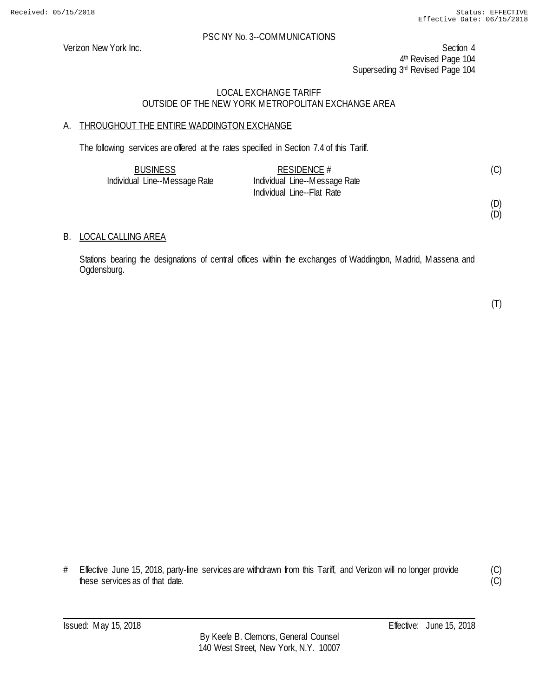Verizon New York Inc. Section 4 4<sup>th</sup> Revised Page 104 Superseding 3rd Revised Page 104

### LOCAL EXCHANGE TARIFF OUTSIDE OF THE NEW YORK METROPOLITAN EXCHANGE AREA

# A. THROUGHOUT THE ENTIRE WADDINGTON EXCHANGE

The following services are offered at the rates specified in Section 7.4 of this Tariff.

| <b>BUSINESS</b>               | RESIDENCE $#$                 | (C) |
|-------------------------------|-------------------------------|-----|
| Individual Line--Message Rate | Individual Line--Message Rate |     |
|                               | Individual Line--Flat Rate    |     |

(D) (D)

#### B. LOCAL CALLING AREA

Stations bearing the designations of central offices within the exchanges of Waddington, Madrid, Massena and Ogdensburg.

(T)

# Effective June 15, 2018, party-line services are withdrawn from this Tariff, and Verizon will no longer provide these services as of that date.

(C)  $\overline{C}$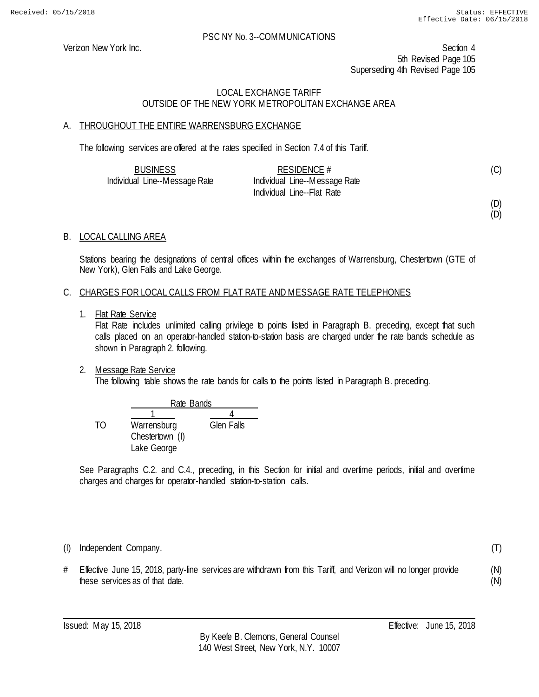Verizon New York Inc. Section 4 5th Revised Page 105 Superseding 4th Revised Page 105

### LOCAL EXCHANGE TARIFF OUTSIDE OF THE NEW YORK METROPOLITAN EXCHANGE AREA

### A. THROUGHOUT THE ENTIRE WARRENSBURG EXCHANGE

The following services are offered at the rates specified in Section 7.4 of this Tariff.

| <b>BUSINESS</b>               | RESIDENCE $#$                 |  |
|-------------------------------|-------------------------------|--|
| Individual Line--Message Rate | Individual Line--Message Rate |  |
|                               | Individual Line--Flat Rate    |  |

(D)

(D)

(T)

(N) (N)

### B. LOCAL CALLING AREA

Stations bearing the designations of central offices within the exchanges of Warrensburg, Chestertown (GTE of New York), Glen Falls and Lake George.

#### C. CHARGES FOR LOCAL CALLS FROM FLAT RATE AND MESSAGE RATE TELEPHONES

1. Flat Rate Service

Flat Rate includes unlimited calling privilege to points listed in Paragraph B. preceding, except that such calls placed on an operator-handled station-to-station basis are charged under the rate bands schedule as shown in Paragraph 2. following.

2. Message Rate Service

The following table shows the rate bands for calls to the points listed in Paragraph B. preceding.

|     |                 | Rate Bands        |  |
|-----|-----------------|-------------------|--|
|     |                 |                   |  |
| TO. | Warrensburg     | <b>Glen Falls</b> |  |
|     | Chestertown (I) |                   |  |
|     | Lake George     |                   |  |

See Paragraphs C.2. and C.4., preceding, in this Section for initial and overtime periods, initial and overtime charges and charges for operator-handled station-to-station calls.

(I) Independent Company.

# Effective June 15, 2018, party-line services are withdrawn from this Tariff, and Verizon will no longer provide these services as of that date.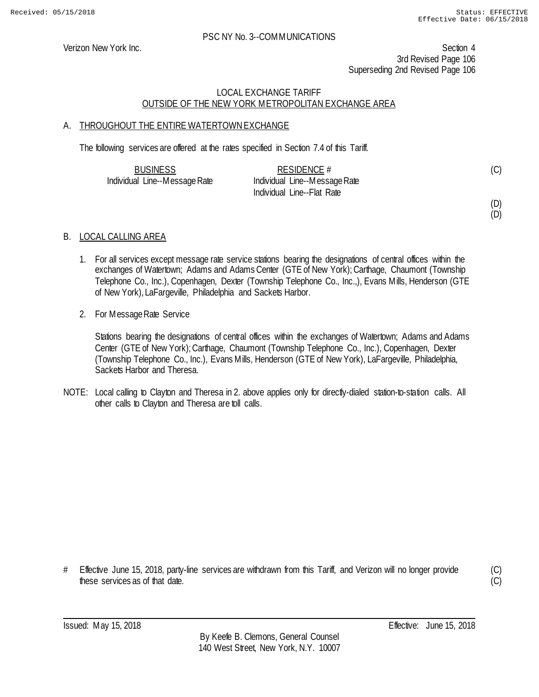Verizon New York Inc. Section 4 3rd Revised Page 106 Superseding 2nd Revised Page 106

### LOCAL EXCHANGE TARIFF OUTSIDE OF THE NEW YORK METROPOLITAN EXCHANGE AREA

# A. THROUGHOUT THE ENTIRE WATERTOWN EXCHANGE

The following services are offered at the rates specified in Section 7.4 of this Tariff.

| <b>BUSINESS</b>               | RESIDENCE $#$                 | (C) |
|-------------------------------|-------------------------------|-----|
| Individual Line--Message Rate | Individual Line--Message Rate |     |
|                               | Individual Line--Flat Rate    |     |

(D) (D)

# B. LOCAL CALLING AREA

- 1. For all services except message rate service stations bearing the designations of central offices within the exchanges of Watertown; Adams and Adams Center (GTE of New York); Carthage, Chaumont (Township Telephone Co., Inc.), Copenhagen, Dexter (Township Telephone Co., Inc.,), Evans Mills, Henderson (GTE of New York), LaFargeville, Philadelphia and Sackets Harbor.
- 2. For Message Rate Service

Stations bearing the designations of central offices within the exchanges of Watertown; Adams and Adams Center (GTE of New York); Carthage, Chaumont (Township Telephone Co., Inc.), Copenhagen, Dexter (Township Telephone Co., Inc.), Evans Mills, Henderson (GTE of New York), LaFargeville, Philadelphia, Sackets Harbor and Theresa.

NOTE: Local calling to Clayton and Theresa in 2. above applies only for directly-dialed station-to-station calls. All other calls to Clayton and Theresa are toll calls.

# Effective June 15, 2018, party-line services are withdrawn from this Tariff, and Verizon will no longer provide these services as of that date.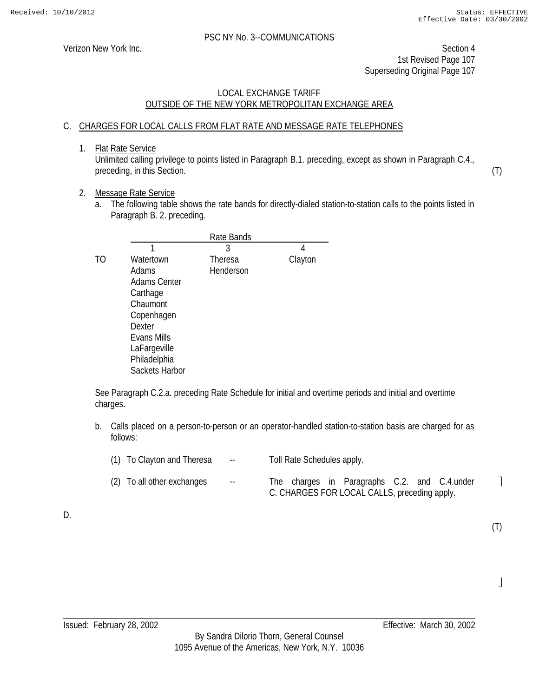(T)

 $\overline{\phantom{a}}$ 

(T)

 $\overline{\phantom{a}}$ 

#### PSC NY No. 3--COMMUNICATIONS

Verizon New York Inc. Section 4 1st Revised Page 107 Superseding Original Page 107

### LOCAL EXCHANGE TARIFF OUTSIDE OF THE NEW YORK METROPOLITAN EXCHANGE AREA

# C. CHARGES FOR LOCAL CALLS FROM FLAT RATE AND MESSAGE RATE TELEPHONES

1. Flat Rate Service

Unlimited calling privilege to points listed in Paragraph B.1. preceding, except as shown in Paragraph C.4., preceding, in this Section.

### 2. Message Rate Service

a. The following table shows the rate bands for directly-dialed station-to-station calls to the points listed in Paragraph B. 2. preceding.

| 3                    |                                                                                                   |
|----------------------|---------------------------------------------------------------------------------------------------|
| Theresa<br>Henderson | Clayton                                                                                           |
|                      | Rate Bands<br><b>Adams Center</b><br>Copenhagen<br>LaFargeville<br>Philadelphia<br>Sackets Harbor |

See Paragraph C.2.a. preceding Rate Schedule for initial and overtime periods and initial and overtime charges.

b. Calls placed on a person-to-person or an operator-handled station-to-station basis are charged for as follows:

| (1) To Clayton and Theresa | $\sim$ $\sim$ | Toll Rate Schedules apply.                                                                   |
|----------------------------|---------------|----------------------------------------------------------------------------------------------|
| (2) To all other exchanges | $\sim$ $\sim$ | The charges in Paragraphs C.2. and C.4.under<br>C. CHARGES FOR LOCAL CALLS, preceding apply. |

D.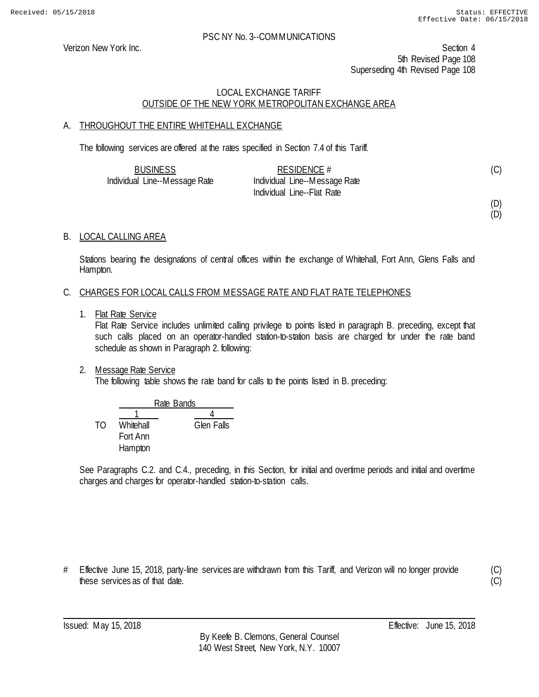Verizon New York Inc. Section 4 5th Revised Page 108 Superseding 4th Revised Page 108

### LOCAL EXCHANGE TARIFF OUTSIDE OF THE NEW YORK METROPOLITAN EXCHANGE AREA

# A. THROUGHOUT THE ENTIRE WHITEHALL EXCHANGE

The following services are offered at the rates specified in Section 7.4 of this Tariff.

| <b>BUSINESS</b>               | RESIDENCE $#$                 | (C) |
|-------------------------------|-------------------------------|-----|
| Individual Line--Message Rate | Individual Line--Message Rate |     |
|                               | Individual Line--Flat Rate    |     |

(D)

(D)

# B. LOCAL CALLING AREA

Stations bearing the designations of central offices within the exchange of Whitehall, Fort Ann, Glens Falls and Hampton.

### C. CHARGES FOR LOCAL CALLS FROM MESSAGE RATE AND FLAT RATE TELEPHONES

1. Flat Rate Service

Flat Rate Service includes unlimited calling privilege to points listed in paragraph B. preceding, except that such calls placed on an operator-handled station-to-station basis are charged for under the rate band schedule as shown in Paragraph 2. following:

2. Message Rate Service

The following table shows the rate band for calls to the points listed in B. preceding:

|    |           | Rate Bands |  |
|----|-----------|------------|--|
|    |           |            |  |
| TΩ | Whitehall | Glen Falls |  |
|    | Fort Ann  |            |  |
|    | Hampton   |            |  |

See Paragraphs C.2. and C.4., preceding, in this Section, for initial and overtime periods and initial and overtime charges and charges for operator-handled station-to-station calls.

# Effective June 15, 2018, party-line services are withdrawn from this Tariff, and Verizon will no longer provide these services as of that date.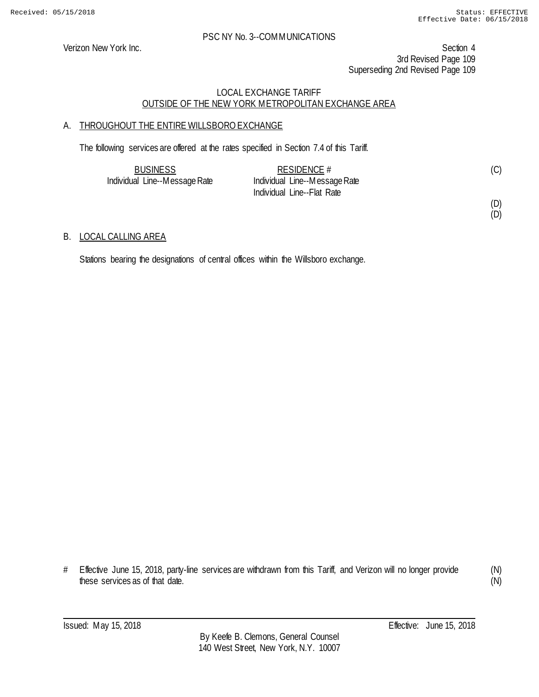### PSC NY No. 3--COMMUNICATIONS

Verizon New York Inc. Section 4 3rd Revised Page 109 Superseding 2nd Revised Page 109

## LOCAL EXCHANGE TARIFF OUTSIDE OF THE NEW YORK METROPOLITAN EXCHANGE AREA

# A. THROUGHOUT THE ENTIRE WILLSBORO EXCHANGE

The following services are offered at the rates specified in Section 7.4 of this Tariff.

| <b>BUSINESS</b>               | RESIDENCE $#$                 | (C) |
|-------------------------------|-------------------------------|-----|
| Individual Line--Message Rate | Individual Line--Message Rate |     |
|                               | Individual Line--Flat Rate    |     |

#### (D) (D)

## B. LOCAL CALLING AREA

Stations bearing the designations of central offices within the Willsboro exchange.

# Effective June 15, 2018, party-line services are withdrawn from this Tariff, and Verizon will no longer provide these services as of that date.

(N) (N)